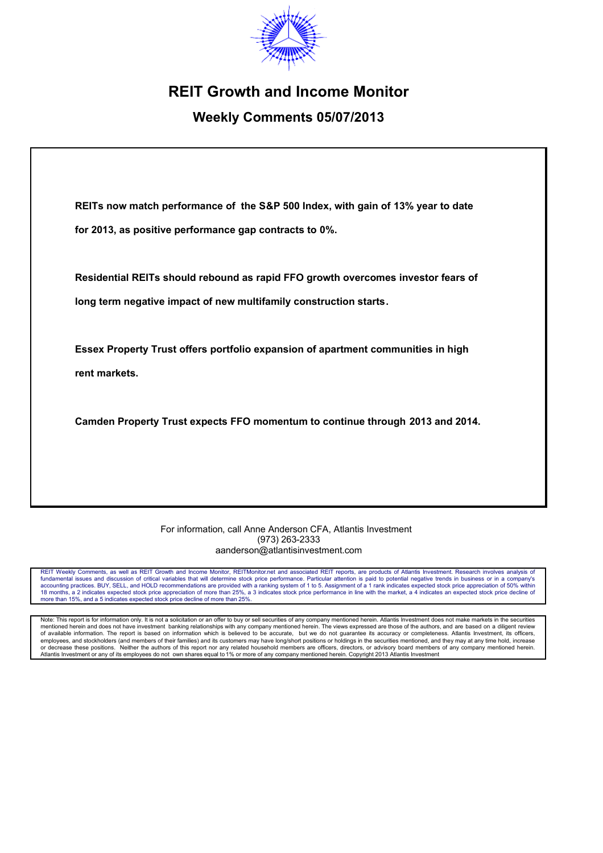

# **REIT Growth and Income Monitor**

# **Weekly Comments 05/07/2013**

**REITs now match performance of the S&P 500 Index, with gain of 13% year to date for 2013, as positive performance gap contracts to 0%.**

**Residential REITs should rebound as rapid FFO growth overcomes investor fears of long term negative impact of new multifamily construction starts.**

**Essex Property Trust offers portfolio expansion of apartment communities in high rent markets.**

**Camden Property Trust expects FFO momentum to continue through 2013 and 2014.**

#### For information, call Anne Anderson CFA, Atlantis Investment (973) 263-2333 aanderson@atlantisinvestment.com

REIT Weekly Comments, as well as REIT Growth and Income Monitor, REITMonitor.net and associated REIT reports, are products of Atlantis Investment. Research involves analysis or fundamental issues and discussion of critical variables that will determine stock price performance. Particular attention is paid to potential negative trends in business or in a company's<br>accounting practices. BUY, SELL, 18 months, a 2 indicates expected stock price appreciation of more than 25%, a 3 indicates stock price performance in line with the market, a 4 indicates an expected stock price decline of more than 15%, and a 5 indicates expected stock price decline of more than 25%.

Note: This report is for information only. It is not a solicitation or an offer to buy or sell securities of any company mentioned herein. Atlantis Investment does not make markets in the securities mentioned herein and does not have investment banking relationships with any company mentioned herein. The views expressed are those of the authors, and are based on a diligent review<br>of available information. The report i or decrease these positions. Neither the authors of this report nor any related household members are officers, directors, or advisory board members of any company mentioned herein.<br>Atlantis Investment or any of its employ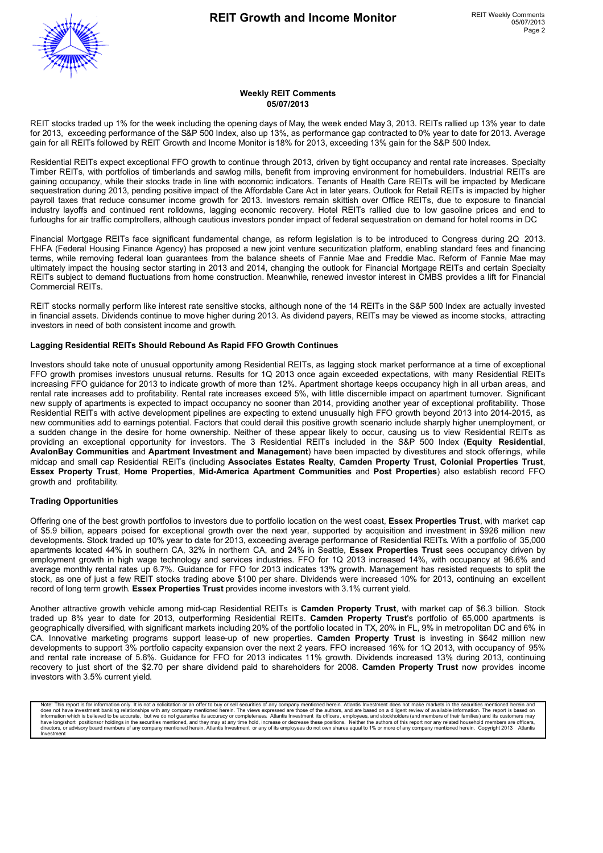

#### **Weekly REIT Comments 05/07/2013**

REIT stocks traded up 1% for the week including the opening days of May, the week ended May 3, 2013. REITs rallied up 13% year to date for 2013, exceeding performance of the S&P 500 Index, also up 13%, as performance gap contracted to 0% year to date for 2013. Average gain for all REITs followed by REIT Growth and Income Monitor is 18% for 2013, exceeding 13% gain for the S&P 500 Index.

Residential REITs expect exceptional FFO growth to continue through 2013, driven by tight occupancy and rental rate increases. Specialty Timber REITs, with portfolios of timberlands and sawlog mills, benefit from improving environment for homebuilders. Industrial REITs are gaining occupancy, while their stocks trade in line with economic indicators. Tenants of Health Care REITs will be impacted by Medicare sequestration during 2013, pending positive impact of the Affordable Care Act in later years. Outlook for Retail REITs is impacted by higher payroll taxes that reduce consumer income growth for 2013. Investors remain skittish over Office REITs, due to exposure to financial industry layoffs and continued rent rolldowns, lagging economic recovery. Hotel REITs rallied due to low gasoline prices and end to furloughs for air traffic comptrollers, although cautious investors ponder impact of federal sequestration on demand for hotel rooms in DC.

Financial Mortgage REITs face significant fundamental change, as reform legislation is to be introduced to Congress during 2Q 2013. FHFA (Federal Housing Finance Agency) has proposed a new joint venture securitization platform, enabling standard fees and financing terms, while removing federal loan guarantees from the balance sheets of Fannie Mae and Freddie Mac. Reform of Fannie Mae may ultimately impact the housing sector starting in 2013 and 2014, changing the outlook for Financial Mortgage REITs and certain Specialty REITs subject to demand fluctuations from home construction. Meanwhile, renewed investor interest in CMBS provides a lift for Financial Commercial REITs.

REIT stocks normally perform like interest rate sensitive stocks, although none of the 14 REITs in the S&P 500 Index are actually invested in financial assets. Dividends continue to move higher during 2013. As dividend payers, REITs may be viewed as income stocks, attracting investors in need of both consistent income and growth.

#### **Lagging Residential REITs Should Rebound As Rapid FFO Growth Continues**

Investors should take note of unusual opportunity among Residential REITs, as lagging stock market performance at a time of exceptional FFO growth promises investors unusual returns. Results for 1Q 2013 once again exceeded expectations, with many Residential REITs increasing FFO guidance for 2013 to indicate growth of more than 12%. Apartment shortage keeps occupancy high in all urban areas, and rental rate increases add to profitability. Rental rate increases exceed 5%, with little discernible impact on apartment turnover. Significant new supply of apartments is expected to impact occupancy no sooner than 2014, providing another year of exceptional profitability. Those Residential REITs with active development pipelines are expecting to extend unusually high FFO growth beyond 2013 into 2014-2015, as new communities add to earnings potential. Factors that could derail this positive growth scenario include sharply higher unemployment, or a sudden change in the desire for home ownership. Neither of these appear likely to occur, causing us to view Residential REITs as providing an exceptional opportunity for investors. The 3 Residential REITs included in the S&P 500 Index (**Equity Residential**, **AvalonBay Communities** and **Apartment Investment and Management**) have been impacted by divestitures and stock offerings, while midcap and small cap Residential REITs (including **Associates Estates Realty**, **Camden Property Trust**, **Colonial Properties Trust**, **Essex Property Trust**, **Home Properties**, **Mid-America Apartment Communities** and **Post Properties**) also establish record FFO growth and profitability.

#### **Trading Opportunities**

Offering one of the best growth portfolios to investors due to portfolio location on the west coast, **Essex Properties Trust**, with market cap of \$5.9 billion, appears poised for exceptional growth over the next year, supported by acquisition and investment in \$926 million new developments. Stock traded up 10% year to date for 2013, exceeding average performance of Residential REITs. With a portfolio of 35,000 apartments located 44% in southern CA, 32% in northern CA, and 24% in Seattle, **Essex Properties Trust** sees occupancy driven by employment growth in high wage technology and services industries. FFO for 1Q 2013 increased 14%, with occupancy at 96.6% and average monthly rental rates up 6.7%. Guidance for FFO for 2013 indicates 13% growth. Management has resisted requests to split the stock, as one of just a few REIT stocks trading above \$100 per share. Dividends were increased 10% for 2013, continuing an excellent record of long term growth. **Essex Properties Trust** provides income investors with 3.1% current yield.

Another attractive growth vehicle among mid-cap Residential REITs is **Camden Property Trust**, with market cap of \$6.3 billion. Stock traded up 8% year to date for 2013, outperforming Residential REITs. **Camden Property Trust**'s portfolio of 65,000 apartments is geographically diversified, with significant markets including 20% of the portfolio located in TX, 20% in FL, 9% in metropolitan DC and 6% in CA. Innovative marketing programs support lease-up of new properties. **Camden Property Trust** is investing in \$642 million new developments to support 3% portfolio capacity expansion over the next 2 years. FFO increased 16% for 1Q 2013, with occupancy of 95% and rental rate increase of 5.6%. Guidance for FFO for 2013 indicates 11% growth. Dividends increased 13% during 2013, continuing recovery to just short of the \$2.70 per share dividend paid to shareholders for 2008. **Camden Property Trust** now provides income investors with 3.5% current yield.

Note: This report is for information only. It is not a solicitation or an offer to buy or sell securities of any company mentioned herein. Atlantis Investment does not make markets in the securities mentioned herein and do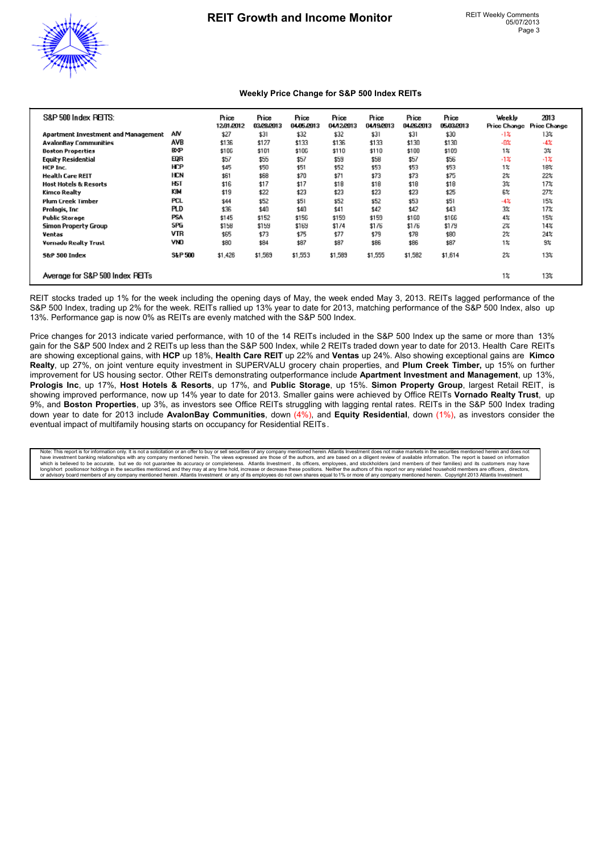

#### **Weekly Price Change for S&P 500 Index REITs**

| S&P 500 Index PEITS:                |            | Price<br>12/31/2012 | Price<br>03/28/2013 | Price<br>04/05/2013 | Price<br>04/12/2013 | Price<br>04/19/2013 | Price<br>04/26/2013 | Price<br>05.03.2013 | Weekly<br>Price Change | 2013<br><b>Price Change</b> |
|-------------------------------------|------------|---------------------|---------------------|---------------------|---------------------|---------------------|---------------------|---------------------|------------------------|-----------------------------|
| Apartment Investment and Management | AN         | \$27                | \$31                | \$32                | \$32                | \$31                | \$31                | \$30                | $-12$                  | 13%                         |
| <b>AvalonBay Communities</b>        | AVB        | \$136               | \$127               | \$133               | \$136               | \$133               | \$130               | \$130               | $-0o$                  | $-4%$                       |
| <b>Boston Properties</b>            | <b>BXP</b> | \$106               | \$101               | \$106               | \$110               | \$110               | \$108               | \$109               | $1\%$                  | $3\%$                       |
| <b>Equity Residential</b>           | EQR        | \$57                | \$55                | \$57                | \$59                | \$58                | \$57                | \$56                | $-1%$                  | $-1%$                       |
| HCP Inc.                            | HСР        | \$45                | \$50                | \$51                | \$52                | \$53                | \$53                | \$53                | 1%                     | 18%                         |
| <b>Health Care REIT</b>             | HCN        | \$61                | \$68                | \$70                | \$71                | \$73                | \$73                | \$75                | 2%                     | 22%                         |
| <b>Host Hotels &amp; Resorts</b>    | <b>HST</b> | \$16                | \$17                | \$17                | \$18                | \$18                | \$18                | \$18                | 3%                     | 17%                         |
| Kimco Realty                        | KIM        | \$19                | \$22                | \$23                | \$23                | \$23                | \$23                | \$25                | 6%                     | 27%                         |
| <b>Plum Creek Timber</b>            | <b>PCL</b> | \$44                | \$52                | \$51                | \$52                | \$52                | \$53                | \$51                | -4%                    | 15%                         |
| Prologis, Inc                       | PLD        | \$36                | \$40                | \$40                | \$41                | \$42                | \$42                | \$43                | 3%                     | 17%                         |
| <b>Public Storage</b>               | <b>PSA</b> | \$145               | \$152               | \$156               | \$159               | \$159               | \$160               | \$166               | 4%                     | 15%                         |
| Simon Property Group                | SPG        | \$158               | \$159               | \$169               | \$174               | \$176               | \$176               | \$179               | 2%                     | 14%                         |
| Ventas                              | VTR        | \$65                | \$73                | \$75                | \$77                | \$79                | \$78                | \$80                | 2%                     | 24%                         |
| Vornado Realty Trust                | VND        | \$80                | \$84                | \$87                | \$87                | \$86                | \$86                | \$87                | $1\%$                  | 9%                          |
| 5&P 500 Index                       | S&P 500    | \$1,426             | \$1,569             | \$1,553             | \$1,589             | \$1,555             | \$1,582             | \$1,614             | 2%                     | 13%                         |
| Average for S&P 500 Index PEITs     |            |                     |                     |                     |                     |                     |                     |                     | $1\%$                  | 13%                         |

REIT stocks traded up 1% for the week including the opening days of May, the week ended May 3, 2013. REITs lagged performance of the S&P 500 Index, trading up 2% for the week. REITs rallied up 13% year to date for 2013, matching performance of the S&P 500 Index, also up 13%. Performance gap is now 0% as REITs are evenly matched with the S&P 500 Index.

Price changes for 2013 indicate varied performance, with 10 of the 14 REITs included in the S&P 500 Index up the same or more than 13% gain for the S&P 500 Index and 2 REITs up less than the S&P 500 Index, while 2 REITs traded down year to date for 2013. Health Care REITs are showing exceptional gains, with **HCP** up 18%, **Health Care REIT** up 22% and **Ventas** up 24%. Also showing exceptional gains are **Kimco Realty**, up 27%, on joint venture equity investment in SUPERVALU grocery chain properties, and **Plum Creek Timber,** up 15% on further improvement for US housing sector. Other REITs demonstrating outperformance include **Apartment Investment and Management**, up 13%, **Prologis Inc**, up 17%, **Host Hotels & Resorts**, up 17%, and **Public Storage**, up 15%. **Simon Property Group**, largest Retail REIT, is showing improved performance, now up 14% year to date for 2013. Smaller gains were achieved by Office REITs **Vornado Realty Trust**, up 9%, and **Boston Properties**, up 3%, as investors see Office REITs struggling with lagging rental rates. REITs in the S&P 500 Index trading down year to date for 2013 include **AvalonBay Communities**, down (4%), and **Equity Residential**, down (1%), as investors consider the eventual impact of multifamily housing starts on occupancy for Residential REITs.

Note: This report is for information only. It is not a solicitation or an offer to buy or sell securities of any company mentioned forein Allantis Investment does not and does not and does not have investment does not make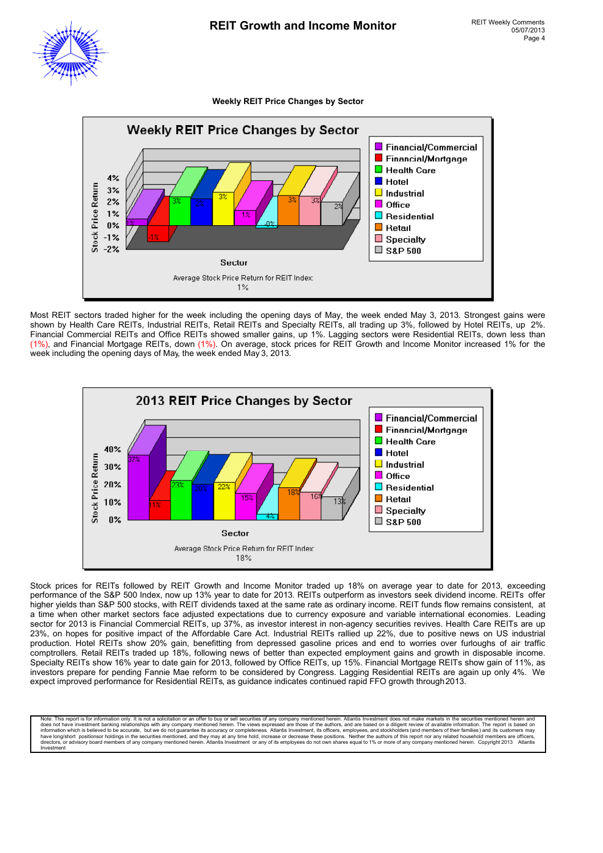#### **Weekly REIT Price Changes by Sector**



Most REIT sectors traded higher for the week including the opening days of May, the week ended May 3, 2013. Strongest gains were shown by Health Care REITs, Industrial REITs, Retail REITs and Specialty REITs, all trading up 3%, followed by Hotel REITs, up 2%. Financial Commercial REITs and Office REITs showed smaller gains, up 1%. Lagging sectors were Residential REITs, down less than (1%), and Financial Mortgage REITs, down (1%). On average, stock prices for REIT Growth and Income Monitor increased 1% for the week including the opening days of May, the week ended May 3, 2013.



Stock prices for REITs followed by REIT Growth and Income Monitor traded up 18% on average year to date for 2013, exceeding performance of the S&P 500 Index, now up 13% year to date for 2013. REITs outperform as investors seek dividend income. REITs offer higher yields than S&P 500 stocks, with REIT dividends taxed at the same rate as ordinary income. REIT funds flow remains consistent, at a time when other market sectors face adjusted expectations due to currency exposure and variable international economies. Leading sector for 2013 is Financial Commercial REITs, up 37%, as investor interest in non-agency securities revives. Health Care REITs are up 23%, on hopes for positive impact of the Affordable Care Act. Industrial REITs rallied up 22%, due to positive news on US industrial production. Hotel REITs show 20% gain, benefitting from depressed gasoline prices and end to worries over furloughs of air traffic comptrollers. Retail REITs traded up 18%, following news of better than expected employment gains and growth in disposable income. Specialty REITs show 16% year to date gain for 2013, followed by Office REITs, up 15%. Financial Mortgage REITs show gain of 11%, as investors prepare for pending Fannie Mae reform to be considered by Congress. Lagging Residential REITs are again up only 4%. We expect improved performance for Residential REITs, as guidance indicates continued rapid FFO growth through 2013.

Note: This report is for information only. It is not a solicitation or an offer to buy or sell securities of any company mentioned herein. Atlantis Investment does not make markets in the securities mentioned herein and do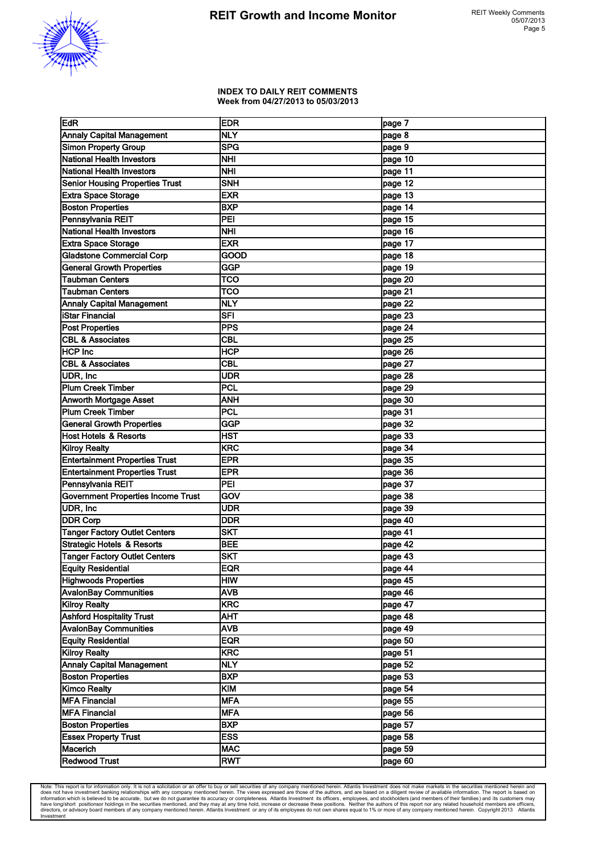

#### **INDEX TO DAILY REIT COMMENTS Week from 04/27/2013 to 05/03/2013**

| EdR                                       | <b>IEDR</b> | page 7    |
|-------------------------------------------|-------------|-----------|
| <b>Annaly Capital Management</b>          | NLY         | page 8    |
| <b>Simon Property Group</b>               | <b>SPG</b>  | page 9    |
| <b>National Health Investors</b>          | NHI         | page 10   |
| <b>National Health Investors</b>          | NHI         | page 11   |
| <b>Senior Housing Properties Trust</b>    | <b>SNH</b>  | page 12   |
| <b>Extra Space Storage</b>                | <b>EXR</b>  | page 13   |
| <b>Boston Properties</b>                  | <b>BXP</b>  | page $14$ |
| Pennsylvania REIT                         | PEI         | page 15   |
| National Health Investors                 | <b>NHI</b>  | page 16   |
| <b>Extra Space Storage</b>                | <b>EXR</b>  | page 17   |
| <b>Gladstone Commercial Corp</b>          | GOOD        | page 18   |
| <b>General Growth Properties</b>          | GGP         | page 19   |
|                                           |             |           |
| <b>Taubman Centers</b>                    | TCO         | page 20   |
| <b>Taubman Centers</b>                    | <b>TCO</b>  | page 21   |
| <b>Annaly Capital Management</b>          | <b>NLY</b>  | page 22   |
| <b>iStar Financial</b>                    | <b>SFI</b>  | page 23   |
| <b>Post Properties</b>                    | <b>PPS</b>  | page $24$ |
| <b>CBL &amp; Associates</b>               | <b>CBL</b>  | page 25   |
| <b>HCP Inc</b>                            | HCP         | page 26   |
| <b>CBL &amp; Associates</b>               | <b>CBL</b>  | page 27   |
| UDR, Inc                                  | <b>UDR</b>  | page 28   |
| <b>Plum Creek Timber</b>                  | PCL         | page 29   |
| <b>Anworth Mortgage Asset</b>             | <b>ANH</b>  | page 30   |
| <b>Plum Creek Timber</b>                  | <b>PCL</b>  | page 31   |
| <b>General Growth Properties</b>          | GGP         | page 32   |
| <b>Host Hotels &amp; Resorts</b>          | HST         | page 33   |
| <b>Kilroy Realty</b>                      | KRC         | page 34   |
| <b>Entertainment Properties Trust</b>     | <b>EPR</b>  | page 35   |
| <b>Entertainment Properties Trust</b>     | <b>EPR</b>  | page 36   |
| Pennsylvania REIT                         | PEI         | page 37   |
| <b>Government Properties Income Trust</b> | GOV         | page 38   |
| UDR, Inc                                  | <b>UDR</b>  | page 39   |
| <b>DDR Corp</b>                           | <b>DDR</b>  | page 40   |
| <b>Tanger Factory Outlet Centers</b>      | <b>SKT</b>  | page 41   |
| Strategic Hotels & Resorts                | <b>BEE</b>  | page 42   |
| <b>Tanger Factory Outlet Centers</b>      | <b>ISKT</b> | page 43   |
| <b>Equity Residential</b>                 | <b>EQR</b>  | page 44   |
| Highwoods Properties                      | <b>HIW</b>  | page 45   |
| <b>AvalonBay Communities</b>              | <b>AVB</b>  | page 46   |
| Kilroy Realty                             | KRC         | page 47   |
| <b>Ashford Hospitality Trust</b>          |             |           |
| <b>AvalonBay Communities</b>              | AHT         | page 48   |
|                                           | AVB         | page 49   |
| <b>Equity Residential</b>                 | EQR         | page 50   |
| <b>Kilroy Realty</b>                      | KRC         | page 51   |
| <b>Annaly Capital Management</b>          | <b>NLY</b>  | page 52   |
| <b>Boston Properties</b>                  | <b>BXP</b>  | page 53   |
| <b>Kimco Realty</b>                       | KIM         | page 54   |
| <b>MFA Financial</b>                      | <b>MFA</b>  | page 55   |
| <b>MFA Financial</b>                      | <b>MFA</b>  | page 56   |
| <b>Boston Properties</b>                  | <b>BXP</b>  | page 57   |
| <b>Essex Property Trust</b>               | ESS         | page 58   |
| Macerich                                  | <b>MAC</b>  | page 59   |
| <b>Redwood Trust</b>                      | <b>RWT</b>  | page 60   |

Note: This report is for information only. It is not a solicitation or an offer to buy or sell securities of any company mentioned herein. Atlantis Investment does not make markets in the securities mentioned herein and do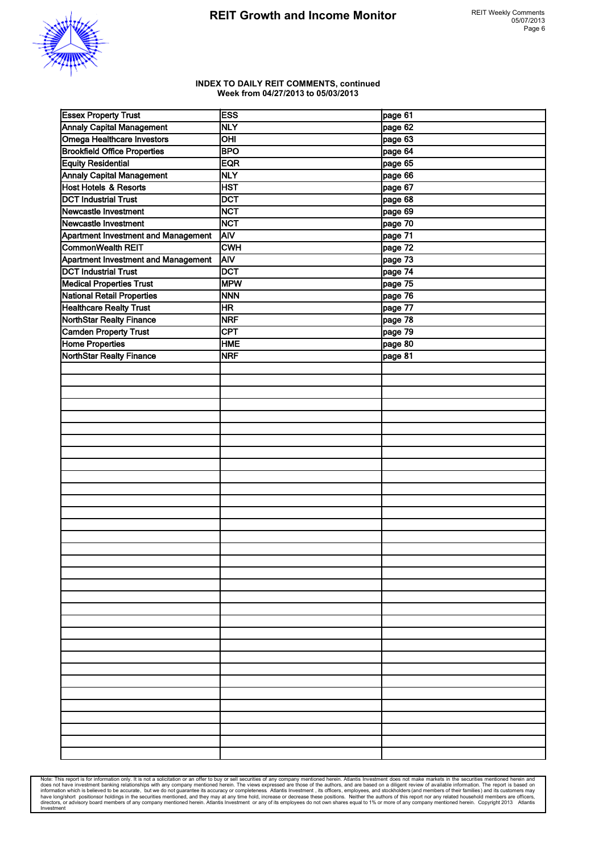

#### **INDEX TO DAILY REIT COMMENTS, continued Week from 04/27/2013 to 05/03/2013**

| <b>Essex Property Trust</b>                | <b>ESS</b>      | page 61 |
|--------------------------------------------|-----------------|---------|
| <b>Annaly Capital Management</b>           | <b>NLY</b>      | page 62 |
| Omega Healthcare Investors                 | $\overline{CH}$ | page 63 |
| <b>Brookfield Office Properties</b>        | <b>BPO</b>      | page 64 |
| <b>Equity Residential</b>                  | <b>EQR</b>      | page 65 |
| <b>Annaly Capital Management</b>           | <b>NLY</b>      | page 66 |
| Host Hotels & Resorts                      | <b>HST</b>      | page 67 |
| <b>DCT Industrial Trust</b>                | <b>DCT</b>      | page 68 |
| Newcastle Investment                       | <b>NCT</b>      | page 69 |
| Newcastle Investment                       | <b>NCT</b>      | page 70 |
| <b>Apartment Investment and Management</b> | <b>AIV</b>      | page 71 |
| CommonWealth REIT                          | <b>CWH</b>      | page 72 |
| Apartment Investment and Management        | <b>AIV</b>      | page 73 |
| <b>DCT Industrial Trust</b>                | <b>DCT</b>      | page 74 |
| <b>Medical Properties Trust</b>            | <b>MPW</b>      | page 75 |
| National Retail Properties                 | <b>NNN</b>      | page 76 |
| <b>Healthcare Realty Trust</b>             | <b>HR</b>       | page 77 |
| NorthStar Realty Finance                   | <b>NRF</b>      | page 78 |
| <b>Camden Property Trust</b>               | <b>CPT</b>      | page 79 |
| <b>Home Properties</b>                     | <b>HME</b>      | page 80 |
| NorthStar Realty Finance                   | <b>NRF</b>      | page 81 |
|                                            |                 |         |
|                                            |                 |         |
|                                            |                 |         |
|                                            |                 |         |
|                                            |                 |         |
|                                            |                 |         |
|                                            |                 |         |
|                                            |                 |         |
|                                            |                 |         |
|                                            |                 |         |
|                                            |                 |         |
|                                            |                 |         |
|                                            |                 |         |
|                                            |                 |         |
|                                            |                 |         |
|                                            |                 |         |
|                                            |                 |         |
|                                            |                 |         |
|                                            |                 |         |
|                                            |                 |         |
|                                            |                 |         |
|                                            |                 |         |
|                                            |                 |         |
|                                            |                 |         |
|                                            |                 |         |
|                                            |                 |         |
|                                            |                 |         |
|                                            |                 |         |
|                                            |                 |         |
|                                            |                 |         |
|                                            |                 |         |
|                                            |                 |         |
|                                            |                 |         |
|                                            |                 |         |

Note: This report is for information only. It is not a solicitation or an offer to buy or sell securities of any company mentioned herein. Atlantiis lines and all these investment banking relationships with any company men Investment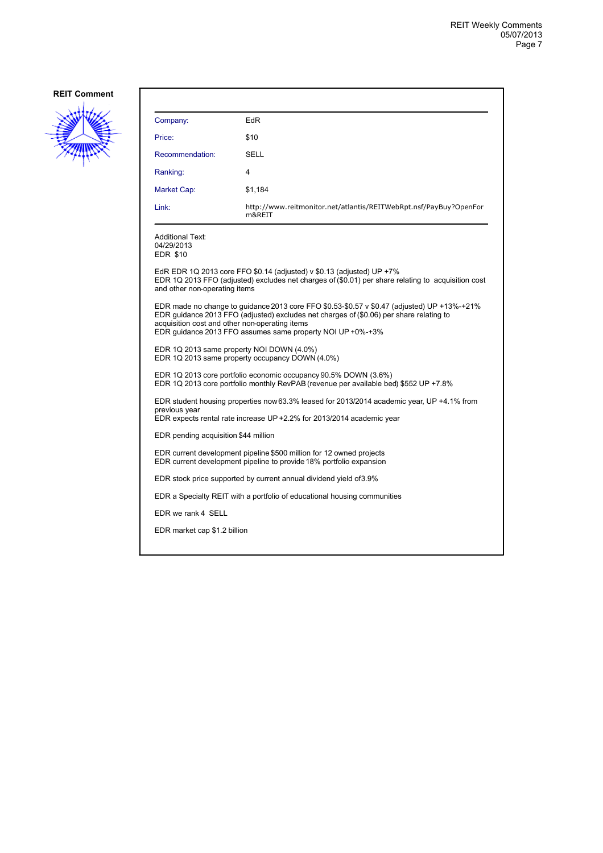

| Company:                                                                                                                                                                                                                                                                                                 | EdR                                                                                                                                                                            |  |  |  |
|----------------------------------------------------------------------------------------------------------------------------------------------------------------------------------------------------------------------------------------------------------------------------------------------------------|--------------------------------------------------------------------------------------------------------------------------------------------------------------------------------|--|--|--|
| Price:                                                                                                                                                                                                                                                                                                   | \$10                                                                                                                                                                           |  |  |  |
| Recommendation:                                                                                                                                                                                                                                                                                          | SELL                                                                                                                                                                           |  |  |  |
| Ranking:                                                                                                                                                                                                                                                                                                 | 4                                                                                                                                                                              |  |  |  |
| Market Cap:                                                                                                                                                                                                                                                                                              | \$1,184                                                                                                                                                                        |  |  |  |
| Link:                                                                                                                                                                                                                                                                                                    | http://www.reitmonitor.net/atlantis/REITWebRpt.nsf/PayBuy?OpenFor<br>m&REIT                                                                                                    |  |  |  |
| <b>Additional Text:</b><br>04/29/2013<br><b>EDR \$10</b>                                                                                                                                                                                                                                                 |                                                                                                                                                                                |  |  |  |
| and other non-operating items                                                                                                                                                                                                                                                                            | EdR EDR 1Q 2013 core FFO \$0.14 (adjusted) v \$0.13 (adjusted) UP $+7\%$<br>EDR 1Q 2013 FFO (adjusted) excludes net charges of (\$0.01) per share relating to acquisition cost |  |  |  |
| EDR made no change to guidance 2013 core FFO $$0.53-$0.57 \vee $0.47$ (adjusted) UP +13%-+21%<br>EDR guidance 2013 FFO (adjusted) excludes net charges of (\$0.06) per share relating to<br>acquisition cost and other non-operating items<br>EDR guidance 2013 FFO assumes same property NOI UP +0%-+3% |                                                                                                                                                                                |  |  |  |
| EDR 1Q 2013 same property NOI DOWN (4.0%)<br>EDR 1Q 2013 same property occupancy DOWN (4.0%)                                                                                                                                                                                                             |                                                                                                                                                                                |  |  |  |
| EDR 1Q 2013 core portfolio economic occupancy 90.5% DOWN (3.6%)<br>EDR 1Q 2013 core portfolio monthly RevPAB (revenue per available bed) \$552 UP +7.8%                                                                                                                                                  |                                                                                                                                                                                |  |  |  |
| EDR student housing properties now 63.3% leased for 2013/2014 academic year, UP +4.1% from<br>previous year<br>EDR expects rental rate increase UP +2.2% for 2013/2014 academic year                                                                                                                     |                                                                                                                                                                                |  |  |  |
| EDR pending acquisition \$44 million                                                                                                                                                                                                                                                                     |                                                                                                                                                                                |  |  |  |
| EDR current development pipeline \$500 million for 12 owned projects<br>EDR current development pipeline to provide 18% portfolio expansion                                                                                                                                                              |                                                                                                                                                                                |  |  |  |
| EDR stock price supported by current annual dividend yield of 3.9%                                                                                                                                                                                                                                       |                                                                                                                                                                                |  |  |  |
|                                                                                                                                                                                                                                                                                                          | EDR a Specialty REIT with a portfolio of educational housing communities                                                                                                       |  |  |  |
| EDR we rank 4 SELL                                                                                                                                                                                                                                                                                       |                                                                                                                                                                                |  |  |  |
| EDR market cap \$1.2 billion                                                                                                                                                                                                                                                                             |                                                                                                                                                                                |  |  |  |
|                                                                                                                                                                                                                                                                                                          |                                                                                                                                                                                |  |  |  |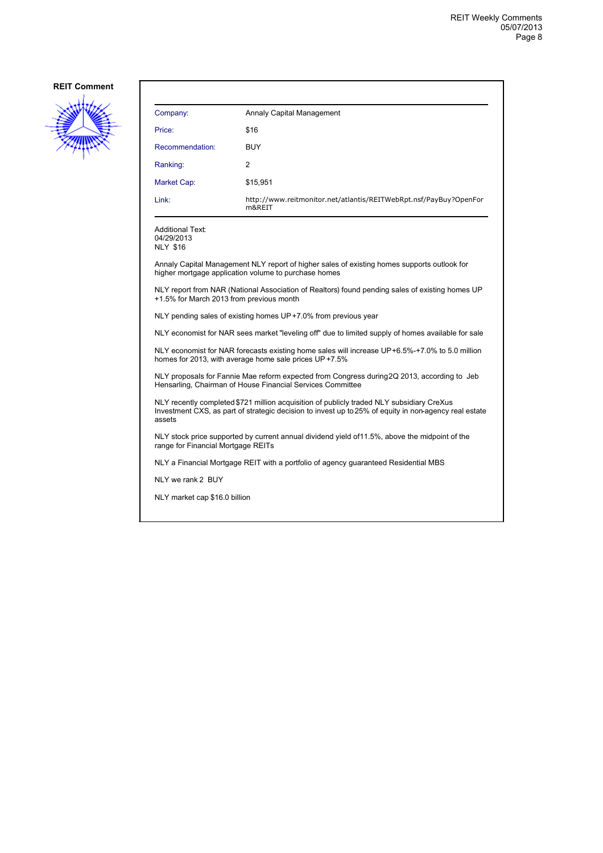

| Company:        | Annaly Capital Management                                                   |
|-----------------|-----------------------------------------------------------------------------|
| Price:          | \$16                                                                        |
| Recommendation: | <b>BUY</b>                                                                  |
| Ranking:        | 2                                                                           |
| Market Cap:     | \$15,951                                                                    |
| Link:           | http://www.reitmonitor.net/atlantis/REITWebRpt.nsf/PayBuy?OpenFor<br>m&REIT |

Additional Text: 04/29/2013

NLY \$16

Annaly Capital Management NLY report of higher sales of existing homes supports outlook for higher mortgage application volume to purchase homes

NLY report from NAR (National Association of Realtors) found pending sales of existing homes UP +1.5% for March 2013 from previous month

NLY pending sales of existing homes UP +7.0% from previous year

NLY economist for NAR sees market "leveling off" due to limited supply of homes available for sale

NLY economist for NAR forecasts existing home sales will increase UP +6.5%-+7.0% to 5.0 million homes for 2013, with average home sale prices UP+7.5%

NLY proposals for Fannie Mae reform expected from Congress during 2Q 2013, according to Jeb Hensarling, Chairman of House Financial Services Committee

NLY recently completed \$721 million acquisition of publicly traded NLY subsidiary CreXus Investment CXS, as part of strategic decision to invest up to 25% of equity in non-agency real estate assets

NLY stock price supported by current annual dividend yield of 11.5%, above the midpoint of the range for Financial Mortgage REITs

NLY a Financial Mortgage REIT with a portfolio of agency guaranteed Residential MBS

NLY we rank 2 BUY

NLY market cap \$16.0 billion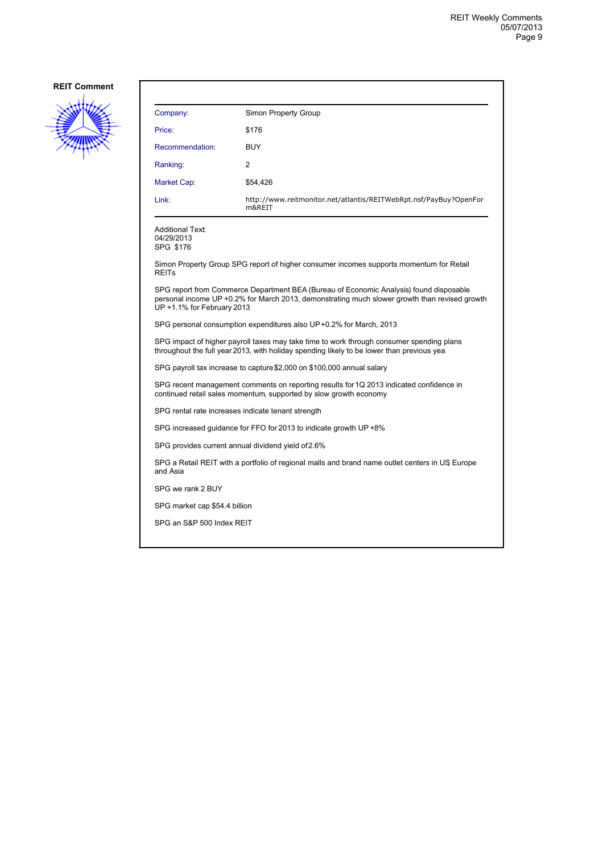

| Company:                                                                                                                                                                                                              | Simon Property Group                                                                    |  |  |  |
|-----------------------------------------------------------------------------------------------------------------------------------------------------------------------------------------------------------------------|-----------------------------------------------------------------------------------------|--|--|--|
| Price:                                                                                                                                                                                                                | \$176                                                                                   |  |  |  |
| Recommendation:                                                                                                                                                                                                       | <b>BUY</b>                                                                              |  |  |  |
| Ranking:                                                                                                                                                                                                              | 2                                                                                       |  |  |  |
| Market Cap:                                                                                                                                                                                                           | \$54,426                                                                                |  |  |  |
| Link:                                                                                                                                                                                                                 | http://www.reitmonitor.net/atlantis/REITWebRpt.nsf/PayBuy?OpenFor<br>m&REIT             |  |  |  |
| Additional Text:<br>04/29/2013<br>SPG \$176                                                                                                                                                                           |                                                                                         |  |  |  |
| <b>REITs</b>                                                                                                                                                                                                          | Simon Property Group SPG report of higher consumer incomes supports momentum for Retail |  |  |  |
| SPG report from Commerce Department BEA (Bureau of Economic Analysis) found disposable<br>personal income UP +0.2% for March 2013, demonstrating much slower growth than revised growth<br>UP +1.1% for February 2013 |                                                                                         |  |  |  |
| SPG personal consumption expenditures also UP+0.2% for March, 2013                                                                                                                                                    |                                                                                         |  |  |  |
| SPG impact of higher payroll taxes may take time to work through consumer spending plans<br>throughout the full year 2013, with holiday spending likely to be lower than previous yea                                 |                                                                                         |  |  |  |
| SPG payroll tax increase to capture \$2,000 on \$100,000 annual salary                                                                                                                                                |                                                                                         |  |  |  |
| SPG recent management comments on reporting results for 1Q 2013 indicated confidence in<br>continued retail sales momentum, supported by slow growth economy                                                          |                                                                                         |  |  |  |
| SPG rental rate increases indicate tenant strength                                                                                                                                                                    |                                                                                         |  |  |  |
| SPG increased quidance for FFO for 2013 to indicate growth UP +8%                                                                                                                                                     |                                                                                         |  |  |  |
| SPG provides current annual dividend yield of 2.6%                                                                                                                                                                    |                                                                                         |  |  |  |
| SPG a Retail REIT with a portfolio of regional malls and brand name outlet centers in US Europe<br>and Asia                                                                                                           |                                                                                         |  |  |  |
| SPG we rank 2 BUY                                                                                                                                                                                                     |                                                                                         |  |  |  |
| SPG market cap \$54.4 billion                                                                                                                                                                                         |                                                                                         |  |  |  |
| SPG an S&P 500 Index REIT                                                                                                                                                                                             |                                                                                         |  |  |  |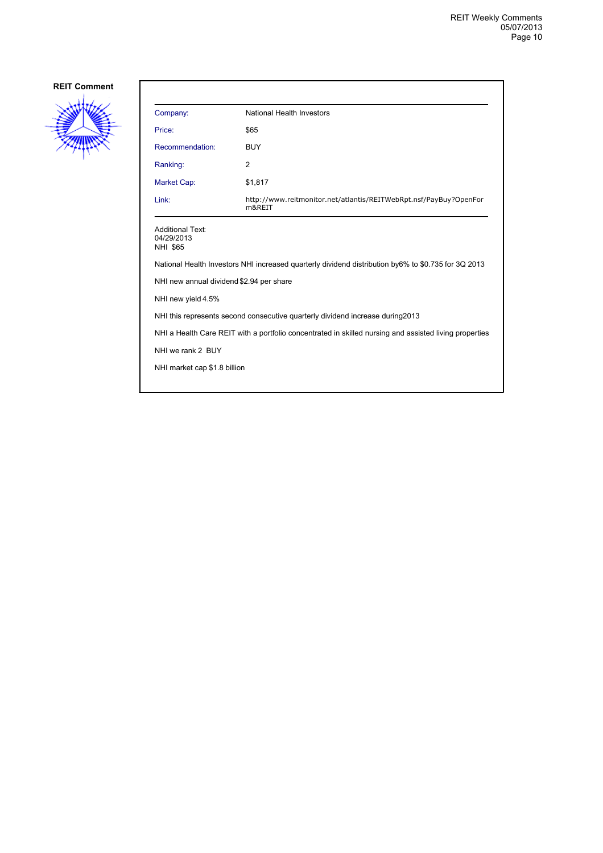

| Company:                                                                                               | National Health Investors                                                   |  |
|--------------------------------------------------------------------------------------------------------|-----------------------------------------------------------------------------|--|
| Price:                                                                                                 | \$65                                                                        |  |
| Recommendation:                                                                                        | BUY                                                                         |  |
| Ranking:                                                                                               | 2                                                                           |  |
| Market Cap:                                                                                            | \$1,817                                                                     |  |
| Link:                                                                                                  | http://www.reitmonitor.net/atlantis/REITWebRpt.nsf/PayBuy?OpenFor<br>m&RFIT |  |
| <b>Additional Text:</b><br>04/29/2013<br><b>NHI \$65</b>                                               |                                                                             |  |
| National Health Investors NHI increased quarterly dividend distribution by6% to \$0.735 for 3Q 2013    |                                                                             |  |
| NHI new annual dividend \$2.94 per share                                                               |                                                                             |  |
| NHI new yield 4.5%                                                                                     |                                                                             |  |
| NHI this represents second consecutive quarterly dividend increase during 2013                         |                                                                             |  |
| NHI a Health Care REIT with a portfolio concentrated in skilled nursing and assisted living properties |                                                                             |  |
| NHI we rank 2 BUY                                                                                      |                                                                             |  |
| NHI market cap \$1.8 billion                                                                           |                                                                             |  |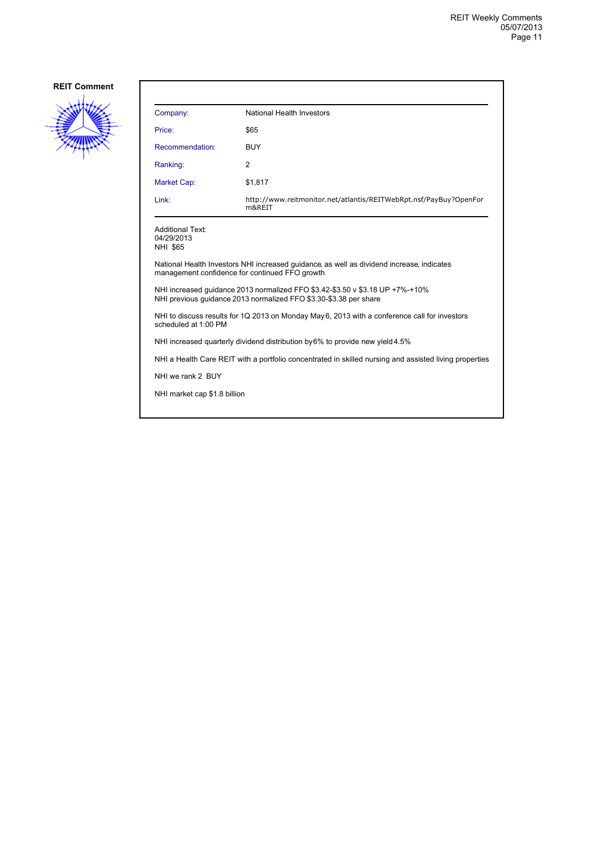

| Company:                                                                                                                                           | National Health Investors                                                   |  |
|----------------------------------------------------------------------------------------------------------------------------------------------------|-----------------------------------------------------------------------------|--|
| Price:                                                                                                                                             | \$65                                                                        |  |
| Recommendation:                                                                                                                                    | BUY                                                                         |  |
| Ranking:                                                                                                                                           | 2                                                                           |  |
| Market Cap:                                                                                                                                        | \$1,817                                                                     |  |
| Link:                                                                                                                                              | http://www.reitmonitor.net/atlantis/REITWebRpt.nsf/PayBuy?OpenFor<br>m&REIT |  |
| <b>Additional Text:</b><br>04/29/2013<br><b>NHI \$65</b>                                                                                           |                                                                             |  |
| National Health Investors NHI increased quidance, as well as dividend increase, indicates<br>management confidence for continued FFO growth        |                                                                             |  |
| NHI increased guidance 2013 normalized FFO \$3.42-\$3.50 v \$3.18 UP +7%-+10%<br>NHI previous guidance 2013 normalized FFO \$3.30-\$3.38 per share |                                                                             |  |
| NHI to discuss results for 1Q 2013 on Monday May 6, 2013 with a conference call for investors<br>scheduled at 1:00 PM                              |                                                                             |  |
| NHI increased quarterly dividend distribution by 6% to provide new yield 4.5%                                                                      |                                                                             |  |
| NHI a Health Care REIT with a portfolio concentrated in skilled nursing and assisted living properties                                             |                                                                             |  |
| NHI we rank 2 BUY                                                                                                                                  |                                                                             |  |
| NHI market cap \$1.8 billion                                                                                                                       |                                                                             |  |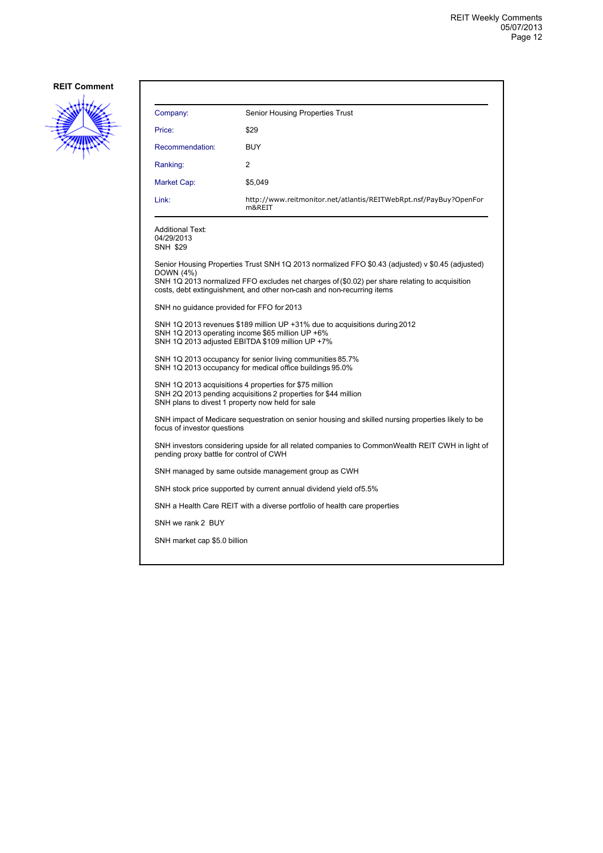

| Company:                                         | <b>Senior Housing Properties Trust</b>                                                                                                                                                                                                                                      |
|--------------------------------------------------|-----------------------------------------------------------------------------------------------------------------------------------------------------------------------------------------------------------------------------------------------------------------------------|
| Price:                                           | \$29                                                                                                                                                                                                                                                                        |
| Recommendation:                                  | <b>BUY</b>                                                                                                                                                                                                                                                                  |
| Ranking:                                         | 2                                                                                                                                                                                                                                                                           |
| Market Cap:                                      | \$5,049                                                                                                                                                                                                                                                                     |
| Link:                                            | http://www.reitmonitor.net/atlantis/REITWebRpt.nsf/PayBuy?OpenFor<br>m&REIT                                                                                                                                                                                                 |
| Additional Text:<br>04/29/2013<br>SNH \$29       |                                                                                                                                                                                                                                                                             |
| DOWN (4%)                                        | Senior Housing Properties Trust SNH 1Q 2013 normalized FFO \$0.43 (adjusted) v \$0.45 (adjusted)<br>SNH 1Q 2013 normalized FFO excludes net charges of (\$0.02) per share relating to acquisition<br>costs, debt extinguishment, and other non-cash and non-recurring items |
| SNH no guidance provided for FFO for 2013        |                                                                                                                                                                                                                                                                             |
|                                                  | SNH 1Q 2013 revenues \$189 million UP +31% due to acquisitions during 2012<br>SNH 1Q 2013 operating income \$65 million UP +6%<br>SNH 1Q 2013 adjusted EBITDA \$109 million UP +7%                                                                                          |
|                                                  | SNH 1Q 2013 occupancy for senior living communities 85.7%<br>SNH 1Q 2013 occupancy for medical office buildings 95.0%                                                                                                                                                       |
| SNH plans to divest 1 property now held for sale | SNH 1Q 2013 acquisitions 4 properties for \$75 million<br>SNH 2Q 2013 pending acquisitions 2 properties for \$44 million                                                                                                                                                    |
| focus of investor questions                      | SNH impact of Medicare sequestration on senior housing and skilled nursing properties likely to be                                                                                                                                                                          |
| pending proxy battle for control of CWH          | SNH investors considering upside for all related companies to CommonWealth REIT CWH in light of                                                                                                                                                                             |
|                                                  | SNH managed by same outside management group as CWH                                                                                                                                                                                                                         |
|                                                  | SNH stock price supported by current annual dividend yield of 5.5%                                                                                                                                                                                                          |
|                                                  | SNH a Health Care REIT with a diverse portfolio of health care properties                                                                                                                                                                                                   |
| SNH we rank 2 BUY                                |                                                                                                                                                                                                                                                                             |
| SNH market cap \$5.0 billion                     |                                                                                                                                                                                                                                                                             |
|                                                  |                                                                                                                                                                                                                                                                             |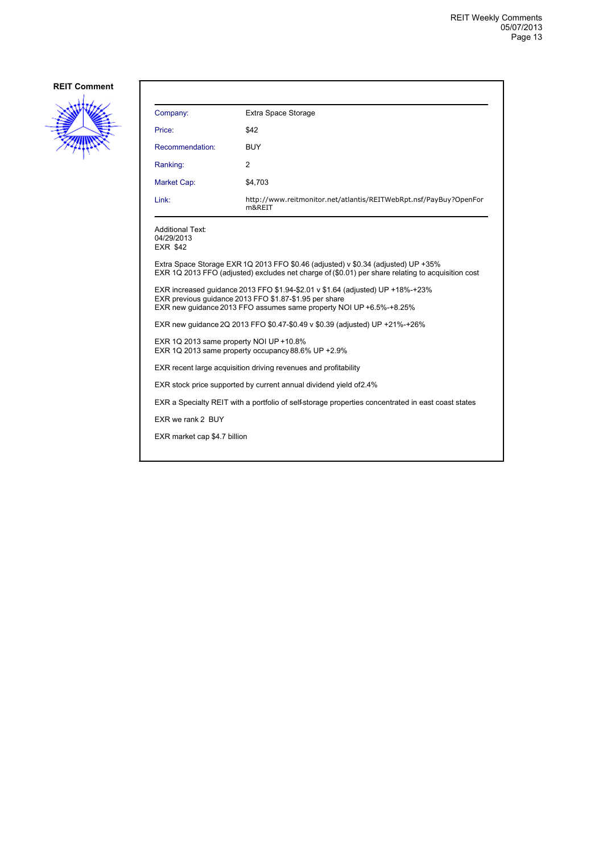

| Company:                                                                                           | Extra Space Storage                                                                                                                                                                                             |  |
|----------------------------------------------------------------------------------------------------|-----------------------------------------------------------------------------------------------------------------------------------------------------------------------------------------------------------------|--|
| Price:                                                                                             | \$42                                                                                                                                                                                                            |  |
| Recommendation:                                                                                    | <b>BUY</b>                                                                                                                                                                                                      |  |
| Ranking:                                                                                           | $\overline{2}$                                                                                                                                                                                                  |  |
| Market Cap:                                                                                        | \$4,703                                                                                                                                                                                                         |  |
| Link:                                                                                              | http://www.reitmonitor.net/atlantis/REITWebRpt.nsf/PayBuy?OpenFor<br>m&REIT                                                                                                                                     |  |
| Additional Text:<br>04/29/2013<br><b>EXR \$42</b>                                                  |                                                                                                                                                                                                                 |  |
|                                                                                                    | Extra Space Storage EXR 1Q 2013 FFO \$0.46 (adjusted) v \$0.34 (adjusted) UP +35%<br>EXR 1Q 2013 FFO (adjusted) excludes net charge of (\$0.01) per share relating to acquisition cost                          |  |
|                                                                                                    | EXR increased quidance 2013 FFO \$1.94-\$2.01 v \$1.64 (adjusted) UP +18%-+23%<br>EXR previous guidance 2013 FFO \$1.87-\$1.95 per share<br>EXR new guidance 2013 FFO assumes same property NOI UP +6.5%-+8.25% |  |
| EXR new quidance 2Q 2013 FFO \$0.47-\$0.49 v \$0.39 (adjusted) UP +21%-+26%                        |                                                                                                                                                                                                                 |  |
| EXR 1Q 2013 same property NOI UP +10.8%<br>EXR 1Q 2013 same property occupancy 88.6% UP +2.9%      |                                                                                                                                                                                                                 |  |
| EXR recent large acquisition driving revenues and profitability                                    |                                                                                                                                                                                                                 |  |
| EXR stock price supported by current annual dividend yield of 2.4%                                 |                                                                                                                                                                                                                 |  |
| EXR a Specialty REIT with a portfolio of self-storage properties concentrated in east coast states |                                                                                                                                                                                                                 |  |
| EXR we rank 2 BUY                                                                                  |                                                                                                                                                                                                                 |  |
| EXR market cap \$4.7 billion                                                                       |                                                                                                                                                                                                                 |  |
|                                                                                                    |                                                                                                                                                                                                                 |  |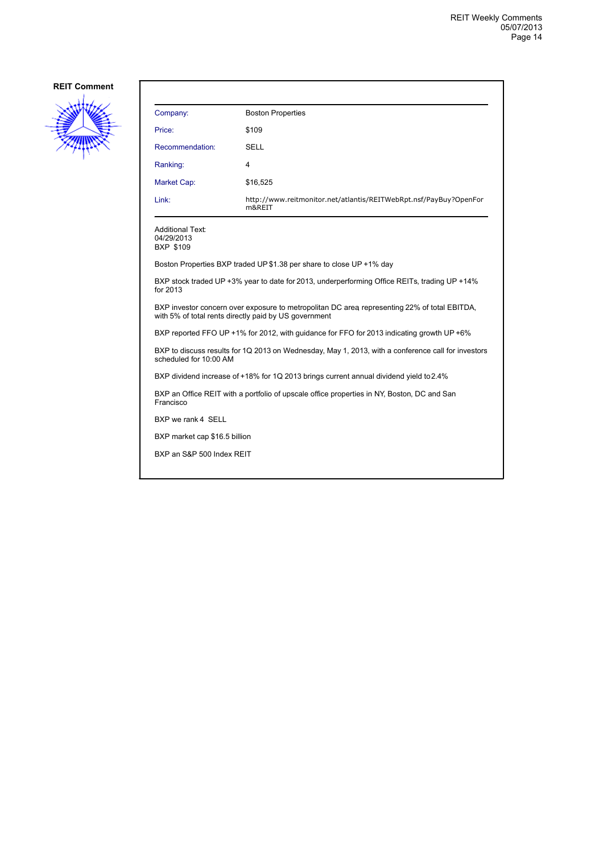

| Company:                                                                                                                                              | <b>Boston Properties</b>                                                    |  |
|-------------------------------------------------------------------------------------------------------------------------------------------------------|-----------------------------------------------------------------------------|--|
| Price:                                                                                                                                                | \$109                                                                       |  |
| Recommendation:                                                                                                                                       | SELL                                                                        |  |
| Ranking:                                                                                                                                              | 4                                                                           |  |
| Market Cap:                                                                                                                                           | \$16,525                                                                    |  |
| Link:                                                                                                                                                 | http://www.reitmonitor.net/atlantis/REITWebRpt.nsf/PayBuy?OpenFor<br>m&REIT |  |
| <b>Additional Text:</b><br>04/29/2013<br><b>BXP \$109</b>                                                                                             |                                                                             |  |
| Boston Properties BXP traded UP \$1.38 per share to close UP +1% day                                                                                  |                                                                             |  |
| BXP stock traded UP +3% year to date for 2013, underperforming Office REITs, trading UP +14%<br>for 2013                                              |                                                                             |  |
| BXP investor concern over exposure to metropolitan DC area representing 22% of total EBITDA,<br>with 5% of total rents directly paid by US government |                                                                             |  |

BXP reported FFO UP +1% for 2012, with guidance for FFO for 2013 indicating growth UP +6%

BXP to discuss results for 1Q 2013 on Wednesday, May 1, 2013, with a conference call for investors scheduled for 10:00 AM

BXP dividend increase of +18% for 1Q 2013 brings current annual dividend yield to 2.4%

BXP an Office REIT with a portfolio of upscale office properties in NY, Boston, DC and San Francisco

BXP we rank 4 SELL

BXP market cap \$16.5 billion

BXP an S&P 500 Index REIT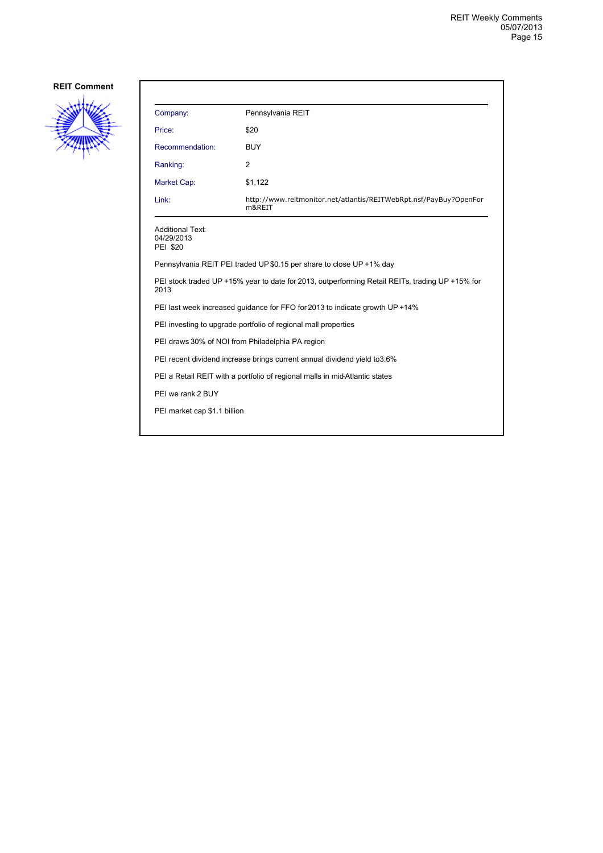

| Company:                                                                                                | Pennsylvania REIT                                                           |  |  |
|---------------------------------------------------------------------------------------------------------|-----------------------------------------------------------------------------|--|--|
| Price:                                                                                                  | \$20                                                                        |  |  |
| Recommendation:                                                                                         | <b>BUY</b>                                                                  |  |  |
| Ranking:                                                                                                | 2                                                                           |  |  |
| Market Cap:                                                                                             | \$1,122                                                                     |  |  |
| Link:                                                                                                   | http://www.reitmonitor.net/atlantis/REITWebRpt.nsf/PayBuy?OpenFor<br>m&REIT |  |  |
| <b>Additional Text:</b><br>04/29/2013<br><b>PEI \$20</b>                                                |                                                                             |  |  |
| Pennsylvania REIT PEI traded UP \$0.15 per share to close UP +1% day                                    |                                                                             |  |  |
| PEI stock traded UP +15% year to date for 2013, outperforming Retail REITs, trading UP +15% for<br>2013 |                                                                             |  |  |
| PEI last week increased guidance for FFO for 2013 to indicate growth UP +14%                            |                                                                             |  |  |
| PEI investing to upgrade portfolio of regional mall properties                                          |                                                                             |  |  |
| PEI draws 30% of NOI from Philadelphia PA region                                                        |                                                                             |  |  |
| PEI recent dividend increase brings current annual dividend yield to 3.6%                               |                                                                             |  |  |
| PEI a Retail REIT with a portfolio of regional malls in mid-Atlantic states                             |                                                                             |  |  |
| PEI we rank 2 BUY                                                                                       |                                                                             |  |  |
| PEI market cap \$1.1 billion                                                                            |                                                                             |  |  |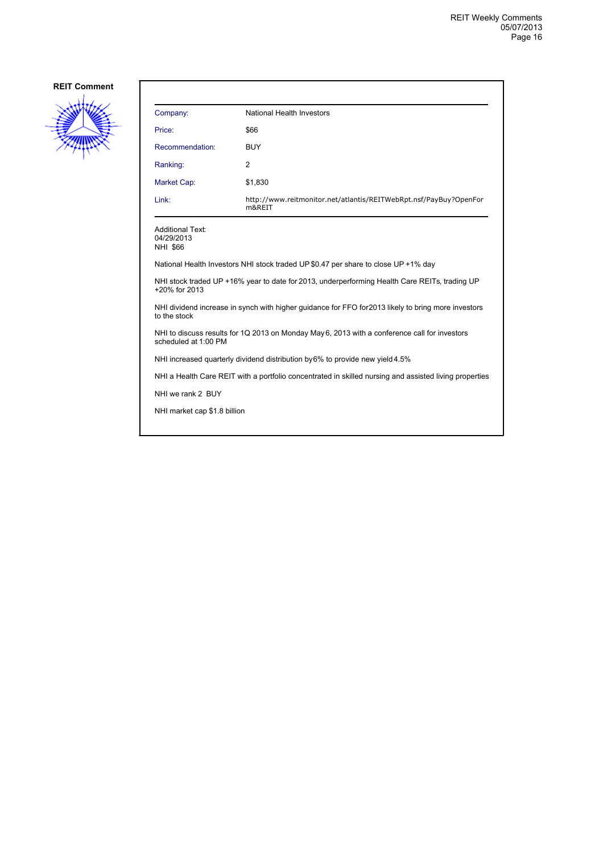

| Company:                                                                                                              | National Health Investors                                                   |  |
|-----------------------------------------------------------------------------------------------------------------------|-----------------------------------------------------------------------------|--|
| Price:                                                                                                                | \$66                                                                        |  |
| Recommendation:                                                                                                       | <b>BUY</b>                                                                  |  |
| Ranking:                                                                                                              | 2                                                                           |  |
| <b>Market Cap:</b>                                                                                                    | \$1,830                                                                     |  |
| Link:                                                                                                                 | http://www.reitmonitor.net/atlantis/REITWebRpt.nsf/PayBuy?OpenFor<br>m&REIT |  |
| <b>Additional Text:</b><br>04/29/2013<br>NHI \$66                                                                     |                                                                             |  |
| National Health Investors NHI stock traded UP \$0.47 per share to close UP +1% day                                    |                                                                             |  |
| NHI stock traded UP +16% year to date for 2013, underperforming Health Care REITs, trading UP<br>+20% for 2013        |                                                                             |  |
| NHI dividend increase in synch with higher quidance for FFO for 2013 likely to bring more investors<br>to the stock   |                                                                             |  |
| NHI to discuss results for 1Q 2013 on Monday May 6, 2013 with a conference call for investors<br>scheduled at 1:00 PM |                                                                             |  |
| NHI increased quarterly dividend distribution by 6% to provide new yield 4.5%                                         |                                                                             |  |
| NHI a Health Care REIT with a portfolio concentrated in skilled nursing and assisted living properties                |                                                                             |  |
| NHI we rank 2 BUY                                                                                                     |                                                                             |  |

NHI market cap \$1.8 billion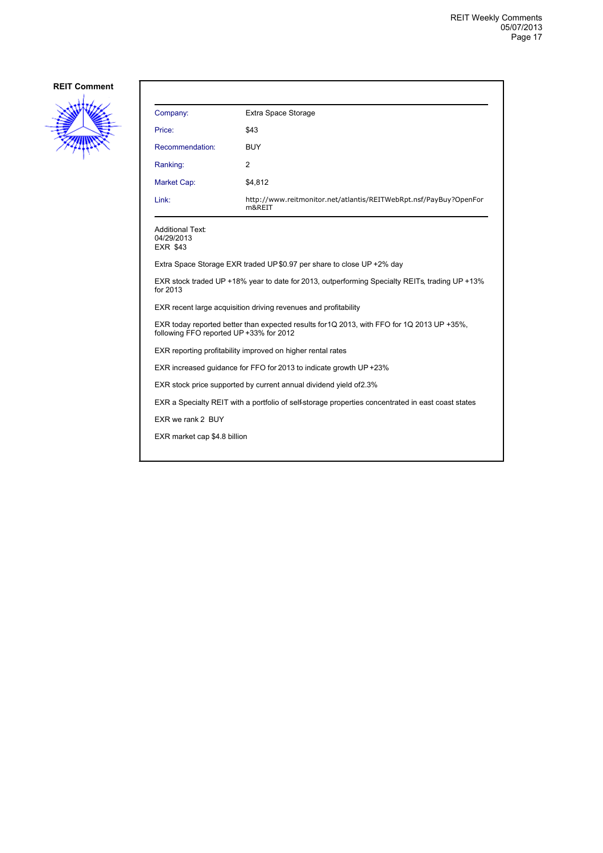

| Company:                                                                                                                              | Extra Space Storage                                                         |  |
|---------------------------------------------------------------------------------------------------------------------------------------|-----------------------------------------------------------------------------|--|
| Price:                                                                                                                                | \$43                                                                        |  |
| Recommendation:                                                                                                                       | <b>BUY</b>                                                                  |  |
| Ranking:                                                                                                                              | 2                                                                           |  |
| Market Cap:                                                                                                                           | \$4,812                                                                     |  |
| Link:                                                                                                                                 | http://www.reitmonitor.net/atlantis/REITWebRpt.nsf/PayBuy?OpenFor<br>m&REIT |  |
| Additional Text:<br>04/29/2013<br><b>EXR \$43</b>                                                                                     |                                                                             |  |
|                                                                                                                                       | Extra Space Storage EXR traded UP \$0.97 per share to close UP +2% day      |  |
| EXR stock traded UP +18% year to date for 2013, outperforming Specialty REITs, trading UP +13%<br>for 2013                            |                                                                             |  |
| EXR recent large acquisition driving revenues and profitability                                                                       |                                                                             |  |
| EXR today reported better than expected results for 1Q 2013, with FFO for 1Q 2013 UP +35%,<br>following FFO reported UP +33% for 2012 |                                                                             |  |
| EXR reporting profitability improved on higher rental rates                                                                           |                                                                             |  |
|                                                                                                                                       | EXR increased guidance for FFO for 2013 to indicate growth UP +23%          |  |
| EXR stock price supported by current annual dividend yield of 2.3%                                                                    |                                                                             |  |
| EXR a Specialty REIT with a portfolio of self-storage properties concentrated in east coast states                                    |                                                                             |  |
| EXR we rank 2 BUY                                                                                                                     |                                                                             |  |
| EXR market cap \$4.8 billion                                                                                                          |                                                                             |  |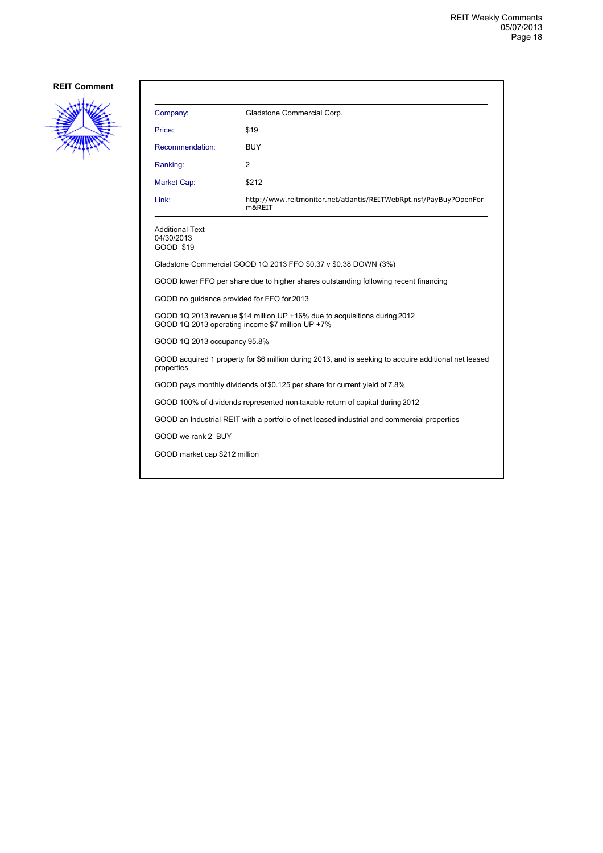

| Company:                                                                                                                      | Gladstone Commercial Corp.                                                                  |  |
|-------------------------------------------------------------------------------------------------------------------------------|---------------------------------------------------------------------------------------------|--|
| Price:                                                                                                                        | \$19                                                                                        |  |
| Recommendation:                                                                                                               | <b>BUY</b>                                                                                  |  |
| Ranking:                                                                                                                      | 2                                                                                           |  |
| Market Cap:                                                                                                                   | \$212                                                                                       |  |
| Link:                                                                                                                         | http://www.reitmonitor.net/atlantis/REITWebRpt.nsf/PayBuy?OpenFor<br>m&REIT                 |  |
| Additional Text:<br>04/30/2013<br>GOOD \$19                                                                                   |                                                                                             |  |
|                                                                                                                               | Gladstone Commercial GOOD 1Q 2013 FFO \$0.37 v \$0.38 DOWN (3%)                             |  |
|                                                                                                                               | GOOD lower FFO per share due to higher shares outstanding following recent financing        |  |
| GOOD no quidance provided for FFO for 2013                                                                                    |                                                                                             |  |
| GOOD 1Q 2013 revenue \$14 million UP +16% due to acquisitions during 2012<br>GOOD 1Q 2013 operating income \$7 million UP +7% |                                                                                             |  |
| GOOD 1Q 2013 occupancy 95.8%                                                                                                  |                                                                                             |  |
| GOOD acquired 1 property for \$6 million during 2013, and is seeking to acquire additional net leased<br>properties           |                                                                                             |  |
|                                                                                                                               | GOOD pays monthly dividends of \$0.125 per share for current yield of 7.8%                  |  |
| GOOD 100% of dividends represented non-taxable return of capital during 2012                                                  |                                                                                             |  |
|                                                                                                                               | GOOD an Industrial REIT with a portfolio of net leased industrial and commercial properties |  |
| GOOD we rank 2 BUY                                                                                                            |                                                                                             |  |
| GOOD market cap \$212 million                                                                                                 |                                                                                             |  |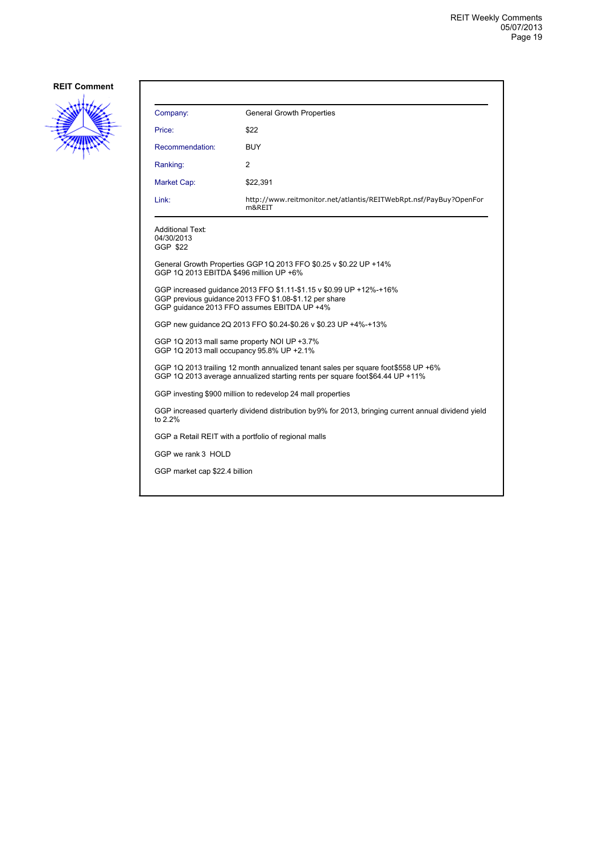

| Company:                                                                                                                                                                     | <b>General Growth Properties</b>                                            |  |
|------------------------------------------------------------------------------------------------------------------------------------------------------------------------------|-----------------------------------------------------------------------------|--|
| Price:                                                                                                                                                                       | \$22                                                                        |  |
| Recommendation:                                                                                                                                                              | <b>BUY</b>                                                                  |  |
| Ranking:                                                                                                                                                                     | 2                                                                           |  |
| Market Cap:                                                                                                                                                                  | \$22,391                                                                    |  |
| Link:                                                                                                                                                                        | http://www.reitmonitor.net/atlantis/REITWebRpt.nsf/PayBuy?OpenFor<br>m&REIT |  |
| <b>Additional Text:</b><br>04/30/2013<br>GGP \$22                                                                                                                            |                                                                             |  |
| GGP 1Q 2013 EBITDA \$496 million UP +6%                                                                                                                                      | General Growth Properties GGP 1Q 2013 FFO \$0.25 v \$0.22 UP +14%           |  |
| GGP increased guidance 2013 FFO \$1.11-\$1.15 v \$0.99 UP +12%-+16%<br>GGP previous quidance 2013 FFO \$1.08-\$1.12 per share<br>GGP quidance 2013 FFO assumes EBITDA UP +4% |                                                                             |  |
| GGP new quidance 2Q 2013 FFO \$0.24-\$0.26 v \$0.23 UP +4%-+13%                                                                                                              |                                                                             |  |
| GGP 1Q 2013 mall same property NOI UP +3.7%<br>GGP 1Q 2013 mall occupancy 95.8% UP +2.1%                                                                                     |                                                                             |  |
| GGP 1Q 2013 trailing 12 month annualized tenant sales per square foot \$558 UP +6%<br>GGP 1Q 2013 average annualized starting rents per square foot \$64.44 UP +11%          |                                                                             |  |
| GGP investing \$900 million to redevelop 24 mall properties                                                                                                                  |                                                                             |  |
| GGP increased quarterly dividend distribution by 9% for 2013, bringing current annual dividend yield<br>to 2.2%                                                              |                                                                             |  |
| GGP a Retail REIT with a portfolio of regional malls                                                                                                                         |                                                                             |  |
| GGP we rank 3 HOLD                                                                                                                                                           |                                                                             |  |
| GGP market cap \$22.4 billion                                                                                                                                                |                                                                             |  |
|                                                                                                                                                                              |                                                                             |  |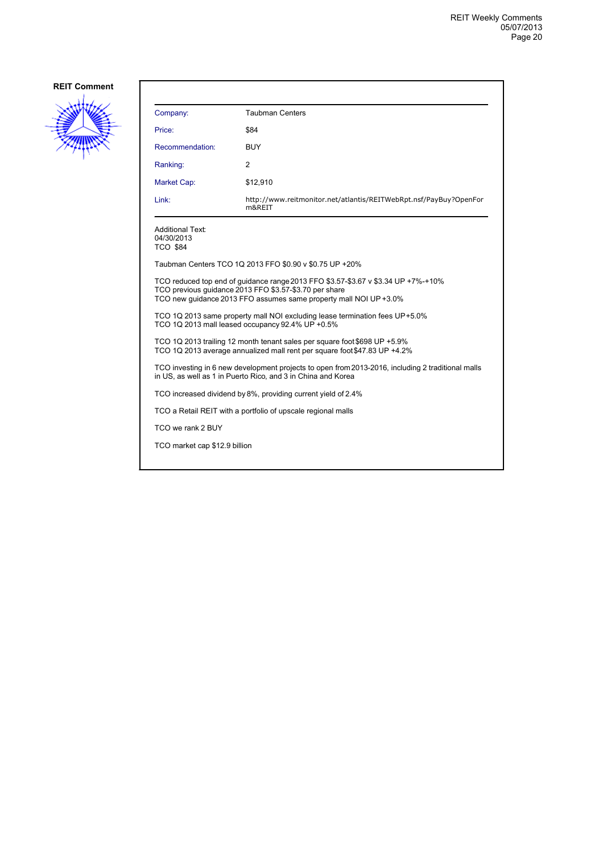

| Company:                                                                                                                                                                                                         | <b>Taubman Centers</b>                                                      |  |
|------------------------------------------------------------------------------------------------------------------------------------------------------------------------------------------------------------------|-----------------------------------------------------------------------------|--|
| Price:                                                                                                                                                                                                           | \$84                                                                        |  |
| Recommendation:                                                                                                                                                                                                  | <b>BUY</b>                                                                  |  |
| Ranking:                                                                                                                                                                                                         | 2                                                                           |  |
| Market Cap:                                                                                                                                                                                                      | \$12,910                                                                    |  |
| Link:                                                                                                                                                                                                            | http://www.reitmonitor.net/atlantis/REITWebRpt.nsf/PayBuy?OpenFor<br>m&REIT |  |
| <b>Additional Text:</b><br>04/30/2013<br><b>TCO \$84</b>                                                                                                                                                         |                                                                             |  |
|                                                                                                                                                                                                                  | Taubman Centers TCO 1Q 2013 FFO \$0.90 v \$0.75 UP +20%                     |  |
| TCO reduced top end of guidance range 2013 FFO \$3.57-\$3.67 v \$3.34 UP +7%-+10%<br>TCO previous quidance 2013 FFO \$3.57-\$3.70 per share<br>TCO new guidance 2013 FFO assumes same property mall NOI UP +3.0% |                                                                             |  |
| TCO 1Q 2013 same property mall NOI excluding lease termination fees UP+5.0%<br>TCO 1Q 2013 mall leased occupancy 92.4% UP +0.5%                                                                                  |                                                                             |  |
| TCO 1Q 2013 trailing 12 month tenant sales per square foot \$698 UP +5.9%<br>TCO 1Q 2013 average annualized mall rent per square foot \$47.83 UP +4.2%                                                           |                                                                             |  |
| TCO investing in 6 new development projects to open from 2013-2016, including 2 traditional malls<br>in US, as well as 1 in Puerto Rico, and 3 in China and Korea                                                |                                                                             |  |
| TCO increased dividend by 8%, providing current yield of 2.4%                                                                                                                                                    |                                                                             |  |
|                                                                                                                                                                                                                  | TCO a Retail REIT with a portfolio of upscale regional malls                |  |
| TCO we rank 2 BUY                                                                                                                                                                                                |                                                                             |  |
| TCO market cap \$12.9 billion                                                                                                                                                                                    |                                                                             |  |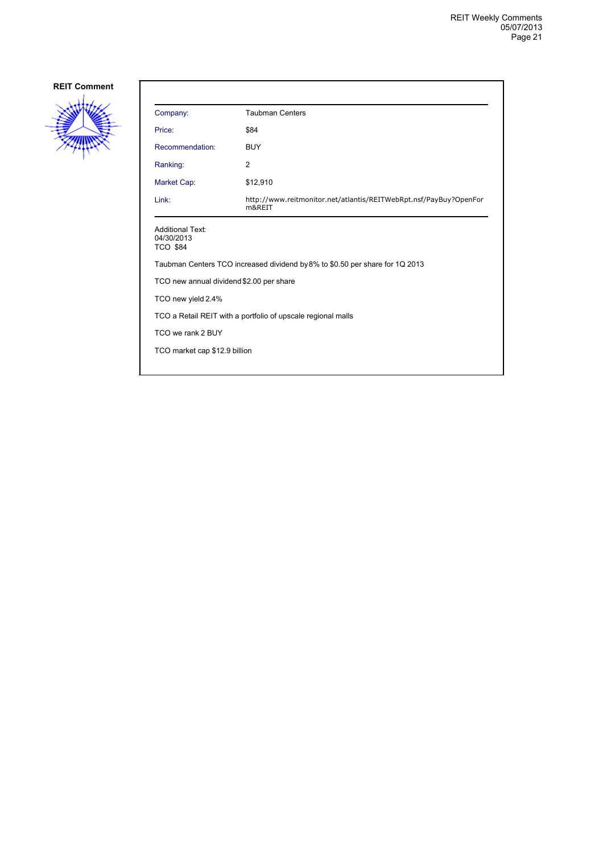

| Company:                                                                     | <b>Taubman Centers</b>                                                      |  |
|------------------------------------------------------------------------------|-----------------------------------------------------------------------------|--|
| Price:                                                                       | \$84                                                                        |  |
| Recommendation:                                                              | <b>BUY</b>                                                                  |  |
| Ranking:                                                                     | 2                                                                           |  |
| Market Cap:                                                                  | \$12,910                                                                    |  |
| Link:                                                                        | http://www.reitmonitor.net/atlantis/REITWebRpt.nsf/PayBuy?OpenFor<br>m&REIT |  |
| <b>Additional Text:</b><br>04/30/2013<br><b>TCO \$84</b>                     |                                                                             |  |
| Taubman Centers TCO increased dividend by 8% to \$0.50 per share for 1Q 2013 |                                                                             |  |
| TCO new annual dividend \$2.00 per share                                     |                                                                             |  |
| TCO new yield 2.4%                                                           |                                                                             |  |
| TCO a Retail REIT with a portfolio of upscale regional malls                 |                                                                             |  |
| TCO we rank 2 BUY                                                            |                                                                             |  |
| TCO market cap \$12.9 billion                                                |                                                                             |  |
|                                                                              |                                                                             |  |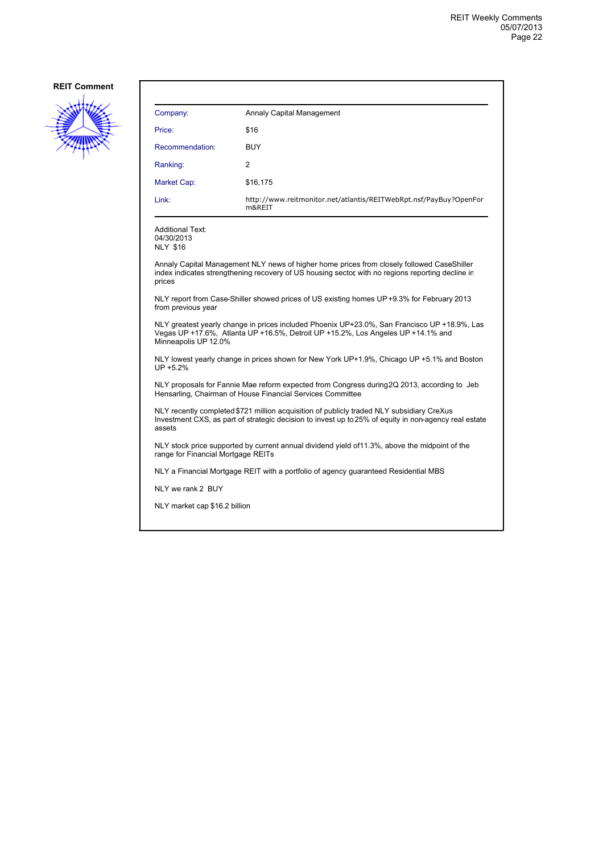

| Company:        | Annaly Capital Management                                                   |
|-----------------|-----------------------------------------------------------------------------|
| Price:          | \$16                                                                        |
| Recommendation: | <b>BUY</b>                                                                  |
| Ranking:        | 2                                                                           |
| Market Cap:     | \$16,175                                                                    |
| Link:           | http://www.reitmonitor.net/atlantis/REITWebRpt.nsf/PayBuy?OpenFor<br>m&REIT |

Additional Text: 04/30/2013 NLY \$16

Annaly Capital Management NLY news of higher home prices from closely followed CaseShiller index indicates strengthening recovery of US housing sector, with no regions reporting decline in prices

NLY report from Case-Shiller showed prices of US existing homes UP +9.3% for February 2013 from previous year

NLY greatest yearly change in prices included Phoenix UP+23.0%, San Francisco UP +18.9%, Las Vegas UP +17.6%, Atlanta UP +16.5%, Detroit UP +15.2%, Los Angeles UP +14.1% and Minneapolis UP 12.0%

NLY lowest yearly change in prices shown for New York UP+1.9%, Chicago UP +5.1% and Boston UP +5.2%

NLY proposals for Fannie Mae reform expected from Congress during 2Q 2013, according to Jeb Hensarling, Chairman of House Financial Services Committee

NLY recently completed \$721 million acquisition of publicly traded NLY subsidiary CreXus Investment CXS, as part of strategic decision to invest up to 25% of equity in non-agency real estate assets

NLY stock price supported by current annual dividend yield of 11.3%, above the midpoint of the range for Financial Mortgage REITs

NLY a Financial Mortgage REIT with a portfolio of agency guaranteed Residential MBS

NLY we rank 2 BUY

NLY market cap \$16.2 billion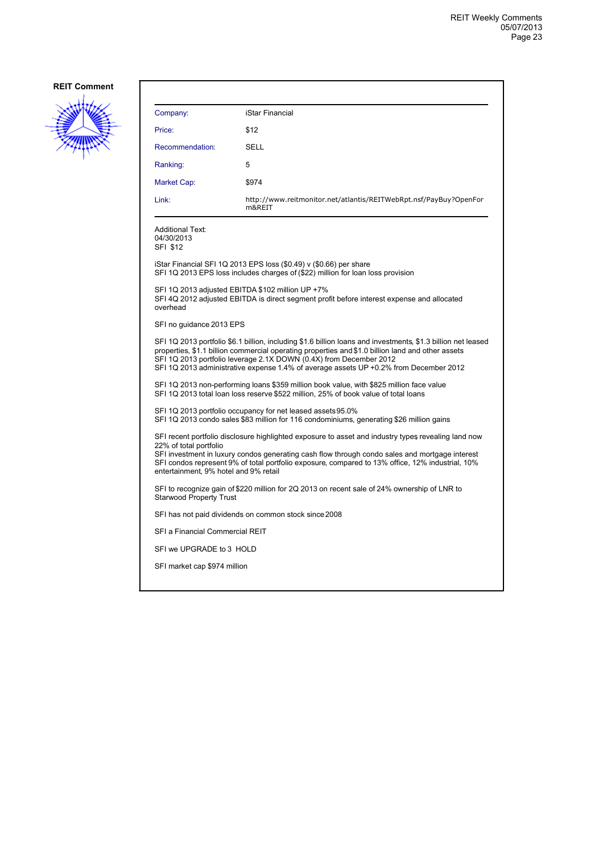

| Company:                                                                                                                                                                                                                                                                                                                                                                         | iStar Financial                                                                                                                                       |  |
|----------------------------------------------------------------------------------------------------------------------------------------------------------------------------------------------------------------------------------------------------------------------------------------------------------------------------------------------------------------------------------|-------------------------------------------------------------------------------------------------------------------------------------------------------|--|
| Price:                                                                                                                                                                                                                                                                                                                                                                           | \$12                                                                                                                                                  |  |
| Recommendation:                                                                                                                                                                                                                                                                                                                                                                  | SELL                                                                                                                                                  |  |
| Ranking:                                                                                                                                                                                                                                                                                                                                                                         | 5                                                                                                                                                     |  |
| Market Cap:                                                                                                                                                                                                                                                                                                                                                                      | \$974                                                                                                                                                 |  |
| Link:                                                                                                                                                                                                                                                                                                                                                                            | http://www.reitmonitor.net/atlantis/REITWebRpt.nsf/PayBuy?OpenFor<br>m&REIT                                                                           |  |
| <b>Additional Text:</b><br>04/30/2013<br>SFI \$12                                                                                                                                                                                                                                                                                                                                |                                                                                                                                                       |  |
|                                                                                                                                                                                                                                                                                                                                                                                  | iStar Financial SFI 1Q 2013 EPS loss (\$0.49) v (\$0.66) per share<br>SFI 1Q 2013 EPS loss includes charges of (\$22) million for loan loss provision |  |
| SFI 1Q 2013 adjusted EBITDA \$102 million UP +7%<br>SFI 4Q 2012 adjusted EBITDA is direct segment profit before interest expense and allocated<br>overhead                                                                                                                                                                                                                       |                                                                                                                                                       |  |
| SFI no guidance 2013 EPS                                                                                                                                                                                                                                                                                                                                                         |                                                                                                                                                       |  |
| SFI 1Q 2013 portfolio \$6.1 billion, including \$1.6 billion loans and investments, \$1.3 billion net leased<br>properties, \$1.1 billion commercial operating properties and \$1.0 billion land and other assets<br>SFI 1Q 2013 portfolio leverage 2.1X DOWN (0.4X) from December 2012<br>SFI 1Q 2013 administrative expense 1.4% of average assets UP +0.2% from December 2012 |                                                                                                                                                       |  |
| SFI 1Q 2013 non-performing loans \$359 million book value, with \$825 million face value<br>SFI 1Q 2013 total loan loss reserve \$522 million, 25% of book value of total loans                                                                                                                                                                                                  |                                                                                                                                                       |  |
| SFI 1Q 2013 portfolio occupancy for net leased assets 95.0%<br>SFI 1Q 2013 condo sales \$83 million for 116 condominiums, generating \$26 million gains                                                                                                                                                                                                                          |                                                                                                                                                       |  |
| SFI recent portfolio disclosure highlighted exposure to asset and industry types revealing land now<br>22% of total portfolio<br>SFI investment in luxury condos generating cash flow through condo sales and mortgage interest<br>SFI condos represent 9% of total portfolio exposure, compared to 13% office, 12% industrial, 10%<br>entertainment, 9% hotel and 9% retail     |                                                                                                                                                       |  |
| SFI to recognize gain of \$220 million for 2Q 2013 on recent sale of 24% ownership of LNR to<br><b>Starwood Property Trust</b>                                                                                                                                                                                                                                                   |                                                                                                                                                       |  |
|                                                                                                                                                                                                                                                                                                                                                                                  | SFI has not paid dividends on common stock since 2008                                                                                                 |  |
| SFI a Financial Commercial REIT                                                                                                                                                                                                                                                                                                                                                  |                                                                                                                                                       |  |
| SFI we UPGRADE to 3 HOLD                                                                                                                                                                                                                                                                                                                                                         |                                                                                                                                                       |  |
| SFI market cap \$974 million                                                                                                                                                                                                                                                                                                                                                     |                                                                                                                                                       |  |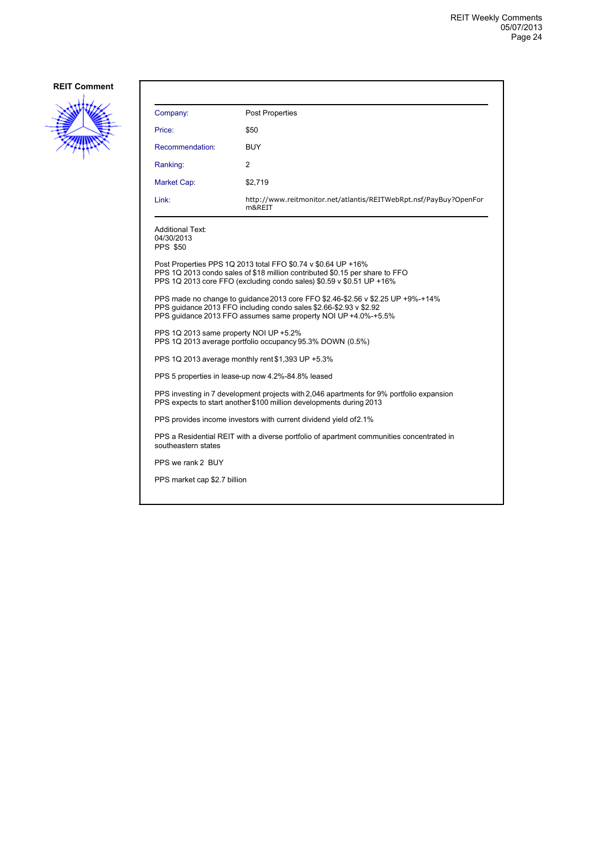

| <b>Post Properties</b>                                                                                                                                                                                                  |  |  |
|-------------------------------------------------------------------------------------------------------------------------------------------------------------------------------------------------------------------------|--|--|
| \$50                                                                                                                                                                                                                    |  |  |
| <b>BUY</b>                                                                                                                                                                                                              |  |  |
| 2                                                                                                                                                                                                                       |  |  |
| \$2,719                                                                                                                                                                                                                 |  |  |
| http://www.reitmonitor.net/atlantis/REITWebRpt.nsf/PayBuy?OpenFor<br>m&REIT                                                                                                                                             |  |  |
|                                                                                                                                                                                                                         |  |  |
| Post Properties PPS 1Q 2013 total FFO \$0.74 v \$0.64 UP +16%<br>PPS 1Q 2013 condo sales of \$18 million contributed \$0.15 per share to FFO<br>PPS 1Q 2013 core FFO (excluding condo sales) \$0.59 v \$0.51 UP +16%    |  |  |
| PPS made no change to quidance 2013 core FFO \$2.46-\$2.56 v \$2.25 UP +9%-+14%<br>PPS quidance 2013 FFO including condo sales \$2.66-\$2.93 v \$2.92<br>PPS quidance 2013 FFO assumes same property NOI UP +4.0%-+5.5% |  |  |
| PPS 1Q 2013 same property NOI UP +5.2%<br>PPS 1Q 2013 average portfolio occupancy 95.3% DOWN (0.5%)                                                                                                                     |  |  |
| PPS 1Q 2013 average monthly rent \$1,393 UP +5.3%                                                                                                                                                                       |  |  |
| PPS 5 properties in lease-up now 4.2%-84.8% leased                                                                                                                                                                      |  |  |
| PPS investing in 7 development projects with 2,046 apartments for 9% portfolio expansion<br>PPS expects to start another \$100 million developments during 2013                                                         |  |  |
| PPS provides income investors with current dividend yield of 2.1%                                                                                                                                                       |  |  |
| PPS a Residential REIT with a diverse portfolio of apartment communities concentrated in<br>southeastern states                                                                                                         |  |  |
| PPS we rank 2 BUY                                                                                                                                                                                                       |  |  |
| PPS market cap \$2.7 billion                                                                                                                                                                                            |  |  |
|                                                                                                                                                                                                                         |  |  |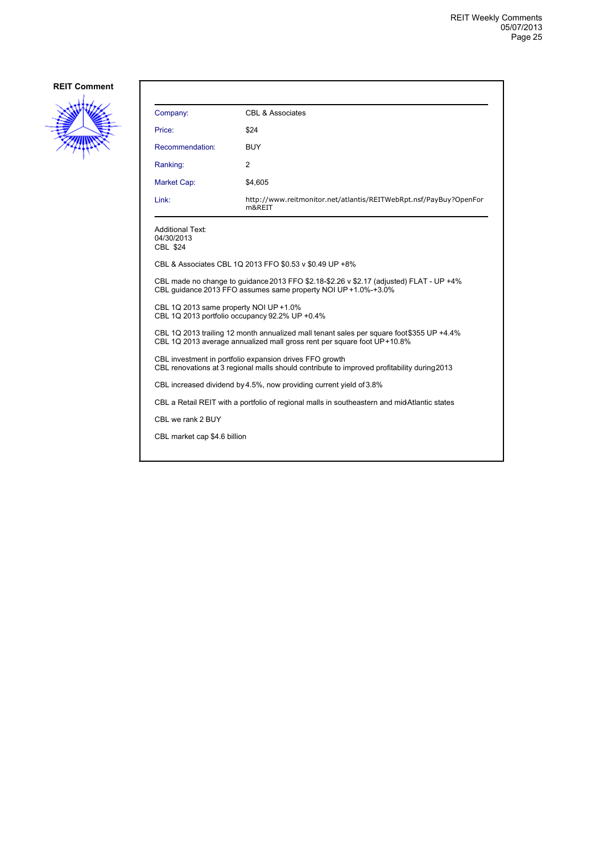

| Company:                                                                                                                                                             | CBL & Associates                                                            |  |
|----------------------------------------------------------------------------------------------------------------------------------------------------------------------|-----------------------------------------------------------------------------|--|
| Price:                                                                                                                                                               | \$24                                                                        |  |
| Recommendation:                                                                                                                                                      | <b>BUY</b>                                                                  |  |
| Ranking:                                                                                                                                                             | $\overline{2}$                                                              |  |
| Market Cap:                                                                                                                                                          | \$4,605                                                                     |  |
| Link:                                                                                                                                                                | http://www.reitmonitor.net/atlantis/REITWebRpt.nsf/PayBuy?OpenFor<br>m&REIT |  |
| <b>Additional Text:</b><br>04/30/2013<br>CBL \$24                                                                                                                    |                                                                             |  |
|                                                                                                                                                                      | CBL & Associates CBL 1Q 2013 FFO \$0.53 v \$0.49 UP +8%                     |  |
| CBL made no change to guidance 2013 FFO \$2.18-\$2.26 v \$2.17 (adjusted) FLAT - UP +4%<br>CBL quidance 2013 FFO assumes same property NOI UP +1.0%-+3.0%            |                                                                             |  |
| CBL 1Q 2013 same property NOI UP +1.0%<br>CBL 1Q 2013 portfolio occupancy 92.2% UP +0.4%                                                                             |                                                                             |  |
| CBL 1Q 2013 trailing 12 month annualized mall tenant sales per square foot \$355 UP +4.4%<br>CBL 1Q 2013 average annualized mall gross rent per square foot UP+10.8% |                                                                             |  |
| CBL investment in portfolio expansion drives FFO growth<br>CBL renovations at 3 regional malls should contribute to improved profitability during 2013               |                                                                             |  |
| CBL increased dividend by 4.5%, now providing current yield of 3.8%                                                                                                  |                                                                             |  |
| CBL a Retail REIT with a portfolio of regional malls in southeastern and midAtlantic states                                                                          |                                                                             |  |
| CBL we rank 2 BUY                                                                                                                                                    |                                                                             |  |
| CBL market cap \$4.6 billion                                                                                                                                         |                                                                             |  |
|                                                                                                                                                                      |                                                                             |  |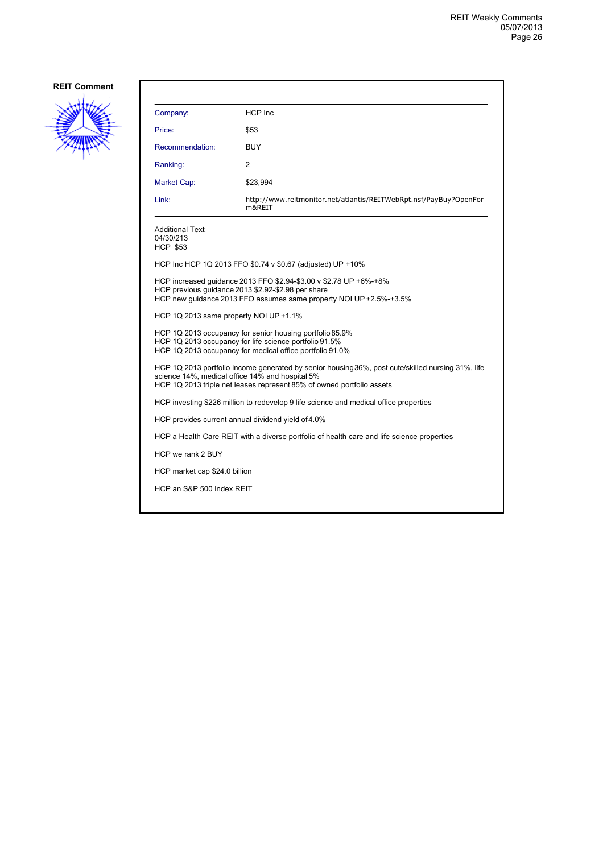

| Company:                                                                              | <b>HCP</b> Inc                                                                                                                                                                                                                |  |
|---------------------------------------------------------------------------------------|-------------------------------------------------------------------------------------------------------------------------------------------------------------------------------------------------------------------------------|--|
| Price:                                                                                | \$53                                                                                                                                                                                                                          |  |
| Recommendation:                                                                       | BUY                                                                                                                                                                                                                           |  |
| Ranking:                                                                              | 2                                                                                                                                                                                                                             |  |
| Market Cap:                                                                           | \$23,994                                                                                                                                                                                                                      |  |
| Link:                                                                                 | http://www.reitmonitor.net/atlantis/REITWebRpt.nsf/PayBuy?OpenFor<br>m&REIT                                                                                                                                                   |  |
| Additional Text:<br>04/30/213<br><b>HCP \$53</b>                                      |                                                                                                                                                                                                                               |  |
|                                                                                       | HCP Inc HCP 1Q 2013 FFO \$0.74 v \$0.67 (adjusted) UP +10%                                                                                                                                                                    |  |
|                                                                                       | HCP increased guidance 2013 FFO \$2.94-\$3.00 v \$2.78 UP +6%-+8%<br>HCP previous quidance 2013 \$2.92-\$2.98 per share<br>HCP new guidance 2013 FFO assumes same property NOI UP +2.5%-+3.5%                                 |  |
| HCP 1Q 2013 same property NOI UP +1.1%                                                |                                                                                                                                                                                                                               |  |
|                                                                                       | HCP 1Q 2013 occupancy for senior housing portfolio 85.9%<br>HCP 1Q 2013 occupancy for life science portfolio 91.5%<br>HCP 1Q 2013 occupancy for medical office portfolio 91.0%                                                |  |
|                                                                                       | HCP 1Q 2013 portfolio income generated by senior housing 36%, post cute/skilled nursing 31%, life<br>science 14%, medical office 14% and hospital 5%<br>HCP 1Q 2013 triple net leases represent 85% of owned portfolio assets |  |
| HCP investing \$226 million to redevelop 9 life science and medical office properties |                                                                                                                                                                                                                               |  |
|                                                                                       | HCP provides current annual dividend yield of 4.0%                                                                                                                                                                            |  |
|                                                                                       | HCP a Health Care REIT with a diverse portfolio of health care and life science properties                                                                                                                                    |  |
| HCP we rank 2 BUY                                                                     |                                                                                                                                                                                                                               |  |
| HCP market cap \$24.0 billion                                                         |                                                                                                                                                                                                                               |  |
| HCP an S&P 500 Index REIT                                                             |                                                                                                                                                                                                                               |  |
|                                                                                       |                                                                                                                                                                                                                               |  |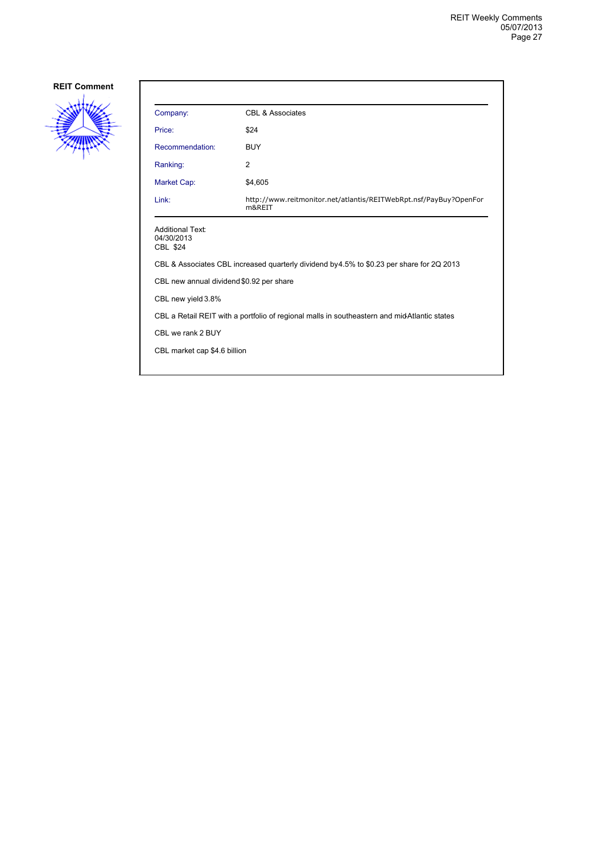

| Company:                                                                                    | CBL & Associates                                                            |  |
|---------------------------------------------------------------------------------------------|-----------------------------------------------------------------------------|--|
| Price:                                                                                      | \$24                                                                        |  |
| Recommendation:                                                                             | <b>BUY</b>                                                                  |  |
| Ranking:                                                                                    | 2                                                                           |  |
| Market Cap:                                                                                 | \$4,605                                                                     |  |
| Link:                                                                                       | http://www.reitmonitor.net/atlantis/REITWebRpt.nsf/PayBuy?OpenFor<br>m&REIT |  |
| <b>Additional Text:</b><br>04/30/2013<br>CBL \$24                                           |                                                                             |  |
| CBL & Associates CBL increased quarterly dividend by 4.5% to \$0.23 per share for 2Q 2013   |                                                                             |  |
| CBL new annual dividend \$0.92 per share                                                    |                                                                             |  |
| CBL new yield 3.8%                                                                          |                                                                             |  |
| CBL a Retail REIT with a portfolio of regional malls in southeastern and midAtlantic states |                                                                             |  |
| CBL we rank 2 BUY                                                                           |                                                                             |  |
| CBL market cap \$4.6 billion                                                                |                                                                             |  |
|                                                                                             |                                                                             |  |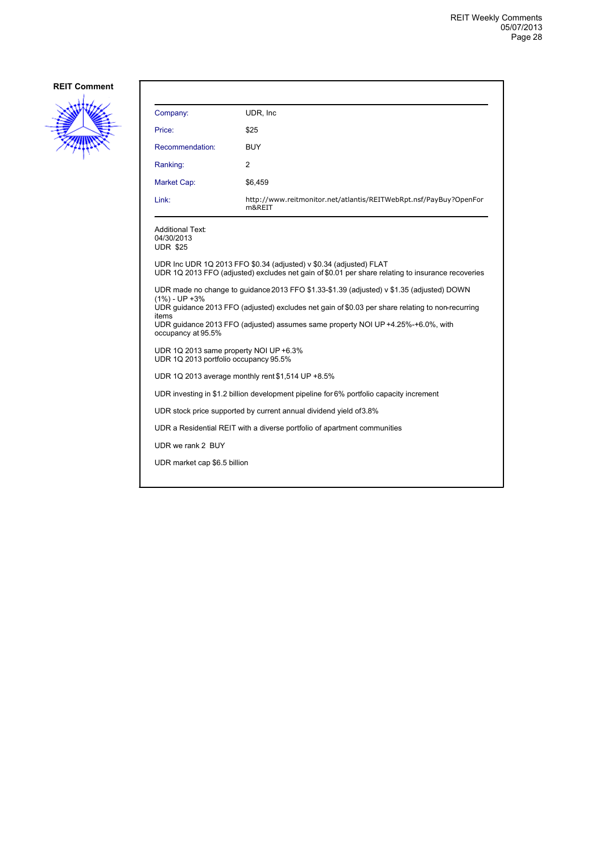

| Company:                                                                        | UDR, Inc.                                                                                                                                                                                                                                                                         |
|---------------------------------------------------------------------------------|-----------------------------------------------------------------------------------------------------------------------------------------------------------------------------------------------------------------------------------------------------------------------------------|
| Price:                                                                          | \$25                                                                                                                                                                                                                                                                              |
| Recommendation:                                                                 | <b>BUY</b>                                                                                                                                                                                                                                                                        |
| Ranking:                                                                        | 2                                                                                                                                                                                                                                                                                 |
| Market Cap:                                                                     | \$6.459                                                                                                                                                                                                                                                                           |
| Link:                                                                           | http://www.reitmonitor.net/atlantis/REITWebRpt.nsf/PayBuy?OpenFor<br>m&REIT                                                                                                                                                                                                       |
| <b>Additional Text:</b><br>04/30/2013<br><b>UDR \$25</b>                        |                                                                                                                                                                                                                                                                                   |
|                                                                                 | UDR Inc UDR 1Q 2013 FFO \$0.34 (adjusted) v \$0.34 (adjusted) FLAT<br>UDR 1Q 2013 FFO (adjusted) excludes net gain of \$0.01 per share relating to insurance recoveries                                                                                                           |
| $(1\%) - UP + 3\%$<br>items<br>occupancy at 95.5%                               | UDR made no change to quidance 2013 FFO \$1.33-\$1.39 (adjusted) v \$1.35 (adjusted) DOWN<br>UDR guidance 2013 FFO (adjusted) excludes net gain of \$0.03 per share relating to non-recurring<br>UDR guidance 2013 FFO (adjusted) assumes same property NOI UP +4.25%-+6.0%, with |
| UDR 1Q 2013 same property NOI UP +6.3%<br>UDR 1Q 2013 portfolio occupancy 95.5% |                                                                                                                                                                                                                                                                                   |
|                                                                                 | UDR 1Q 2013 average monthly rent \$1,514 UP +8.5%                                                                                                                                                                                                                                 |
|                                                                                 | UDR investing in \$1.2 billion development pipeline for 6% portfolio capacity increment                                                                                                                                                                                           |
|                                                                                 | UDR stock price supported by current annual dividend yield of 3.8%                                                                                                                                                                                                                |
|                                                                                 | UDR a Residential REIT with a diverse portfolio of apartment communities                                                                                                                                                                                                          |
| UDR we rank 2 BUY                                                               |                                                                                                                                                                                                                                                                                   |
| UDR market cap \$6.5 billion                                                    |                                                                                                                                                                                                                                                                                   |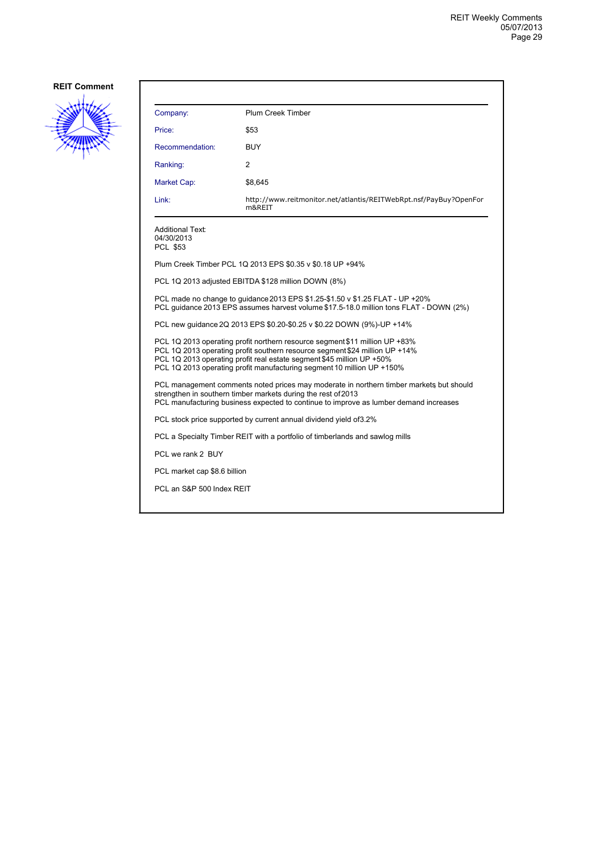

| Company:                                                 | Plum Creek Timber                                                                                                                                                                                                                                                                                             |
|----------------------------------------------------------|---------------------------------------------------------------------------------------------------------------------------------------------------------------------------------------------------------------------------------------------------------------------------------------------------------------|
| Price:                                                   | \$53                                                                                                                                                                                                                                                                                                          |
| Recommendation:                                          | <b>BUY</b>                                                                                                                                                                                                                                                                                                    |
| Ranking:                                                 | 2                                                                                                                                                                                                                                                                                                             |
| Market Cap:                                              | \$8,645                                                                                                                                                                                                                                                                                                       |
| Link:                                                    | http://www.reitmonitor.net/atlantis/REITWebRpt.nsf/PayBuy?OpenFor<br>m&REIT                                                                                                                                                                                                                                   |
| <b>Additional Text:</b><br>04/30/2013<br><b>PCL \$53</b> |                                                                                                                                                                                                                                                                                                               |
|                                                          | Plum Creek Timber PCL 1Q 2013 EPS \$0.35 v \$0.18 UP +94%                                                                                                                                                                                                                                                     |
|                                                          | PCL 1Q 2013 adjusted EBITDA \$128 million DOWN (8%)                                                                                                                                                                                                                                                           |
|                                                          | PCL made no change to guidance 2013 EPS \$1.25-\$1.50 v \$1.25 FLAT - UP +20%<br>PCL guidance 2013 EPS assumes harvest volume \$17.5-18.0 million tons FLAT - DOWN (2%)                                                                                                                                       |
|                                                          | PCL new guidance 2Q 2013 EPS \$0.20-\$0.25 v \$0.22 DOWN (9%)-UP +14%                                                                                                                                                                                                                                         |
|                                                          | PCL 1Q 2013 operating profit northern resource segment \$11 million UP +83%<br>PCL 1Q 2013 operating profit southern resource segment \$24 million UP +14%<br>PCL 1Q 2013 operating profit real estate segment \$45 million UP +50%<br>PCL 1Q 2013 operating profit manufacturing segment 10 million UP +150% |
|                                                          | PCL management comments noted prices may moderate in northern timber markets but should<br>strengthen in southern timber markets during the rest of 2013<br>PCL manufacturing business expected to continue to improve as lumber demand increases                                                             |
|                                                          | PCL stock price supported by current annual dividend yield of 3.2%                                                                                                                                                                                                                                            |
|                                                          | PCL a Specialty Timber REIT with a portfolio of timberlands and sawlog mills                                                                                                                                                                                                                                  |
| PCL we rank 2 BUY                                        |                                                                                                                                                                                                                                                                                                               |
| PCL market cap \$8.6 billion                             |                                                                                                                                                                                                                                                                                                               |
| PCL an S&P 500 Index REIT                                |                                                                                                                                                                                                                                                                                                               |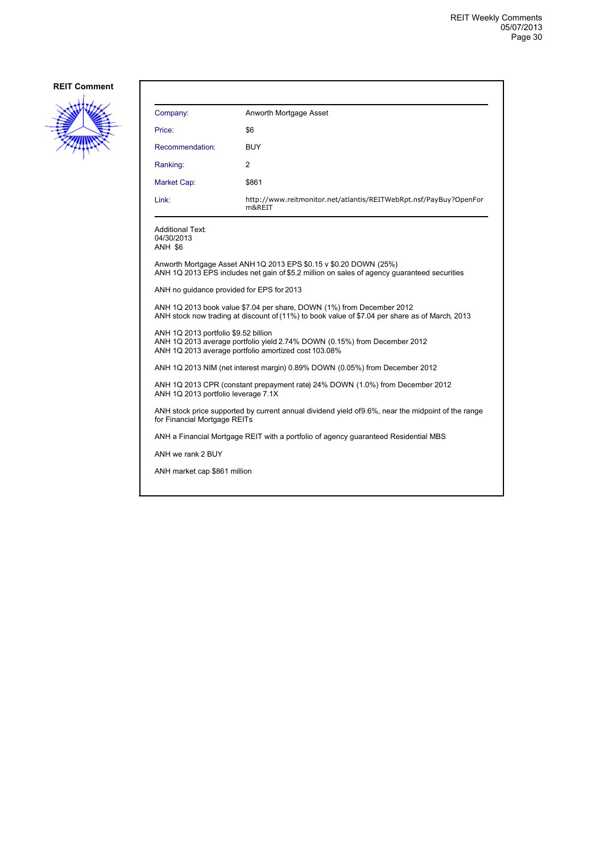

| Company:                                                | Anworth Mortgage Asset                                                                                                                                                  |
|---------------------------------------------------------|-------------------------------------------------------------------------------------------------------------------------------------------------------------------------|
| Price:                                                  | \$6                                                                                                                                                                     |
| Recommendation:                                         | <b>BUY</b>                                                                                                                                                              |
| Ranking:                                                | 2                                                                                                                                                                       |
| Market Cap:                                             | \$861                                                                                                                                                                   |
| Link:                                                   | http://www.reitmonitor.net/atlantis/REITWebRpt.nsf/PayBuy?OpenFor<br>m&REIT                                                                                             |
| <b>Additional Text:</b><br>04/30/2013<br><b>ANH \$6</b> |                                                                                                                                                                         |
|                                                         | Anworth Mortgage Asset ANH 1Q 2013 EPS \$0.15 v \$0.20 DOWN (25%)<br>ANH 1Q 2013 EPS includes net gain of \$5.2 million on sales of agency quaranteed securities        |
| ANH no guidance provided for EPS for 2013               |                                                                                                                                                                         |
|                                                         | ANH 1Q 2013 book value \$7.04 per share, DOWN (1%) from December 2012<br>ANH stock now trading at discount of (11%) to book value of \$7.04 per share as of March, 2013 |
| ANH 1Q 2013 portfolio \$9.52 billion                    | ANH 1Q 2013 average portfolio yield 2.74% DOWN (0.15%) from December 2012<br>ANH 1Q 2013 average portfolio amortized cost 103.08%                                       |
|                                                         | ANH 1Q 2013 NIM (net interest margin) 0.89% DOWN (0.05%) from December 2012                                                                                             |
| ANH 1Q 2013 portfolio leverage 7.1X                     | ANH 1Q 2013 CPR (constant prepayment rate) 24% DOWN (1.0%) from December 2012                                                                                           |
| for Financial Mortgage REITs                            | ANH stock price supported by current annual dividend yield of 9.6%, near the midpoint of the range                                                                      |
|                                                         | ANH a Financial Mortgage REIT with a portfolio of agency guaranteed Residential MBS                                                                                     |
| ANH we rank 2 BUY                                       |                                                                                                                                                                         |
| ANH market cap \$861 million                            |                                                                                                                                                                         |
|                                                         |                                                                                                                                                                         |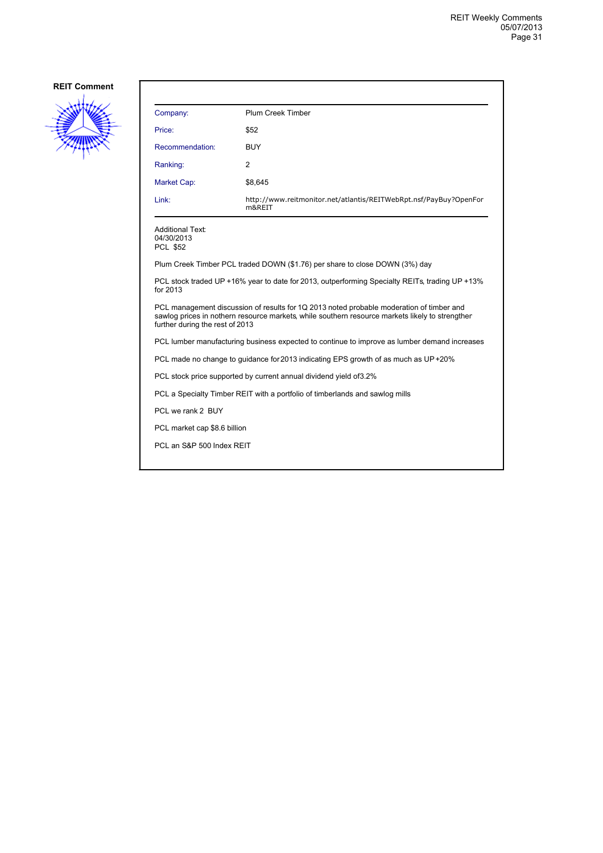

| Company:                                                 | <b>Plum Creek Timber</b>                                                                                                                                                                    |
|----------------------------------------------------------|---------------------------------------------------------------------------------------------------------------------------------------------------------------------------------------------|
| Price:                                                   | \$52                                                                                                                                                                                        |
| Recommendation:                                          | <b>BUY</b>                                                                                                                                                                                  |
| Ranking:                                                 | $\overline{2}$                                                                                                                                                                              |
| Market Cap:                                              | \$8,645                                                                                                                                                                                     |
| Link:                                                    | http://www.reitmonitor.net/atlantis/REITWebRpt.nsf/PayBuy?OpenFor<br>m&REIT                                                                                                                 |
| <b>Additional Text:</b><br>04/30/2013<br><b>PCL \$52</b> |                                                                                                                                                                                             |
|                                                          | Plum Creek Timber PCL traded DOWN (\$1.76) per share to close DOWN (3%) day                                                                                                                 |
| for 2013                                                 | PCL stock traded UP +16% year to date for 2013, outperforming Specialty REITs, trading UP +13%                                                                                              |
| further during the rest of 2013                          | PCL management discussion of results for 1Q 2013 noted probable moderation of timber and<br>sawlog prices in nothern resource markets, while southern resource markets likely to strengther |
|                                                          | PCL lumber manufacturing business expected to continue to improve as lumber demand increases                                                                                                |
|                                                          | PCL made no change to quidance for 2013 indicating EPS growth of as much as UP+20%                                                                                                          |
|                                                          | PCL stock price supported by current annual dividend yield of 3.2%                                                                                                                          |
|                                                          | PCL a Specialty Timber REIT with a portfolio of timberlands and sawlog mills                                                                                                                |
| PCL we rank 2 BUY                                        |                                                                                                                                                                                             |
| PCL market cap \$8.6 billion                             |                                                                                                                                                                                             |
| PCL an S&P 500 Index REIT                                |                                                                                                                                                                                             |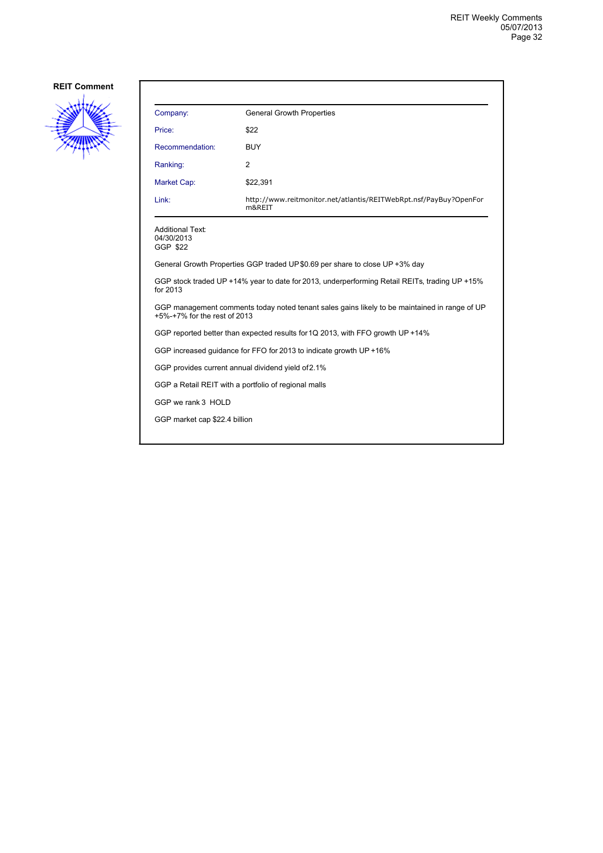

| Company:                                                                                                                      | <b>General Growth Properties</b>                                                              |
|-------------------------------------------------------------------------------------------------------------------------------|-----------------------------------------------------------------------------------------------|
| Price:                                                                                                                        | \$22                                                                                          |
| Recommendation:                                                                                                               | <b>BUY</b>                                                                                    |
| Ranking:                                                                                                                      | $\overline{2}$                                                                                |
| Market Cap:                                                                                                                   | \$22,391                                                                                      |
| Link:                                                                                                                         | http://www.reitmonitor.net/atlantis/REITWebRpt.nsf/PayBuy?OpenFor<br>m&REIT                   |
| <b>Additional Text:</b><br>04/30/2013<br>GGP \$22                                                                             |                                                                                               |
|                                                                                                                               | General Growth Properties GGP traded UP \$0.69 per share to close UP +3% day                  |
| for 2013                                                                                                                      | GGP stock traded UP +14% year to date for 2013, underperforming Retail REITs, trading UP +15% |
| GGP management comments today noted tenant sales gains likely to be maintained in range of UP<br>+5%-+7% for the rest of 2013 |                                                                                               |
| GGP reported better than expected results for 1Q 2013, with FFO growth UP +14%                                                |                                                                                               |
|                                                                                                                               | GGP increased guidance for FFO for 2013 to indicate growth UP +16%                            |
|                                                                                                                               | GGP provides current annual dividend yield of 2.1%                                            |
| GGP a Retail REIT with a portfolio of regional malls                                                                          |                                                                                               |
| GGP we rank 3 HOLD                                                                                                            |                                                                                               |
| GGP market cap \$22.4 billion                                                                                                 |                                                                                               |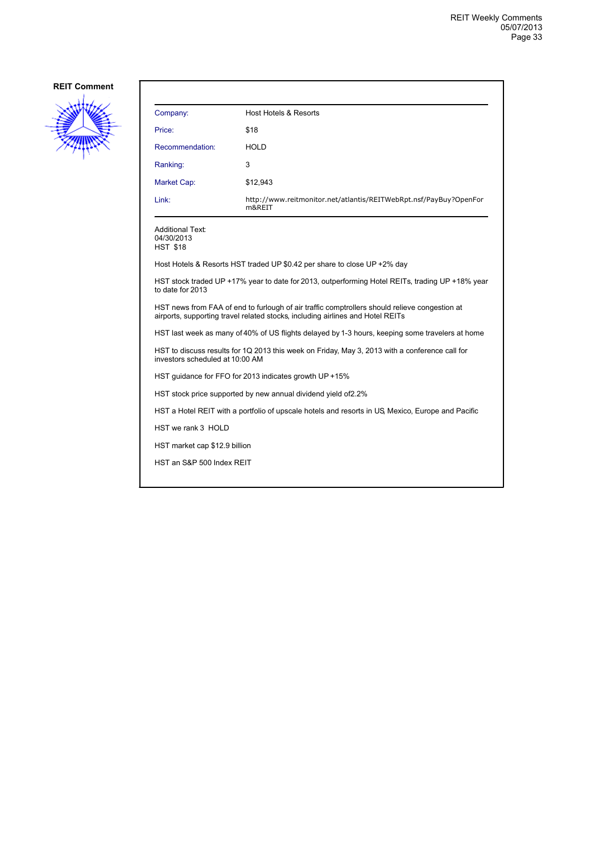

| Company:                                                                                                                                                                        | Host Hotels & Resorts                                                                            |
|---------------------------------------------------------------------------------------------------------------------------------------------------------------------------------|--------------------------------------------------------------------------------------------------|
| Price:                                                                                                                                                                          | \$18                                                                                             |
| Recommendation:                                                                                                                                                                 | <b>HOLD</b>                                                                                      |
| Ranking:                                                                                                                                                                        | 3                                                                                                |
| Market Cap:                                                                                                                                                                     | \$12,943                                                                                         |
| Link:                                                                                                                                                                           | http://www.reitmonitor.net/atlantis/REITWebRpt.nsf/PayBuy?OpenFor<br>m&REIT                      |
| <b>Additional Text:</b><br>04/30/2013<br><b>HST \$18</b>                                                                                                                        |                                                                                                  |
|                                                                                                                                                                                 | Host Hotels & Resorts HST traded UP \$0.42 per share to close UP +2% day                         |
| HST stock traded UP +17% year to date for 2013, outperforming Hotel REITs, trading UP +18% year<br>to date for 2013                                                             |                                                                                                  |
| HST news from FAA of end to furlough of air traffic comptrollers should relieve congestion at<br>airports, supporting travel related stocks, including airlines and Hotel REITs |                                                                                                  |
| HST last week as many of 40% of US flights delayed by 1-3 hours, keeping some travelers at home                                                                                 |                                                                                                  |
| HST to discuss results for 1Q 2013 this week on Friday, May 3, 2013 with a conference call for<br>investors scheduled at 10:00 AM                                               |                                                                                                  |
|                                                                                                                                                                                 | HST quidance for FFO for 2013 indicates growth UP +15%                                           |
|                                                                                                                                                                                 | HST stock price supported by new annual dividend yield of 2.2%                                   |
|                                                                                                                                                                                 | HST a Hotel REIT with a portfolio of upscale hotels and resorts in US Mexico, Europe and Pacific |
| HST we rank 3 HOLD                                                                                                                                                              |                                                                                                  |
| HST market cap \$12.9 billion                                                                                                                                                   |                                                                                                  |
| HST an S&P 500 Index REIT                                                                                                                                                       |                                                                                                  |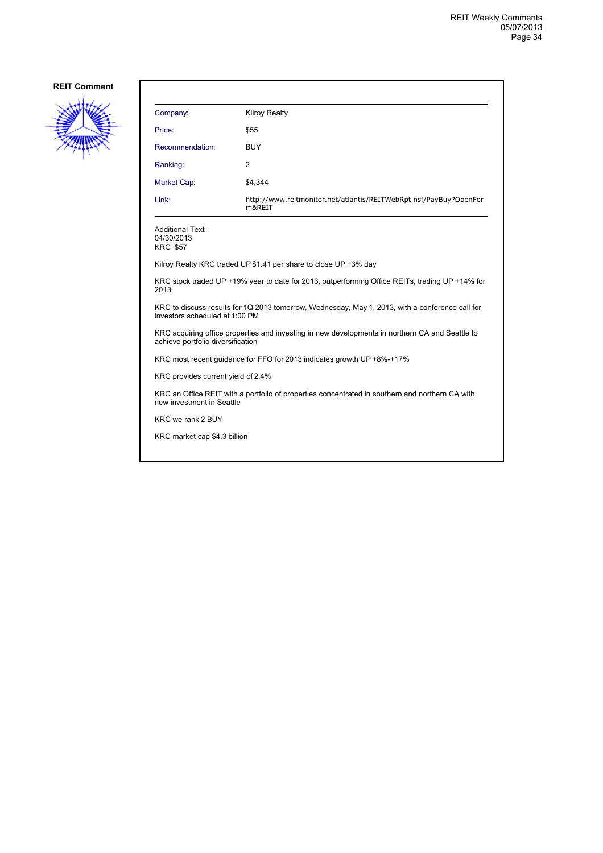

| Company:                                                                                                                     | <b>Kilroy Realty</b>                                                                            |
|------------------------------------------------------------------------------------------------------------------------------|-------------------------------------------------------------------------------------------------|
| Price:                                                                                                                       | \$55                                                                                            |
| Recommendation:                                                                                                              | <b>BUY</b>                                                                                      |
| Ranking:                                                                                                                     | $\overline{2}$                                                                                  |
| <b>Market Cap:</b>                                                                                                           | \$4,344                                                                                         |
| Link:                                                                                                                        | http://www.reitmonitor.net/atlantis/REITWebRpt.nsf/PayBuy?OpenFor<br>m&REIT                     |
| <b>Additional Text:</b><br>04/30/2013<br><b>KRC \$57</b>                                                                     |                                                                                                 |
|                                                                                                                              | Kilroy Realty KRC traded UP \$1.41 per share to close UP +3% day                                |
| 2013                                                                                                                         | KRC stock traded UP +19% year to date for 2013, outperforming Office REITs, trading UP +14% for |
| investors scheduled at 1:00 PM                                                                                               | KRC to discuss results for 1Q 2013 tomorrow, Wednesday, May 1, 2013, with a conference call for |
| achieve portfolio diversification                                                                                            | KRC acquiring office properties and investing in new developments in northern CA and Seattle to |
|                                                                                                                              | KRC most recent quidance for FFO for 2013 indicates growth UP +8%-+17%                          |
| KRC provides current yield of 2.4%                                                                                           |                                                                                                 |
| KRC an Office REIT with a portfolio of properties concentrated in southern and northern CA with<br>new investment in Seattle |                                                                                                 |
| KRC we rank 2 BUY                                                                                                            |                                                                                                 |
| KRC market cap \$4.3 billion                                                                                                 |                                                                                                 |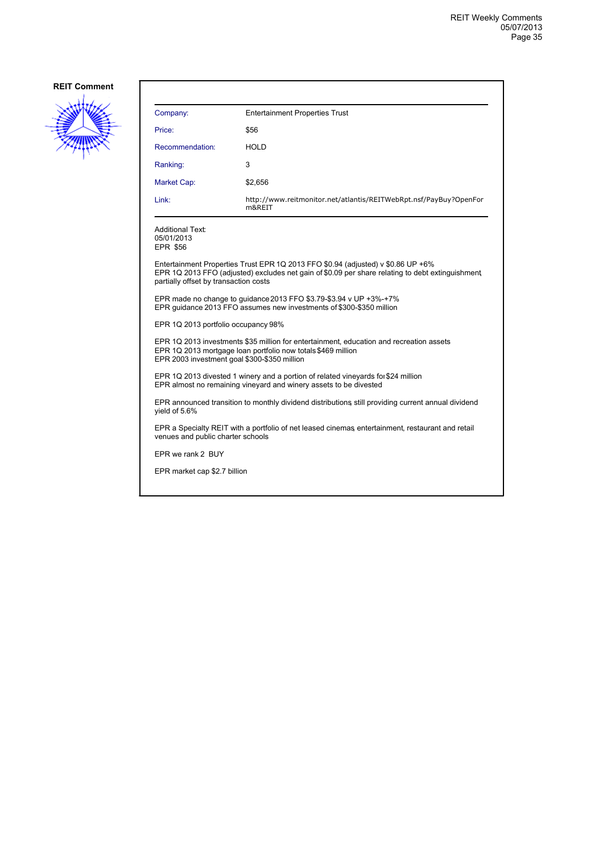

| Company:                                                 | <b>Entertainment Properties Trust</b>                                                                                                                                                |
|----------------------------------------------------------|--------------------------------------------------------------------------------------------------------------------------------------------------------------------------------------|
| Price:                                                   | \$56                                                                                                                                                                                 |
| Recommendation:                                          | HOLD                                                                                                                                                                                 |
| Ranking:                                                 | 3                                                                                                                                                                                    |
| Market Cap:                                              | \$2,656                                                                                                                                                                              |
| Link:                                                    | http://www.reitmonitor.net/atlantis/REITWebRpt.nsf/PayBuy?OpenFor<br>m&REIT                                                                                                          |
| <b>Additional Text:</b><br>05/01/2013<br><b>EPR \$56</b> |                                                                                                                                                                                      |
| partially offset by transaction costs                    | Entertainment Properties Trust EPR 1Q 2013 FFO \$0.94 (adjusted) v \$0.86 UP +6%<br>EPR 1Q 2013 FFO (adjusted) excludes net gain of \$0.09 per share relating to debt extinguishment |
|                                                          | EPR made no change to quidance 2013 FFO \$3.79-\$3.94 v UP +3%-+7%<br>EPR quidance 2013 FFO assumes new investments of \$300-\$350 million                                           |
| EPR 1Q 2013 portfolio occupancy 98%                      |                                                                                                                                                                                      |
| EPR 2003 investment goal \$300-\$350 million             | EPR 1Q 2013 investments \$35 million for entertainment, education and recreation assets<br>EPR 1Q 2013 mortgage loan portfolio now totals \$469 million                              |
|                                                          | EPR 1Q 2013 divested 1 winery and a portion of related vineyards for \$24 million<br>EPR almost no remaining vineyard and winery assets to be divested                               |
| yield of 5.6%                                            | EPR announced transition to monthly dividend distributions still providing current annual dividend                                                                                   |
| venues and public charter schools                        | EPR a Specialty REIT with a portfolio of net leased cinemas entertainment, restaurant and retail                                                                                     |
| EPR we rank 2 BUY                                        |                                                                                                                                                                                      |
| EPR market cap \$2.7 billion                             |                                                                                                                                                                                      |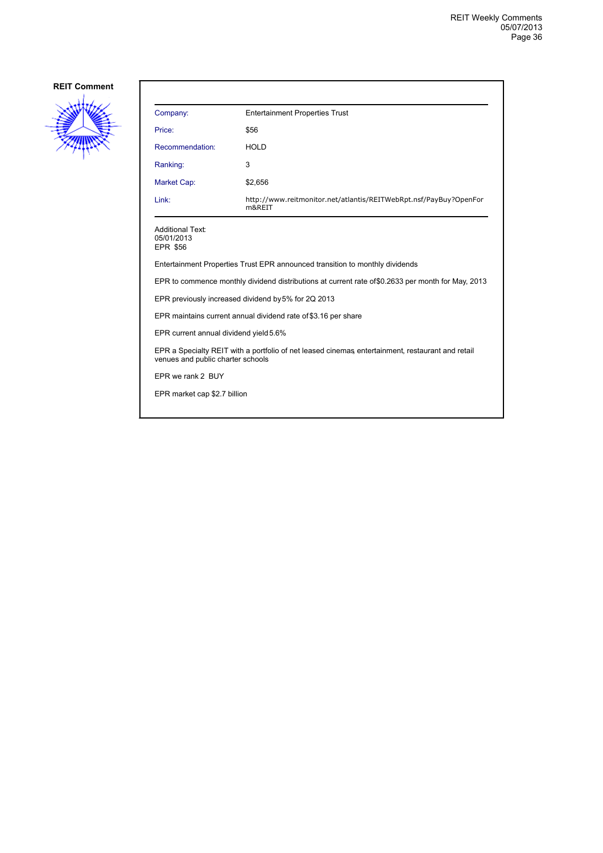

| Company:                                                 | <b>Entertainment Properties Trust</b>                                                              |
|----------------------------------------------------------|----------------------------------------------------------------------------------------------------|
| Price:                                                   | \$56                                                                                               |
| Recommendation:                                          | <b>HOLD</b>                                                                                        |
| Ranking:                                                 | 3                                                                                                  |
| Market Cap:                                              | \$2,656                                                                                            |
| Link:                                                    | http://www.reitmonitor.net/atlantis/REITWebRpt.nsf/PayBuy?OpenFor<br>m&REIT                        |
| <b>Additional Text:</b><br>05/01/2013<br><b>EPR \$56</b> |                                                                                                    |
|                                                          | Entertainment Properties Trust EPR announced transition to monthly dividends                       |
|                                                          | EPR to commence monthly dividend distributions at current rate of \$0.2633 per month for May, 2013 |
|                                                          | EPR previously increased dividend by 5% for 2Q 2013                                                |
|                                                          | EPR maintains current annual dividend rate of \$3.16 per share                                     |
| EPR current annual dividend yield 5.6%                   |                                                                                                    |
| venues and public charter schools                        | EPR a Specialty REIT with a portfolio of net leased cinemas entertainment, restaurant and retail   |
| FPR we rank 2 BUY                                        |                                                                                                    |
| EPR market cap \$2.7 billion                             |                                                                                                    |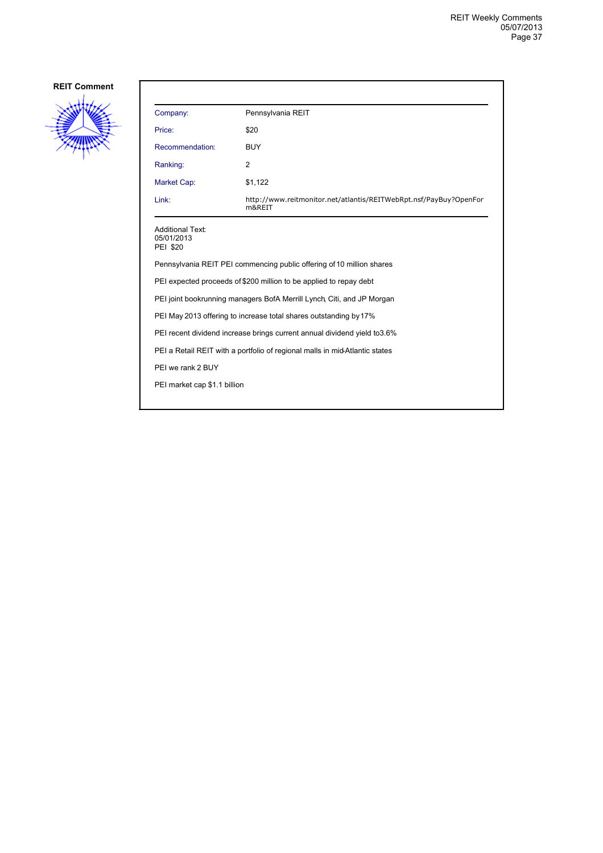

| Company:                                                                    | Pennsylvania REIT                                                           |  |
|-----------------------------------------------------------------------------|-----------------------------------------------------------------------------|--|
| Price:                                                                      | \$20                                                                        |  |
| Recommendation:                                                             | <b>BUY</b>                                                                  |  |
| Ranking:                                                                    | 2                                                                           |  |
| Market Cap:                                                                 | \$1,122                                                                     |  |
| Link:                                                                       | http://www.reitmonitor.net/atlantis/REITWebRpt.nsf/PayBuy?OpenFor<br>m&REIT |  |
| <b>Additional Text:</b><br>05/01/2013<br><b>PEI \$20</b>                    |                                                                             |  |
| Pennsylvania REIT PEI commencing public offering of 10 million shares       |                                                                             |  |
| PEI expected proceeds of \$200 million to be applied to repay debt          |                                                                             |  |
| PEI joint bookrunning managers BofA Merrill Lynch, Citi, and JP Morgan      |                                                                             |  |
| PEI May 2013 offering to increase total shares outstanding by 17%           |                                                                             |  |
| PEI recent dividend increase brings current annual dividend yield to 3.6%   |                                                                             |  |
| PEI a Retail REIT with a portfolio of regional malls in mid-Atlantic states |                                                                             |  |
| PEI we rank 2 BUY                                                           |                                                                             |  |
| PEI market cap \$1.1 billion                                                |                                                                             |  |
|                                                                             |                                                                             |  |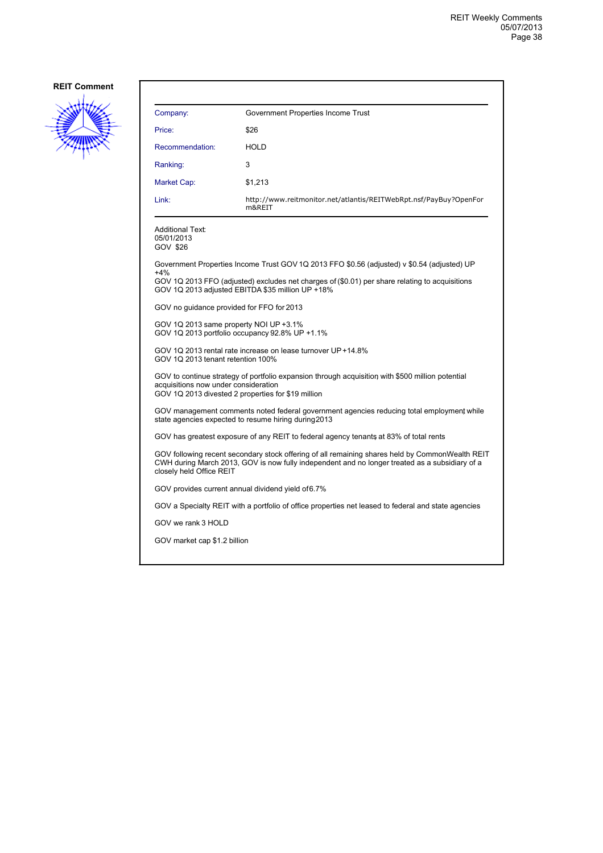

| Company:                                                                                                                                                                                                                      | Government Properties Income Trust                                                                                                                 |  |
|-------------------------------------------------------------------------------------------------------------------------------------------------------------------------------------------------------------------------------|----------------------------------------------------------------------------------------------------------------------------------------------------|--|
| Price:                                                                                                                                                                                                                        | \$26                                                                                                                                               |  |
| Recommendation:                                                                                                                                                                                                               | <b>HOLD</b>                                                                                                                                        |  |
| Ranking:                                                                                                                                                                                                                      | 3                                                                                                                                                  |  |
| Market Cap:                                                                                                                                                                                                                   | \$1,213                                                                                                                                            |  |
| Link:                                                                                                                                                                                                                         | http://www.reitmonitor.net/atlantis/REITWebRpt.nsf/PayBuy?OpenFor<br>m&REIT                                                                        |  |
| Additional Text:<br>05/01/2013<br>GOV \$26                                                                                                                                                                                    |                                                                                                                                                    |  |
|                                                                                                                                                                                                                               | Government Properties Income Trust GOV 1Q 2013 FFO \$0.56 (adjusted) v \$0.54 (adjusted) UP                                                        |  |
| +4%                                                                                                                                                                                                                           | GOV 1Q 2013 FFO (adjusted) excludes net charges of (\$0.01) per share relating to acquisitions<br>GOV 1Q 2013 adjusted EBITDA \$35 million UP +18% |  |
| GOV no guidance provided for FFO for 2013                                                                                                                                                                                     |                                                                                                                                                    |  |
| GOV 1Q 2013 same property NOI UP +3.1%<br>GOV 1Q 2013 portfolio occupancy 92.8% UP +1.1%                                                                                                                                      |                                                                                                                                                    |  |
| GOV 1Q 2013 rental rate increase on lease turnover UP +14.8%<br>GOV 10 2013 tenant retention 100%                                                                                                                             |                                                                                                                                                    |  |
| GOV to continue strategy of portfolio expansion through acquisition with \$500 million potential<br>acquisitions now under consideration<br>GOV 1Q 2013 divested 2 properties for \$19 million                                |                                                                                                                                                    |  |
|                                                                                                                                                                                                                               | GOV management comments noted federal government agencies reducing total employment while<br>state agencies expected to resume hiring during 2013  |  |
|                                                                                                                                                                                                                               | GOV has greatest exposure of any REIT to federal agency tenants at 83% of total rents                                                              |  |
| GOV following recent secondary stock offering of all remaining shares held by CommonWealth REIT<br>CWH during March 2013, GOV is now fully independent and no longer treated as a subsidiary of a<br>closely held Office REIT |                                                                                                                                                    |  |
|                                                                                                                                                                                                                               | GOV provides current annual dividend yield of 6.7%                                                                                                 |  |
|                                                                                                                                                                                                                               | GOV a Specialty REIT with a portfolio of office properties net leased to federal and state agencies                                                |  |
| GOV we rank 3 HOLD                                                                                                                                                                                                            |                                                                                                                                                    |  |
| GOV market cap \$1.2 billion                                                                                                                                                                                                  |                                                                                                                                                    |  |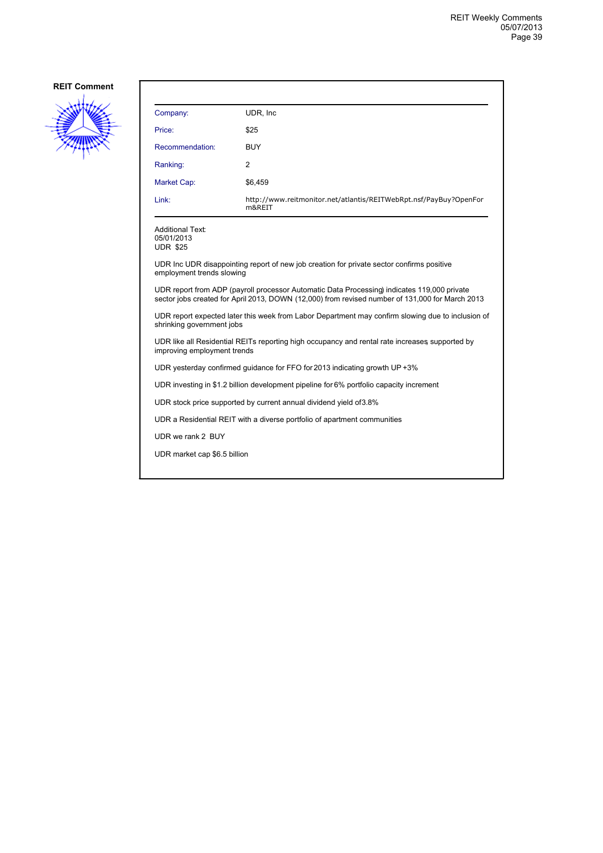

| Company:                                                                                                                                                                                       | UDR, Inc.                                                                               |  |
|------------------------------------------------------------------------------------------------------------------------------------------------------------------------------------------------|-----------------------------------------------------------------------------------------|--|
| Price:                                                                                                                                                                                         | \$25                                                                                    |  |
| Recommendation:                                                                                                                                                                                | BUY                                                                                     |  |
| Ranking:                                                                                                                                                                                       | 2                                                                                       |  |
| <b>Market Cap:</b>                                                                                                                                                                             | \$6,459                                                                                 |  |
| Link:                                                                                                                                                                                          | http://www.reitmonitor.net/atlantis/REITWebRpt.nsf/PayBuy?OpenFor<br>m&REIT             |  |
| <b>Additional Text:</b><br>05/01/2013<br><b>UDR \$25</b>                                                                                                                                       |                                                                                         |  |
| UDR Inc UDR disappointing report of new job creation for private sector confirms positive<br>employment trends slowing                                                                         |                                                                                         |  |
| UDR report from ADP (payroll processor Automatic Data Processing) indicates 119,000 private<br>sector jobs created for April 2013, DOWN (12,000) from revised number of 131,000 for March 2013 |                                                                                         |  |
| UDR report expected later this week from Labor Department may confirm slowing due to inclusion of<br>shrinking government jobs                                                                 |                                                                                         |  |
| UDR like all Residential REITs reporting high occupancy and rental rate increases supported by<br>improving employment trends                                                                  |                                                                                         |  |
| UDR yesterday confirmed guidance for FFO for 2013 indicating growth UP +3%                                                                                                                     |                                                                                         |  |
|                                                                                                                                                                                                | UDR investing in \$1.2 billion development pipeline for 6% portfolio capacity increment |  |
|                                                                                                                                                                                                | UDR stock price supported by current annual dividend yield of 3.8%                      |  |
|                                                                                                                                                                                                | UDR a Residential REIT with a diverse portfolio of apartment communities                |  |
| UDR we rank 2 BUY                                                                                                                                                                              |                                                                                         |  |
| UDR market cap \$6.5 billion                                                                                                                                                                   |                                                                                         |  |
|                                                                                                                                                                                                |                                                                                         |  |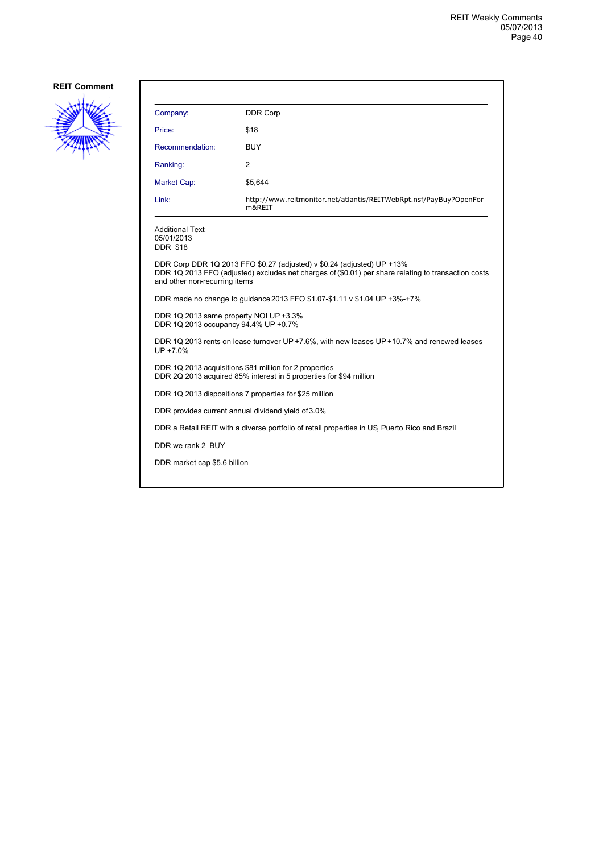

| Company:                                                                                                                     | <b>DDR Corp</b>                                                                                                                                                               |  |
|------------------------------------------------------------------------------------------------------------------------------|-------------------------------------------------------------------------------------------------------------------------------------------------------------------------------|--|
| Price:                                                                                                                       | \$18                                                                                                                                                                          |  |
| Recommendation:                                                                                                              | <b>BUY</b>                                                                                                                                                                    |  |
| Ranking:                                                                                                                     | 2                                                                                                                                                                             |  |
| Market Cap:                                                                                                                  | \$5,644                                                                                                                                                                       |  |
| Link:                                                                                                                        | http://www.reitmonitor.net/atlantis/REITWebRpt.nsf/PayBuy?OpenFor<br>m&REIT                                                                                                   |  |
| <b>Additional Text:</b><br>05/01/2013<br><b>DDR \$18</b>                                                                     |                                                                                                                                                                               |  |
| and other non-recurring items                                                                                                | DDR Corp DDR 1Q 2013 FFO \$0.27 (adjusted) v \$0.24 (adjusted) UP +13%<br>DDR 1Q 2013 FFO (adjusted) excludes net charges of (\$0.01) per share relating to transaction costs |  |
| DDR made no change to guidance 2013 FFO \$1.07-\$1.11 v \$1.04 UP +3%-+7%                                                    |                                                                                                                                                                               |  |
| DDR 1Q 2013 same property NOI UP +3.3%<br>DDR 1Q 2013 occupancy 94.4% UP +0.7%                                               |                                                                                                                                                                               |  |
| DDR 1Q 2013 rents on lease turnover UP +7.6%, with new leases UP +10.7% and renewed leases<br>UP +7.0%                       |                                                                                                                                                                               |  |
| DDR 1Q 2013 acquisitions \$81 million for 2 properties<br>DDR 2Q 2013 acquired 85% interest in 5 properties for \$94 million |                                                                                                                                                                               |  |
|                                                                                                                              | DDR 1Q 2013 dispositions 7 properties for \$25 million                                                                                                                        |  |
| DDR provides current annual dividend yield of 3.0%                                                                           |                                                                                                                                                                               |  |
|                                                                                                                              | DDR a Retail REIT with a diverse portfolio of retail properties in US, Puerto Rico and Brazil                                                                                 |  |
| DDR we rank 2 BUY                                                                                                            |                                                                                                                                                                               |  |
| DDR market cap \$5.6 billion                                                                                                 |                                                                                                                                                                               |  |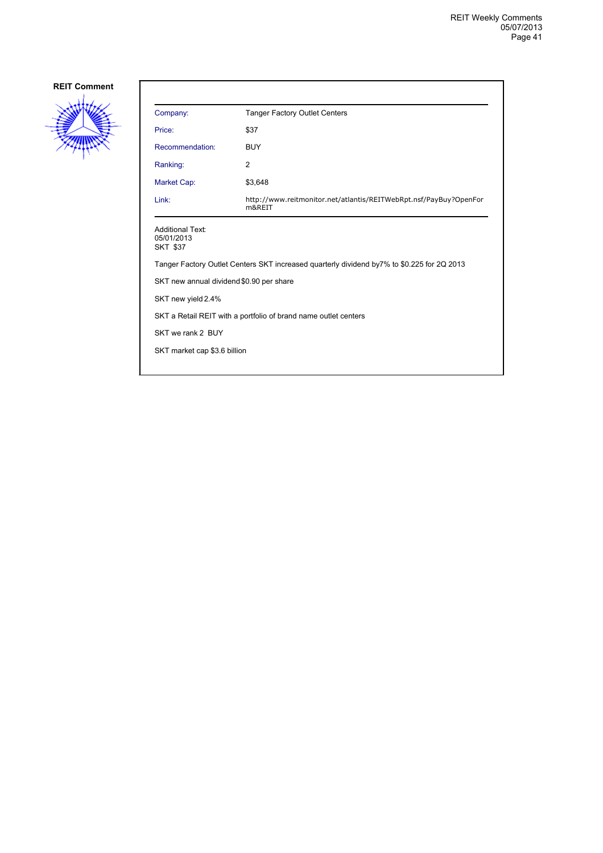

| Company:                                                                                   | <b>Tanger Factory Outlet Centers</b>                                        |  |
|--------------------------------------------------------------------------------------------|-----------------------------------------------------------------------------|--|
| Price:                                                                                     | \$37                                                                        |  |
| Recommendation:                                                                            | <b>BUY</b>                                                                  |  |
| Ranking:                                                                                   | 2                                                                           |  |
| Market Cap:                                                                                | \$3,648                                                                     |  |
| Link:                                                                                      | http://www.reitmonitor.net/atlantis/REITWebRpt.nsf/PayBuy?OpenFor<br>m&REIT |  |
| <b>Additional Text:</b><br>05/01/2013<br><b>SKT \$37</b>                                   |                                                                             |  |
| Tanger Factory Outlet Centers SKT increased quarterly dividend by7% to \$0.225 for 2Q 2013 |                                                                             |  |
| SKT new annual dividend \$0.90 per share                                                   |                                                                             |  |
| SKT new yield 2.4%                                                                         |                                                                             |  |
| SKT a Retail REIT with a portfolio of brand name outlet centers                            |                                                                             |  |
| SKT we rank 2 BUY                                                                          |                                                                             |  |
| SKT market cap \$3.6 billion                                                               |                                                                             |  |
|                                                                                            |                                                                             |  |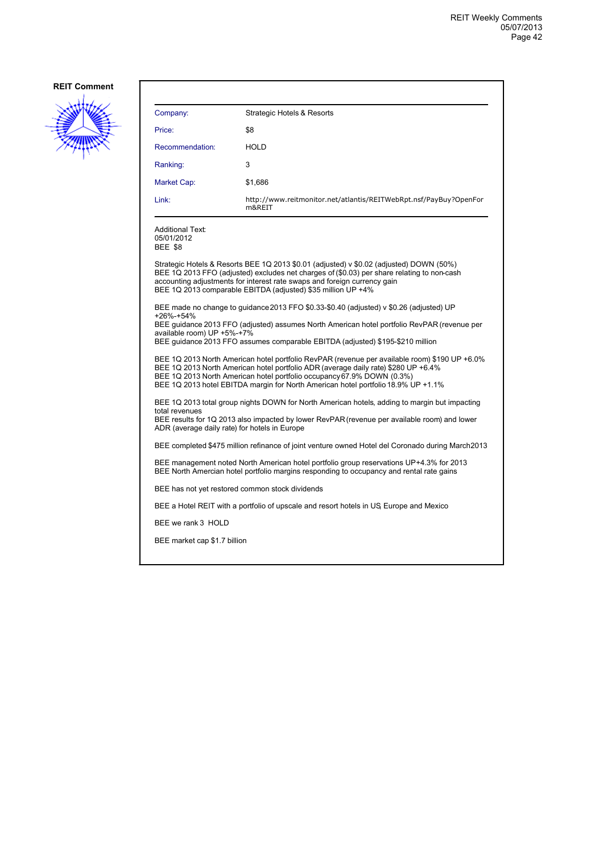

| Company:                                                                                                                                                                                                                                                                                                                                           | <b>Strategic Hotels &amp; Resorts</b>                                                                                                                                                                                                                                                                                             |  |
|----------------------------------------------------------------------------------------------------------------------------------------------------------------------------------------------------------------------------------------------------------------------------------------------------------------------------------------------------|-----------------------------------------------------------------------------------------------------------------------------------------------------------------------------------------------------------------------------------------------------------------------------------------------------------------------------------|--|
| Price:                                                                                                                                                                                                                                                                                                                                             | \$8                                                                                                                                                                                                                                                                                                                               |  |
| Recommendation:                                                                                                                                                                                                                                                                                                                                    | HOLD                                                                                                                                                                                                                                                                                                                              |  |
| Ranking:                                                                                                                                                                                                                                                                                                                                           | 3                                                                                                                                                                                                                                                                                                                                 |  |
| Market Cap:                                                                                                                                                                                                                                                                                                                                        | \$1,686                                                                                                                                                                                                                                                                                                                           |  |
| Link:                                                                                                                                                                                                                                                                                                                                              | http://www.reitmonitor.net/atlantis/REITWebRpt.nsf/PayBuy?OpenFor<br>m&REIT                                                                                                                                                                                                                                                       |  |
| <b>Additional Text:</b><br>05/01/2012<br><b>BEE \$8</b>                                                                                                                                                                                                                                                                                            |                                                                                                                                                                                                                                                                                                                                   |  |
|                                                                                                                                                                                                                                                                                                                                                    | Strategic Hotels & Resorts BEE 1Q 2013 \$0.01 (adjusted) v \$0.02 (adjusted) DOWN (50%)<br>BEE 1Q 2013 FFO (adjusted) excludes net charges of (\$0.03) per share relating to non-cash<br>accounting adjustments for interest rate swaps and foreign currency gain<br>BEE 1Q 2013 comparable EBITDA (adjusted) \$35 million UP +4% |  |
| $+26% -+54%$<br>available room) UP +5%-+7%                                                                                                                                                                                                                                                                                                         | BEE made no change to guidance 2013 FFO \$0.33-\$0.40 (adjusted) v \$0.26 (adjusted) UP<br>BEE quidance 2013 FFO (adjusted) assumes North American hotel portfolio RevPAR (revenue per<br>BEE guidance 2013 FFO assumes comparable EBITDA (adjusted) \$195-\$210 million                                                          |  |
| BEE 1Q 2013 North American hotel portfolio RevPAR (revenue per available room) \$190 UP +6.0%<br>BEE 1Q 2013 North American hotel portfolio ADR (average daily rate) \$280 UP +6.4%<br>BEE 1Q 2013 North American hotel portfolio occupancy 67.9% DOWN (0.3%)<br>BEE 1Q 2013 hotel EBITDA margin for North American hotel portfolio 18.9% UP +1.1% |                                                                                                                                                                                                                                                                                                                                   |  |
| BEE 1Q 2013 total group nights DOWN for North American hotels, adding to margin but impacting<br>total revenues<br>BEE results for 1Q 2013 also impacted by lower RevPAR (revenue per available room) and lower<br>ADR (average daily rate) for hotels in Europe                                                                                   |                                                                                                                                                                                                                                                                                                                                   |  |
| BEE completed \$475 million refinance of joint venture owned Hotel del Coronado during March2013                                                                                                                                                                                                                                                   |                                                                                                                                                                                                                                                                                                                                   |  |
| BEE management noted North American hotel portfolio group reservations UP+4.3% for 2013<br>BEE North Amercian hotel portfolio margins responding to occupancy and rental rate gains                                                                                                                                                                |                                                                                                                                                                                                                                                                                                                                   |  |
| BEE has not yet restored common stock dividends                                                                                                                                                                                                                                                                                                    |                                                                                                                                                                                                                                                                                                                                   |  |
|                                                                                                                                                                                                                                                                                                                                                    | BEE a Hotel REIT with a portfolio of upscale and resort hotels in US Europe and Mexico                                                                                                                                                                                                                                            |  |
| BEE we rank 3 HOLD                                                                                                                                                                                                                                                                                                                                 |                                                                                                                                                                                                                                                                                                                                   |  |
| BEE market cap \$1.7 billion                                                                                                                                                                                                                                                                                                                       |                                                                                                                                                                                                                                                                                                                                   |  |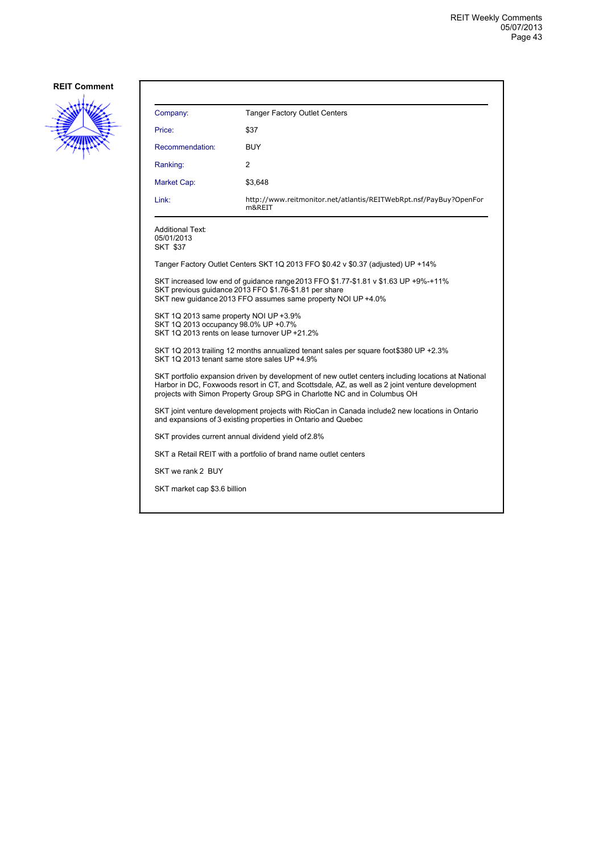

| Company:                                                                                                                                                                                                                                                                            | <b>Tanger Factory Outlet Centers</b>                                             |  |
|-------------------------------------------------------------------------------------------------------------------------------------------------------------------------------------------------------------------------------------------------------------------------------------|----------------------------------------------------------------------------------|--|
| Price:                                                                                                                                                                                                                                                                              | \$37                                                                             |  |
| Recommendation:                                                                                                                                                                                                                                                                     | <b>BUY</b>                                                                       |  |
| Ranking:                                                                                                                                                                                                                                                                            | 2                                                                                |  |
| Market Cap:                                                                                                                                                                                                                                                                         | \$3,648                                                                          |  |
| Link:                                                                                                                                                                                                                                                                               | http://www.reitmonitor.net/atlantis/REITWebRpt.nsf/PayBuy?OpenFor<br>m&REIT      |  |
| Additional Text:<br>05/01/2013<br>SKT \$37                                                                                                                                                                                                                                          |                                                                                  |  |
|                                                                                                                                                                                                                                                                                     | Tanger Factory Outlet Centers SKT 1Q 2013 FFO \$0.42 v \$0.37 (adjusted) UP +14% |  |
| SKT increased low end of quidance range 2013 FFO \$1.77-\$1.81 v \$1.63 UP +9%-+11%<br>SKT previous guidance 2013 FFO \$1.76-\$1.81 per share<br>SKT new guidance 2013 FFO assumes same property NOI UP +4.0%                                                                       |                                                                                  |  |
| SKT 1Q 2013 same property NOI UP +3.9%<br>SKT 1Q 2013 occupancy 98.0% UP +0.7%<br>SKT 1Q 2013 rents on lease turnover UP +21.2%                                                                                                                                                     |                                                                                  |  |
| SKT 1Q 2013 trailing 12 months annualized tenant sales per square foot\$380 UP +2.3%<br>SKT 1Q 2013 tenant same store sales UP +4.9%                                                                                                                                                |                                                                                  |  |
| SKT portfolio expansion driven by development of new outlet centers including locations at National<br>Harbor in DC, Foxwoods resort in CT, and Scottsdale, AZ, as well as 2 joint venture development<br>projects with Simon Property Group SPG in Charlotte NC and in Columbus OH |                                                                                  |  |
| SKT joint venture development projects with RioCan in Canada include2 new locations in Ontario<br>and expansions of 3 existing properties in Ontario and Quebec                                                                                                                     |                                                                                  |  |
| SKT provides current annual dividend yield of 2.8%                                                                                                                                                                                                                                  |                                                                                  |  |
|                                                                                                                                                                                                                                                                                     | SKT a Retail REIT with a portfolio of brand name outlet centers                  |  |
| SKT we rank 2 BUY                                                                                                                                                                                                                                                                   |                                                                                  |  |
| SKT market cap \$3.6 billion                                                                                                                                                                                                                                                        |                                                                                  |  |
|                                                                                                                                                                                                                                                                                     |                                                                                  |  |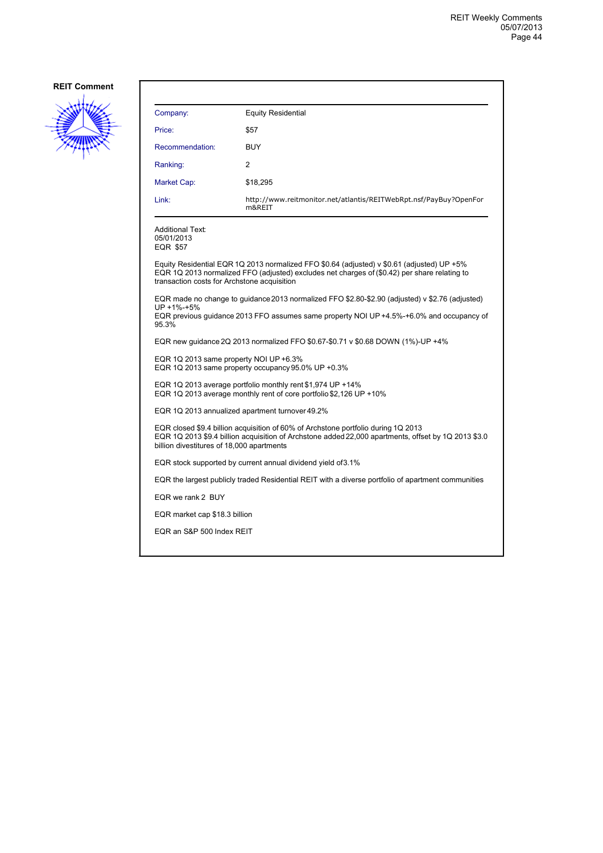

| Company:                                                                                                                                                                                                                              | <b>Equity Residential</b>                                                                                                                                                                   |  |
|---------------------------------------------------------------------------------------------------------------------------------------------------------------------------------------------------------------------------------------|---------------------------------------------------------------------------------------------------------------------------------------------------------------------------------------------|--|
| Price:                                                                                                                                                                                                                                | \$57                                                                                                                                                                                        |  |
| Recommendation:                                                                                                                                                                                                                       | BUY                                                                                                                                                                                         |  |
| Ranking:                                                                                                                                                                                                                              | 2                                                                                                                                                                                           |  |
| Market Cap:                                                                                                                                                                                                                           | \$18,295                                                                                                                                                                                    |  |
| Link:                                                                                                                                                                                                                                 | http://www.reitmonitor.net/atlantis/REITWebRpt.nsf/PayBuy?OpenFor<br>m&REIT                                                                                                                 |  |
| <b>Additional Text:</b><br>05/01/2013<br><b>EQR \$57</b>                                                                                                                                                                              |                                                                                                                                                                                             |  |
| transaction costs for Archstone acquisition                                                                                                                                                                                           | Equity Residential EQR 1Q 2013 normalized FFO \$0.64 (adjusted) v \$0.61 (adjusted) UP +5%<br>EQR 1Q 2013 normalized FFO (adjusted) excludes net charges of (\$0.42) per share relating to  |  |
| UP +1%-+5%<br>95.3%                                                                                                                                                                                                                   | EQR made no change to guidance 2013 normalized FFO \$2.80-\$2.90 (adjusted) v \$2.76 (adjusted)<br>EQR previous guidance 2013 FFO assumes same property NOI UP +4.5%-+6.0% and occupancy of |  |
| EQR new guidance 2Q 2013 normalized FFO \$0.67-\$0.71 v \$0.68 DOWN (1%)-UP +4%                                                                                                                                                       |                                                                                                                                                                                             |  |
| EQR 1Q 2013 same property NOI UP +6.3%<br>EQR 1Q 2013 same property occupancy 95.0% UP +0.3%                                                                                                                                          |                                                                                                                                                                                             |  |
| EQR 1Q 2013 average portfolio monthly rent \$1,974 UP +14%<br>EQR 1Q 2013 average monthly rent of core portfolio \$2,126 UP +10%                                                                                                      |                                                                                                                                                                                             |  |
| EQR 1Q 2013 annualized apartment turnover 49.2%                                                                                                                                                                                       |                                                                                                                                                                                             |  |
| EQR closed \$9.4 billion acquisition of 60% of Archstone portfolio during 1Q 2013<br>EQR 1Q 2013 \$9.4 billion acquisition of Archstone added 22,000 apartments, offset by 1Q 2013 \$3.0<br>billion divestitures of 18,000 apartments |                                                                                                                                                                                             |  |
| EQR stock supported by current annual dividend yield of 3.1%                                                                                                                                                                          |                                                                                                                                                                                             |  |
| EQR the largest publicly traded Residential REIT with a diverse portfolio of apartment communities                                                                                                                                    |                                                                                                                                                                                             |  |
| EQR we rank 2 BUY                                                                                                                                                                                                                     |                                                                                                                                                                                             |  |
| EQR market cap \$18.3 billion                                                                                                                                                                                                         |                                                                                                                                                                                             |  |
| EQR an S&P 500 Index REIT                                                                                                                                                                                                             |                                                                                                                                                                                             |  |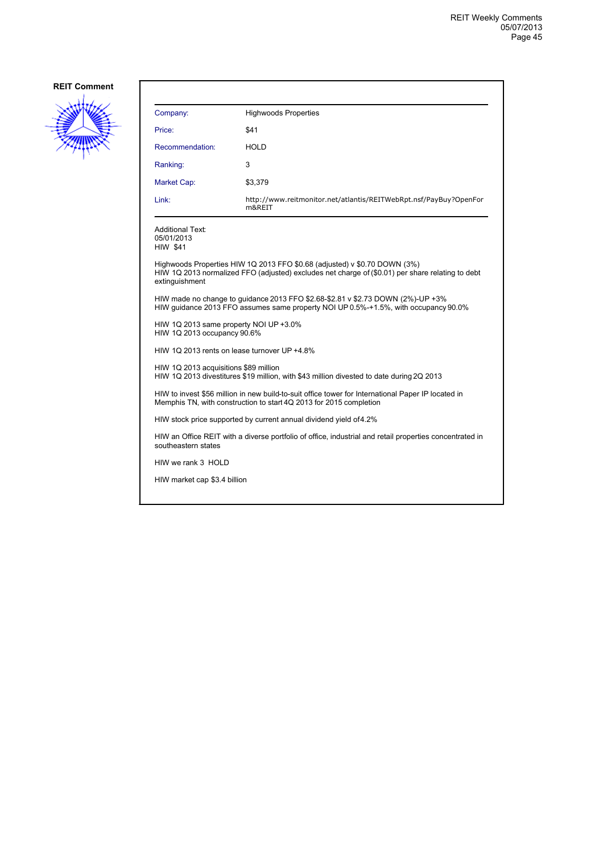

| Company:                                                                                                                                                                                        | <b>Highwoods Properties</b>                                                 |  |
|-------------------------------------------------------------------------------------------------------------------------------------------------------------------------------------------------|-----------------------------------------------------------------------------|--|
| Price:                                                                                                                                                                                          | \$41                                                                        |  |
| Recommendation:                                                                                                                                                                                 | <b>HOLD</b>                                                                 |  |
| Ranking:                                                                                                                                                                                        | 3                                                                           |  |
| Market Cap:                                                                                                                                                                                     | \$3,379                                                                     |  |
| Link:                                                                                                                                                                                           | http://www.reitmonitor.net/atlantis/REITWebRpt.nsf/PayBuy?OpenFor<br>m&REIT |  |
| <b>Additional Text:</b><br>05/01/2013<br><b>HIW \$41</b>                                                                                                                                        |                                                                             |  |
| Highwoods Properties HIW 1Q 2013 FFO \$0.68 (adjusted) v \$0.70 DOWN (3%)<br>HIW 1Q 2013 normalized FFO (adjusted) excludes net charge of (\$0.01) per share relating to debt<br>extinguishment |                                                                             |  |
| HIW made no change to quidance 2013 FFO \$2.68-\$2.81 v \$2.73 DOWN (2%)-UP +3%<br>HIW guidance 2013 FFO assumes same property NOI UP 0.5%-+1.5%, with occupancy 90.0%                          |                                                                             |  |
| HIW 1Q 2013 same property NOI UP +3.0%<br>HIW 1Q 2013 occupancy 90.6%                                                                                                                           |                                                                             |  |
| HIW 1Q 2013 rents on lease turnover UP +4.8%                                                                                                                                                    |                                                                             |  |
| HIW 1Q 2013 acquisitions \$89 million<br>HIW 1Q 2013 divestitures \$19 million, with \$43 million divested to date during 2Q 2013                                                               |                                                                             |  |
| HIW to invest \$56 million in new build-to-suit office tower for International Paper IP located in<br>Memphis TN, with construction to start 4Q 2013 for 2015 completion                        |                                                                             |  |
| HIW stock price supported by current annual dividend yield of 4.2%                                                                                                                              |                                                                             |  |
| HIW an Office REIT with a diverse portfolio of office, industrial and retail properties concentrated in<br>southeastern states                                                                  |                                                                             |  |
| HIW we rank 3 HOLD                                                                                                                                                                              |                                                                             |  |
| HIW market cap \$3.4 billion                                                                                                                                                                    |                                                                             |  |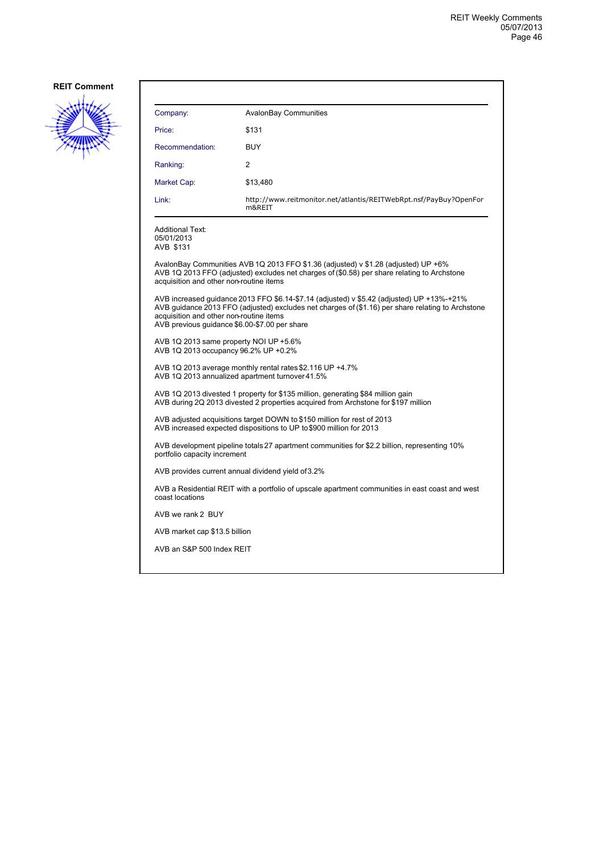

| Company:                                                                                                                                                                                                                                                                                   | <b>AvalonBay Communities</b>                                                                                                                                                      |  |
|--------------------------------------------------------------------------------------------------------------------------------------------------------------------------------------------------------------------------------------------------------------------------------------------|-----------------------------------------------------------------------------------------------------------------------------------------------------------------------------------|--|
| Price:                                                                                                                                                                                                                                                                                     | \$131                                                                                                                                                                             |  |
| Recommendation:                                                                                                                                                                                                                                                                            | <b>BUY</b>                                                                                                                                                                        |  |
| Ranking:                                                                                                                                                                                                                                                                                   | 2                                                                                                                                                                                 |  |
| Market Cap:                                                                                                                                                                                                                                                                                | \$13,480                                                                                                                                                                          |  |
| Link:                                                                                                                                                                                                                                                                                      | http://www.reitmonitor.net/atlantis/REITWebRpt.nsf/PayBuy?OpenFor<br>m&REIT                                                                                                       |  |
| <b>Additional Text:</b><br>05/01/2013<br>AVB \$131                                                                                                                                                                                                                                         |                                                                                                                                                                                   |  |
| acquisition and other non-routine items                                                                                                                                                                                                                                                    | AvalonBay Communities AVB 1Q 2013 FFO \$1.36 (adjusted) v \$1.28 (adjusted) UP +6%<br>AVB 1Q 2013 FFO (adjusted) excludes net charges of (\$0.58) per share relating to Archstone |  |
| AVB increased guidance 2013 FFO \$6.14-\$7.14 (adjusted) v \$5.42 (adjusted) UP +13%-+21%<br>AVB guidance 2013 FFO (adjusted) excludes net charges of (\$1.16) per share relating to Archstone<br>acquisition and other non-routine items<br>AVB previous guidance \$6.00-\$7.00 per share |                                                                                                                                                                                   |  |
| AVB 1Q 2013 same property NOI UP +5.6%<br>AVB 1Q 2013 occupancy 96.2% UP +0.2%                                                                                                                                                                                                             |                                                                                                                                                                                   |  |
| AVB 1Q 2013 average monthly rental rates \$2.116 UP +4.7%<br>AVB 1Q 2013 annualized apartment turnover 41.5%                                                                                                                                                                               |                                                                                                                                                                                   |  |
| AVB 1Q 2013 divested 1 property for \$135 million, generating \$84 million gain<br>AVB during 2Q 2013 divested 2 properties acquired from Archstone for \$197 million                                                                                                                      |                                                                                                                                                                                   |  |
| AVB adjusted acquisitions target DOWN to \$150 million for rest of 2013<br>AVB increased expected dispositions to UP to \$900 million for 2013                                                                                                                                             |                                                                                                                                                                                   |  |
| AVB development pipeline totals 27 apartment communities for \$2.2 billion, representing 10%<br>portfolio capacity increment                                                                                                                                                               |                                                                                                                                                                                   |  |
| AVB provides current annual dividend yield of 3.2%                                                                                                                                                                                                                                         |                                                                                                                                                                                   |  |
| AVB a Residential REIT with a portfolio of upscale apartment communities in east coast and west<br>coast locations                                                                                                                                                                         |                                                                                                                                                                                   |  |
| AVB we rank 2 BUY                                                                                                                                                                                                                                                                          |                                                                                                                                                                                   |  |
| AVB market cap \$13.5 billion                                                                                                                                                                                                                                                              |                                                                                                                                                                                   |  |
|                                                                                                                                                                                                                                                                                            | AVB an S&P 500 Index REIT                                                                                                                                                         |  |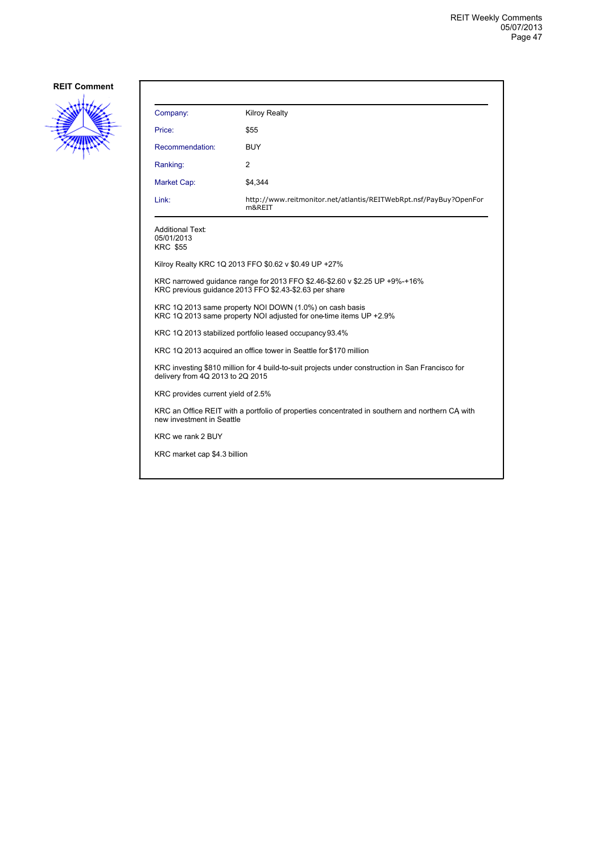

| Company:                                                                                                                              | <b>Kilroy Realty</b>                                                        |  |
|---------------------------------------------------------------------------------------------------------------------------------------|-----------------------------------------------------------------------------|--|
| Price:                                                                                                                                | \$55                                                                        |  |
| Recommendation:                                                                                                                       | <b>BUY</b>                                                                  |  |
| Ranking:                                                                                                                              | $\overline{2}$                                                              |  |
| Market Cap:                                                                                                                           | \$4,344                                                                     |  |
| Link:                                                                                                                                 | http://www.reitmonitor.net/atlantis/REITWebRpt.nsf/PayBuy?OpenFor<br>m&REIT |  |
| <b>Additional Text:</b><br>05/01/2013<br><b>KRC \$55</b>                                                                              |                                                                             |  |
|                                                                                                                                       | Kilroy Realty KRC 1Q 2013 FFO \$0.62 v \$0.49 UP +27%                       |  |
| KRC narrowed guidance range for 2013 FFO \$2.46-\$2.60 v \$2.25 UP +9%-+16%<br>KRC previous quidance 2013 FFO \$2.43-\$2.63 per share |                                                                             |  |
| KRC 1Q 2013 same property NOI DOWN (1.0%) on cash basis<br>KRC 1Q 2013 same property NOI adjusted for one-time items UP +2.9%         |                                                                             |  |
| KRC 1Q 2013 stabilized portfolio leased occupancy 93.4%                                                                               |                                                                             |  |
| KRC 1Q 2013 acquired an office tower in Seattle for \$170 million                                                                     |                                                                             |  |
| KRC investing \$810 million for 4 build-to-suit projects under construction in San Francisco for<br>delivery from 4Q 2013 to 2Q 2015  |                                                                             |  |
| KRC provides current yield of 2.5%                                                                                                    |                                                                             |  |
| KRC an Office REIT with a portfolio of properties concentrated in southern and northern CA with<br>new investment in Seattle          |                                                                             |  |
| KRC we rank 2 BUY                                                                                                                     |                                                                             |  |
| KRC market cap \$4.3 billion                                                                                                          |                                                                             |  |
|                                                                                                                                       |                                                                             |  |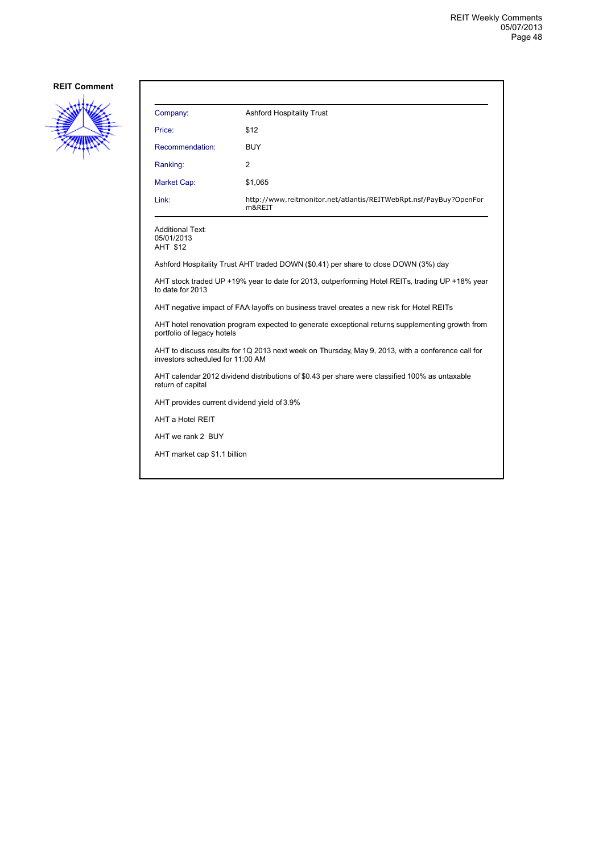

| Company:        | <b>Ashford Hospitality Trust</b>                                            |
|-----------------|-----------------------------------------------------------------------------|
| Price:          | \$12                                                                        |
| Recommendation: | <b>BUY</b>                                                                  |
| Ranking:        | 2                                                                           |
| Market Cap:     | \$1,065                                                                     |
| Link:           | http://www.reitmonitor.net/atlantis/REITWebRpt.nsf/PayBuy?OpenFor<br>m&REIT |

Additional Text: 05/01/2013 AHT \$12

Ashford Hospitality Trust AHT traded DOWN (\$0.41) per share to close DOWN (3%) day

AHT stock traded UP +19% year to date for 2013, outperforming Hotel REITs, trading UP +18% year to date for 2013

AHT negative impact of FAA layoffs on business travel creates a new risk for Hotel REITs

AHT hotel renovation program expected to generate exceptional returns supplementing growth from portfolio of legacy hotels

AHT to discuss results for 1Q 2013 next week on Thursday, May 9, 2013, with a conference call for investors scheduled for 11:00 AM

AHT calendar 2012 dividend distributions of \$0.43 per share were classified 100% as untaxable return of capital

AHT provides current dividend yield of 3.9%

AHT a Hotel REIT

AHT we rank 2 BUY

AHT market cap \$1.1 billion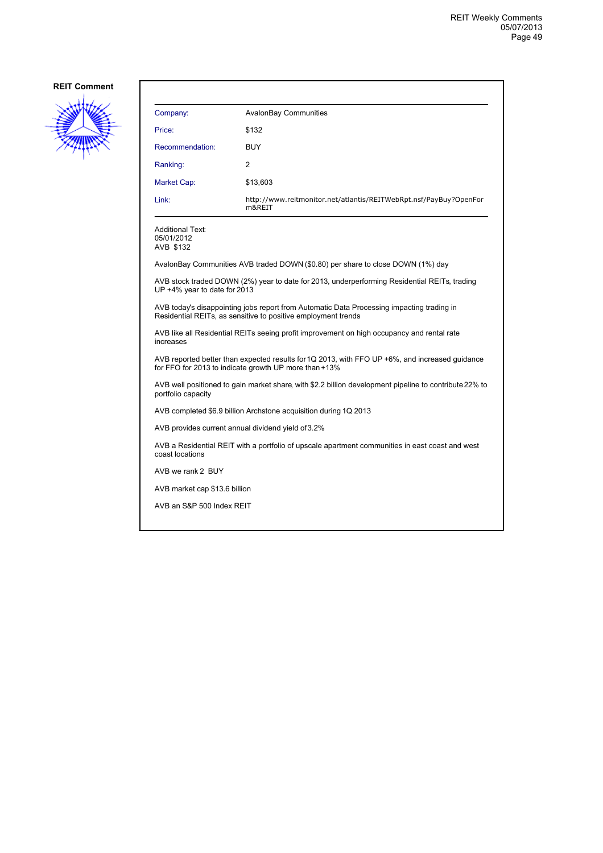

| Company:                                                                                                                                                   | <b>AvalonBay Communities</b>                                                    |  |
|------------------------------------------------------------------------------------------------------------------------------------------------------------|---------------------------------------------------------------------------------|--|
| Price:                                                                                                                                                     | \$132                                                                           |  |
| Recommendation:                                                                                                                                            | <b>BUY</b>                                                                      |  |
| Ranking:                                                                                                                                                   | 2                                                                               |  |
| Market Cap:                                                                                                                                                | \$13,603                                                                        |  |
| Link:                                                                                                                                                      | http://www.reitmonitor.net/atlantis/REITWebRpt.nsf/PayBuy?OpenFor<br>m&REIT     |  |
| <b>Additional Text:</b><br>05/01/2012<br>AVB \$132                                                                                                         |                                                                                 |  |
|                                                                                                                                                            | AvalonBay Communities AVB traded DOWN (\$0.80) per share to close DOWN (1%) day |  |
| AVB stock traded DOWN (2%) year to date for 2013, underperforming Residential REITs, trading<br>UP +4% year to date for 2013                               |                                                                                 |  |
| AVB today's disappointing jobs report from Automatic Data Processing impacting trading in<br>Residential REITs, as sensitive to positive employment trends |                                                                                 |  |
| AVB like all Residential REITs seeing profit improvement on high occupancy and rental rate<br>increases                                                    |                                                                                 |  |
| AVB reported better than expected results for 1Q 2013, with FFO UP +6%, and increased guidance<br>for FFO for 2013 to indicate growth UP more than +13%    |                                                                                 |  |
| AVB well positioned to gain market share, with \$2.2 billion development pipeline to contribute 22% to<br>portfolio capacity                               |                                                                                 |  |
| AVB completed \$6.9 billion Archstone acquisition during 1Q 2013                                                                                           |                                                                                 |  |
| AVB provides current annual dividend yield of 3.2%                                                                                                         |                                                                                 |  |
| AVB a Residential REIT with a portfolio of upscale apartment communities in east coast and west<br>coast locations                                         |                                                                                 |  |
| AVB we rank 2 BUY                                                                                                                                          |                                                                                 |  |
| AVB market cap \$13.6 billion                                                                                                                              |                                                                                 |  |
| AVB an S&P 500 Index REIT                                                                                                                                  |                                                                                 |  |
|                                                                                                                                                            |                                                                                 |  |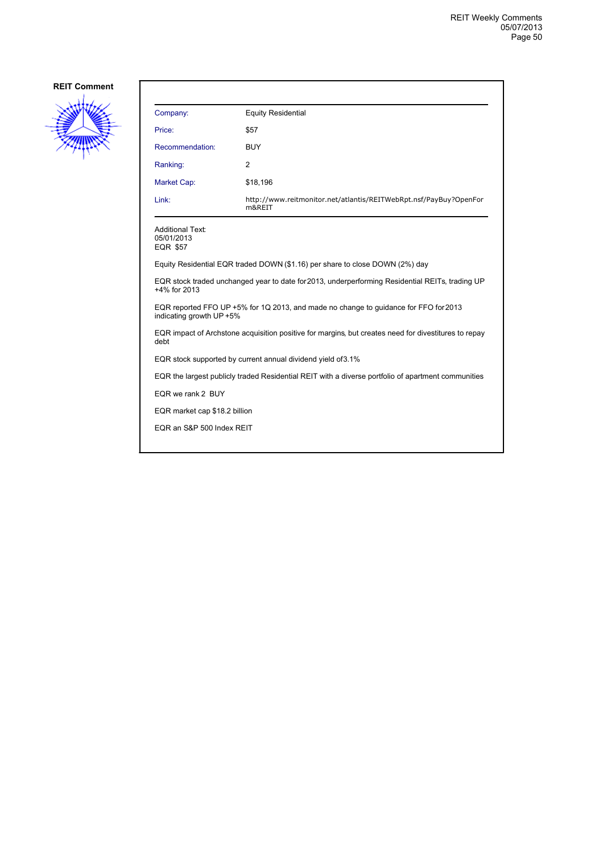

| Company:                                                                                                         | <b>Equity Residential</b>                                                   |  |
|------------------------------------------------------------------------------------------------------------------|-----------------------------------------------------------------------------|--|
| Price:                                                                                                           | \$57                                                                        |  |
| Recommendation:                                                                                                  | <b>BUY</b>                                                                  |  |
| Ranking:                                                                                                         | $\overline{2}$                                                              |  |
| Market Cap:                                                                                                      | \$18,196                                                                    |  |
| Link:                                                                                                            | http://www.reitmonitor.net/atlantis/REITWebRpt.nsf/PayBuy?OpenFor<br>m&REIT |  |
| <b>Additional Text:</b><br>05/01/2013<br><b>EQR \$57</b>                                                         |                                                                             |  |
| Equity Residential EQR traded DOWN (\$1.16) per share to close DOWN (2%) day                                     |                                                                             |  |
| EQR stock traded unchanged year to date for 2013, underperforming Residential REITs, trading UP<br>+4% for 2013  |                                                                             |  |
| EQR reported FFO UP +5% for 1Q 2013, and made no change to guidance for FFO for 2013<br>indicating growth UP +5% |                                                                             |  |
| EQR impact of Archstone acquisition positive for margins, but creates need for divestitures to repay<br>debt     |                                                                             |  |
| EQR stock supported by current annual dividend yield of 3.1%                                                     |                                                                             |  |
| EQR the largest publicly traded Residential REIT with a diverse portfolio of apartment communities               |                                                                             |  |
| EQR we rank 2 BUY                                                                                                |                                                                             |  |
| EQR market cap \$18.2 billion                                                                                    |                                                                             |  |
| EQR an S&P 500 Index REIT                                                                                        |                                                                             |  |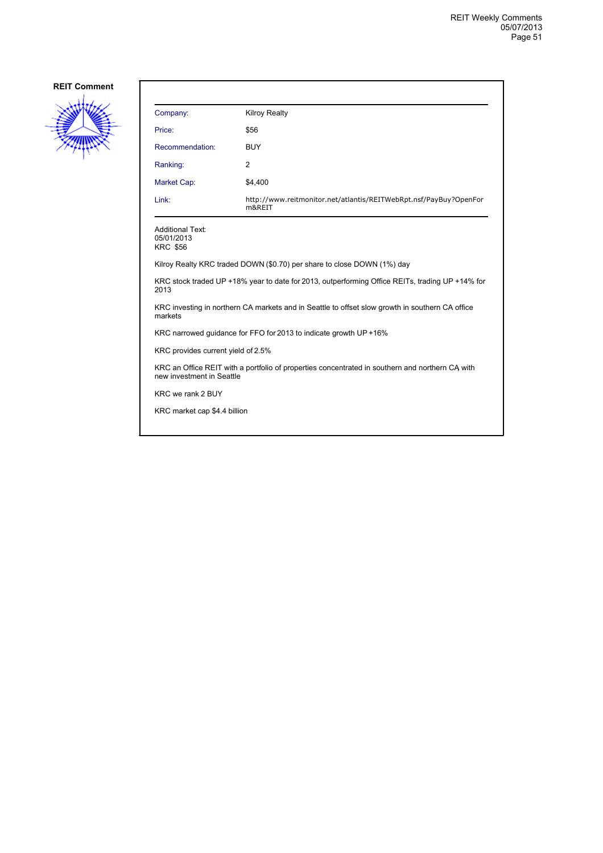

| Company:                                                                                                                     | <b>Kilroy Realty</b>                                                        |  |
|------------------------------------------------------------------------------------------------------------------------------|-----------------------------------------------------------------------------|--|
| Price:                                                                                                                       | \$56                                                                        |  |
| Recommendation:                                                                                                              | <b>BUY</b>                                                                  |  |
| Ranking:                                                                                                                     | $\overline{2}$                                                              |  |
| Market Cap:                                                                                                                  | \$4,400                                                                     |  |
| Link:                                                                                                                        | http://www.reitmonitor.net/atlantis/REITWebRpt.nsf/PayBuy?OpenFor<br>m&REIT |  |
| <b>Additional Text:</b><br>05/01/2013<br><b>KRC \$56</b>                                                                     |                                                                             |  |
|                                                                                                                              | Kilroy Realty KRC traded DOWN (\$0.70) per share to close DOWN (1%) day     |  |
| KRC stock traded UP +18% year to date for 2013, outperforming Office REITs, trading UP +14% for<br>2013                      |                                                                             |  |
| KRC investing in northern CA markets and in Seattle to offset slow growth in southern CA office<br>markets                   |                                                                             |  |
| KRC narrowed guidance for FFO for 2013 to indicate growth UP +16%                                                            |                                                                             |  |
| KRC provides current yield of 2.5%                                                                                           |                                                                             |  |
| KRC an Office REIT with a portfolio of properties concentrated in southern and northern CA with<br>new investment in Seattle |                                                                             |  |
| KRC we rank 2 BUY                                                                                                            |                                                                             |  |
| KRC market cap \$4.4 billion                                                                                                 |                                                                             |  |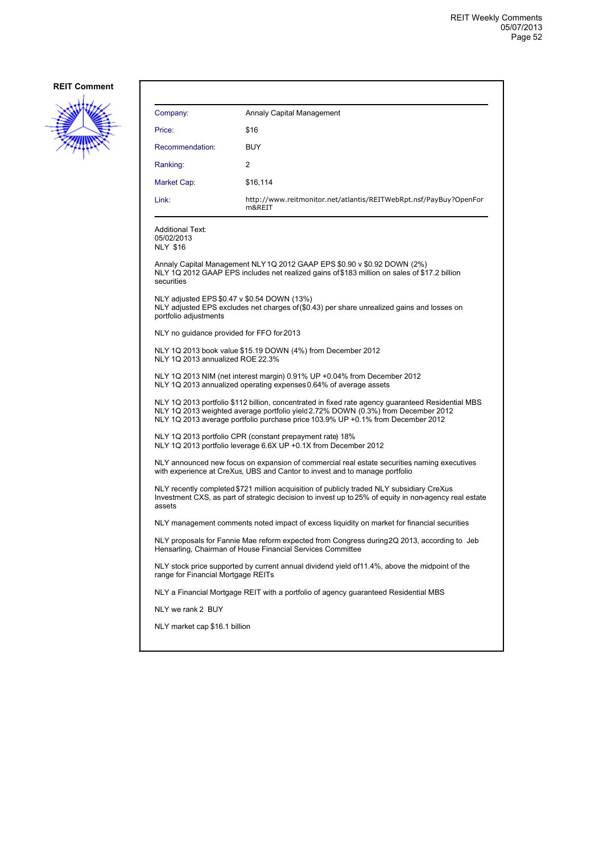

| Company:                                                                                                                                                                                                                                                                  | Annaly Capital Management                                                                                                                                               |  |
|---------------------------------------------------------------------------------------------------------------------------------------------------------------------------------------------------------------------------------------------------------------------------|-------------------------------------------------------------------------------------------------------------------------------------------------------------------------|--|
| Price:                                                                                                                                                                                                                                                                    | \$16                                                                                                                                                                    |  |
| Recommendation:                                                                                                                                                                                                                                                           | <b>BUY</b>                                                                                                                                                              |  |
| Ranking:                                                                                                                                                                                                                                                                  | 2                                                                                                                                                                       |  |
| Market Cap:                                                                                                                                                                                                                                                               | \$16,114                                                                                                                                                                |  |
| Link:                                                                                                                                                                                                                                                                     | http://www.reitmonitor.net/atlantis/REITWebRpt.nsf/PayBuy?OpenFor<br>m&REIT                                                                                             |  |
| <b>Additional Text:</b><br>05/02/2013<br><b>NLY \$16</b>                                                                                                                                                                                                                  |                                                                                                                                                                         |  |
| securities                                                                                                                                                                                                                                                                | Annaly Capital Management NLY1Q 2012 GAAP EPS \$0.90 v \$0.92 DOWN (2%)<br>NLY 1Q 2012 GAAP EPS includes net realized gains of \$183 million on sales of \$17.2 billion |  |
| portfolio adjustments                                                                                                                                                                                                                                                     | NLY adjusted EPS \$0.47 v \$0.54 DOWN (13%)<br>NLY adjusted EPS excludes net charges of (\$0.43) per share unrealized gains and losses on                               |  |
| NLY no guidance provided for FFO for 2013                                                                                                                                                                                                                                 |                                                                                                                                                                         |  |
| NLY 1Q 2013 annualized ROE 22.3%                                                                                                                                                                                                                                          | NLY 1Q 2013 book value \$15.19 DOWN (4%) from December 2012                                                                                                             |  |
| NLY 1Q 2013 NIM (net interest margin) 0.91% UP +0.04% from December 2012<br>NLY 1Q 2013 annualized operating expenses 0.64% of average assets                                                                                                                             |                                                                                                                                                                         |  |
| NLY 1Q 2013 portfolio \$112 billion, concentrated in fixed rate agency guaranteed Residential MBS<br>NLY 1Q 2013 weighted average portfolio yield 2.72% DOWN (0.3%) from December 2012<br>NLY 1Q 2013 average portfolio purchase price 103.9% UP +0.1% from December 2012 |                                                                                                                                                                         |  |
| NLY 1Q 2013 portfolio CPR (constant prepayment rate) 18%<br>NLY 1Q 2013 portfolio leverage 6.6X UP +0.1X from December 2012                                                                                                                                               |                                                                                                                                                                         |  |
| NLY announced new focus on expansion of commercial real estate securities naming executives<br>with experience at CreXus, UBS and Cantor to invest and to manage portfolio                                                                                                |                                                                                                                                                                         |  |
| NLY recently completed \$721 million acquisition of publicly traded NLY subsidiary CreXus<br>Investment CXS, as part of strategic decision to invest up to 25% of equity in non-agency real estate<br>assets                                                              |                                                                                                                                                                         |  |
| NLY management comments noted impact of excess liquidity on market for financial securities                                                                                                                                                                               |                                                                                                                                                                         |  |
| NLY proposals for Fannie Mae reform expected from Congress during 2Q 2013, according to Jeb<br>Hensarling, Chairman of House Financial Services Committee                                                                                                                 |                                                                                                                                                                         |  |
| NLY stock price supported by current annual dividend yield of 11.4%, above the midpoint of the<br>range for Financial Mortgage REITs                                                                                                                                      |                                                                                                                                                                         |  |
|                                                                                                                                                                                                                                                                           | NLY a Financial Mortgage REIT with a portfolio of agency guaranteed Residential MBS                                                                                     |  |
| NLY we rank 2 BUY                                                                                                                                                                                                                                                         |                                                                                                                                                                         |  |
| NLY market cap \$16.1 billion                                                                                                                                                                                                                                             |                                                                                                                                                                         |  |
|                                                                                                                                                                                                                                                                           |                                                                                                                                                                         |  |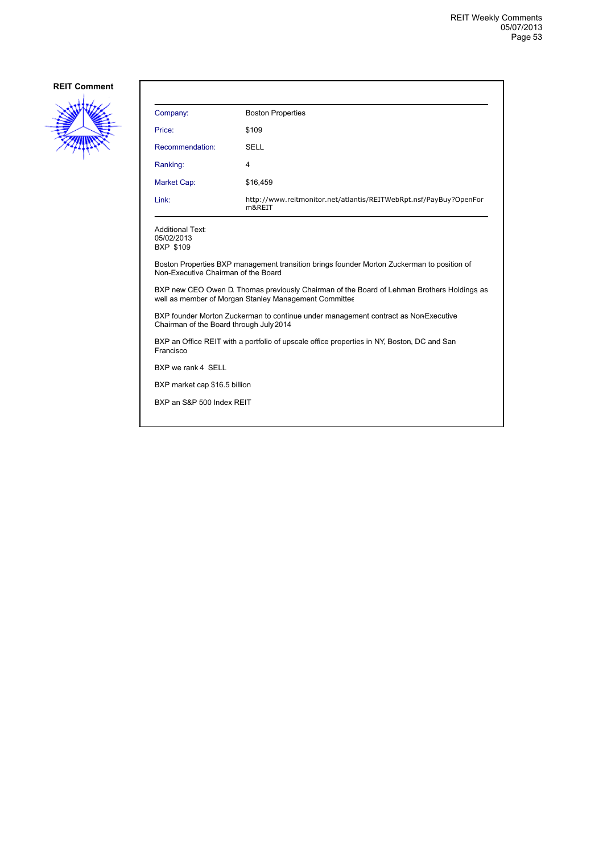

| Company:                                                                                                                                            | <b>Boston Properties</b>                                                    |  |
|-----------------------------------------------------------------------------------------------------------------------------------------------------|-----------------------------------------------------------------------------|--|
| Price:                                                                                                                                              | \$109                                                                       |  |
| Recommendation:                                                                                                                                     | <b>SELL</b>                                                                 |  |
| Ranking:                                                                                                                                            | 4                                                                           |  |
| Market Cap:                                                                                                                                         | \$16,459                                                                    |  |
| Link:                                                                                                                                               | http://www.reitmonitor.net/atlantis/REITWebRpt.nsf/PayBuy?OpenFor<br>m&REIT |  |
| <b>Additional Text:</b><br>05/02/2013<br><b>BXP \$109</b>                                                                                           |                                                                             |  |
| Boston Properties BXP management transition brings founder Morton Zuckerman to position of<br>Non-Executive Chairman of the Board                   |                                                                             |  |
| BXP new CEO Owen D. Thomas previously Chairman of the Board of Lehman Brothers Holdings as<br>well as member of Morgan Stanley Management Committee |                                                                             |  |
| BXP founder Morton Zuckerman to continue under management contract as Non-Executive<br>Chairman of the Board through July 2014                      |                                                                             |  |
| BXP an Office REIT with a portfolio of upscale office properties in NY, Boston, DC and San<br>Francisco                                             |                                                                             |  |
| BXP we rank 4 SELL                                                                                                                                  |                                                                             |  |
| BXP market cap \$16.5 billion                                                                                                                       |                                                                             |  |
| BXP an S&P 500 Index REIT                                                                                                                           |                                                                             |  |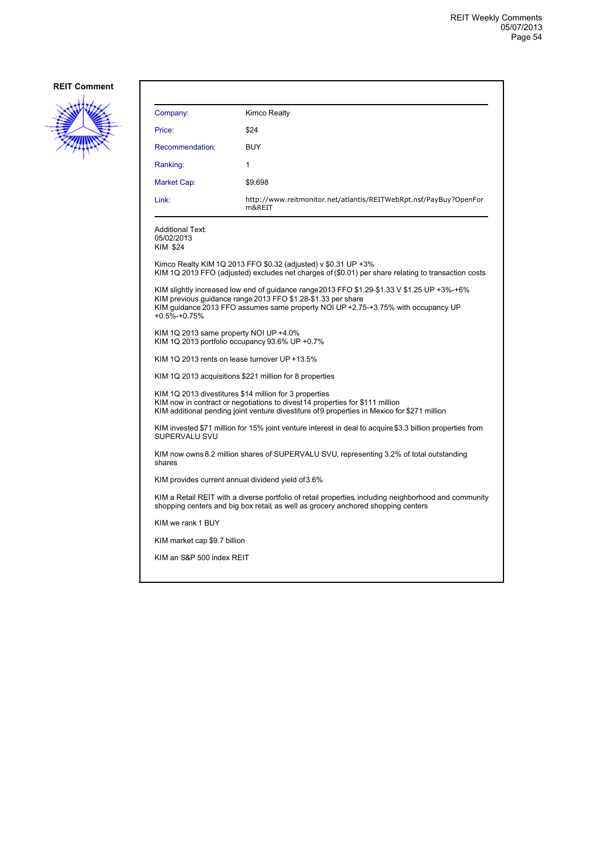

| Company:                                                                                                                                                                                                                                                          | Kimco Realty                                                                                                                                                          |  |
|-------------------------------------------------------------------------------------------------------------------------------------------------------------------------------------------------------------------------------------------------------------------|-----------------------------------------------------------------------------------------------------------------------------------------------------------------------|--|
| Price:                                                                                                                                                                                                                                                            | \$24                                                                                                                                                                  |  |
| Recommendation:                                                                                                                                                                                                                                                   | BUY                                                                                                                                                                   |  |
| Ranking:                                                                                                                                                                                                                                                          | 1                                                                                                                                                                     |  |
| Market Cap:                                                                                                                                                                                                                                                       | \$9,698                                                                                                                                                               |  |
| Link:                                                                                                                                                                                                                                                             | http://www.reitmonitor.net/atlantis/REITWebRpt.nsf/PayBuy?OpenFor<br>m&REIT                                                                                           |  |
| <b>Additional Text:</b><br>05/02/2013<br>KIM \$24                                                                                                                                                                                                                 |                                                                                                                                                                       |  |
|                                                                                                                                                                                                                                                                   | Kimco Realty KIM 1Q 2013 FFO \$0.32 (adjusted) v \$0.31 UP +3%<br>KIM 1Q 2013 FFO (adjusted) excludes net charges of (\$0.01) per share relating to transaction costs |  |
| KIM slightly increased low end of quidance range2013 FFO \$1.29-\$1.33 V \$1.25 UP +3%-+6%<br>KIM previous quidance range 2013 FFO \$1.28-\$1.33 per share<br>KIM guidance 2013 FFO assumes same property NOI UP +2.75-+3.75% with occupancy UP<br>$+0.5% +0.75%$ |                                                                                                                                                                       |  |
| KIM 1Q 2013 same property NOI UP +4.0%<br>KIM 1Q 2013 portfolio occupancy 93.6% UP +0.7%                                                                                                                                                                          |                                                                                                                                                                       |  |
| KIM 1Q 2013 rents on lease turnover UP +13.5%                                                                                                                                                                                                                     |                                                                                                                                                                       |  |
| KIM 1Q 2013 acquisitions \$221 million for 8 properties                                                                                                                                                                                                           |                                                                                                                                                                       |  |
| KIM 1Q 2013 divestitures \$14 million for 3 properties<br>KIM now in contract or negotiations to divest 14 properties for \$111 million<br>KIM additional pending joint venture divestiture of 9 properties in Mexico for \$271 million                           |                                                                                                                                                                       |  |
| KIM invested \$71 million for 15% joint venture interest in deal to acquire \$3.3 billion properties from<br>SUPERVALU SVU                                                                                                                                        |                                                                                                                                                                       |  |
| KIM now owns 8.2 million shares of SUPERVALU SVU, representing 3.2% of total outstanding<br>shares                                                                                                                                                                |                                                                                                                                                                       |  |
| KIM provides current annual dividend yield of 3.6%                                                                                                                                                                                                                |                                                                                                                                                                       |  |
| KIM a Retail REIT with a diverse portfolio of retail properties including neighborhood and community<br>shopping centers and big box retail, as well as grocery anchored shopping centers                                                                         |                                                                                                                                                                       |  |
| KIM we rank 1 BUY                                                                                                                                                                                                                                                 |                                                                                                                                                                       |  |
| KIM market cap \$9.7 billion                                                                                                                                                                                                                                      |                                                                                                                                                                       |  |
| KIM an S&P 500 index REIT                                                                                                                                                                                                                                         |                                                                                                                                                                       |  |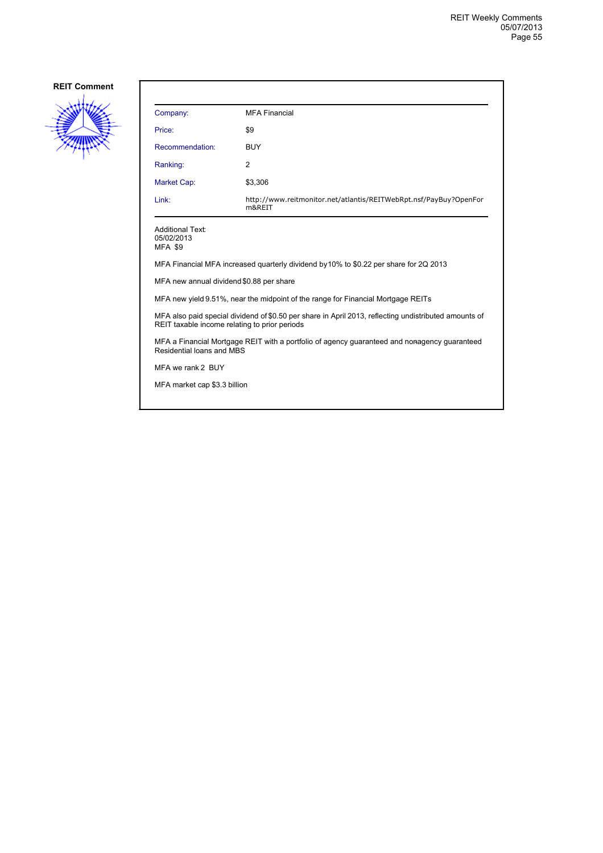

| Company:                                                                                                                                               | <b>MFA Financial</b>                                                        |  |
|--------------------------------------------------------------------------------------------------------------------------------------------------------|-----------------------------------------------------------------------------|--|
| Price:                                                                                                                                                 | \$9                                                                         |  |
| Recommendation:                                                                                                                                        | <b>BUY</b>                                                                  |  |
| Ranking:                                                                                                                                               | 2                                                                           |  |
| <b>Market Cap:</b>                                                                                                                                     | \$3,306                                                                     |  |
| Link:                                                                                                                                                  | http://www.reitmonitor.net/atlantis/REITWebRpt.nsf/PayBuy?OpenFor<br>m&REIT |  |
| <b>Additional Text:</b><br>05/02/2013<br><b>MFA \$9</b>                                                                                                |                                                                             |  |
| MFA Financial MFA increased quarterly dividend by 10% to \$0.22 per share for 2Q 2013                                                                  |                                                                             |  |
| MFA new annual dividend \$0.88 per share                                                                                                               |                                                                             |  |
| MFA new yield 9.51%, near the midpoint of the range for Financial Mortgage REITs                                                                       |                                                                             |  |
| MFA also paid special dividend of \$0.50 per share in April 2013, reflecting undistributed amounts of<br>REIT taxable income relating to prior periods |                                                                             |  |
| MFA a Financial Mortgage REIT with a portfolio of agency guaranteed and nonagency guaranteed<br>Residential loans and MBS                              |                                                                             |  |
| MFA we rank 2 BUY                                                                                                                                      |                                                                             |  |
| MFA market cap \$3.3 billion                                                                                                                           |                                                                             |  |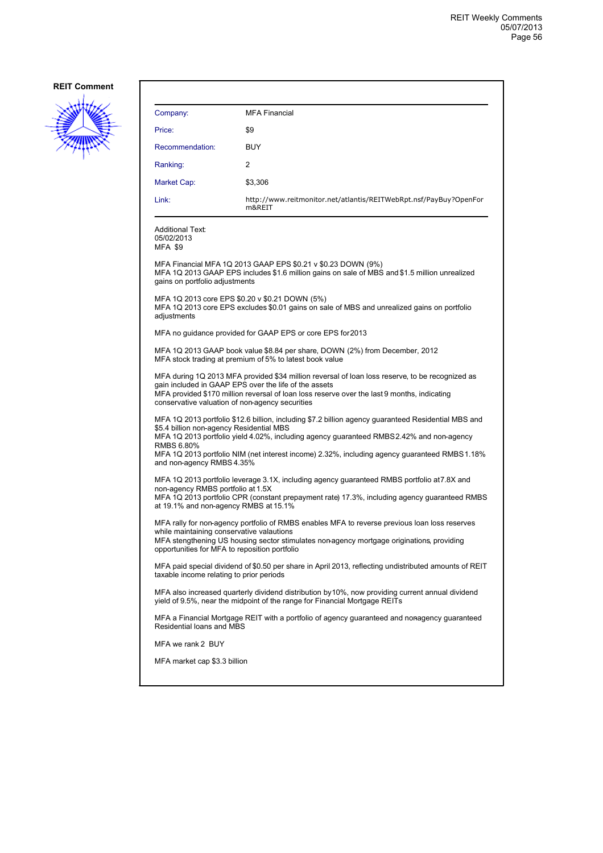

| Company:                                                                                                                                                                                                                                                                                                                                                                                | <b>MFA Financial</b>                                                                                                                                          |  |
|-----------------------------------------------------------------------------------------------------------------------------------------------------------------------------------------------------------------------------------------------------------------------------------------------------------------------------------------------------------------------------------------|---------------------------------------------------------------------------------------------------------------------------------------------------------------|--|
| Price:                                                                                                                                                                                                                                                                                                                                                                                  | \$9                                                                                                                                                           |  |
| Recommendation:                                                                                                                                                                                                                                                                                                                                                                         | <b>BUY</b>                                                                                                                                                    |  |
| Ranking:                                                                                                                                                                                                                                                                                                                                                                                | 2                                                                                                                                                             |  |
| Market Cap:                                                                                                                                                                                                                                                                                                                                                                             | \$3,306                                                                                                                                                       |  |
| Link:                                                                                                                                                                                                                                                                                                                                                                                   | http://www.reitmonitor.net/atlantis/REITWebRpt.nsf/PayBuy?OpenFor<br>m&REIT                                                                                   |  |
| <b>Additional Text:</b><br>05/02/2013<br><b>MFA \$9</b>                                                                                                                                                                                                                                                                                                                                 |                                                                                                                                                               |  |
| gains on portfolio adjustments                                                                                                                                                                                                                                                                                                                                                          | MFA Financial MFA 1Q 2013 GAAP EPS \$0.21 v \$0.23 DOWN (9%)<br>MFA 1Q 2013 GAAP EPS includes \$1.6 million gains on sale of MBS and \$1.5 million unrealized |  |
| MFA 1Q 2013 core EPS \$0.20 v \$0.21 DOWN (5%)<br>MFA 1Q 2013 core EPS excludes \$0.01 gains on sale of MBS and unrealized gains on portfolio<br>adjustments                                                                                                                                                                                                                            |                                                                                                                                                               |  |
|                                                                                                                                                                                                                                                                                                                                                                                         | MFA no guidance provided for GAAP EPS or core EPS for 2013                                                                                                    |  |
| MFA 1Q 2013 GAAP book value \$8.84 per share, DOWN (2%) from December, 2012<br>MFA stock trading at premium of 5% to latest book value                                                                                                                                                                                                                                                  |                                                                                                                                                               |  |
| MFA during 1Q 2013 MFA provided \$34 million reversal of loan loss reserve, to be recognized as<br>gain included in GAAP EPS over the life of the assets<br>MFA provided \$170 million reversal of loan loss reserve over the last 9 months, indicating<br>conservative valuation of non-agency securities                                                                              |                                                                                                                                                               |  |
| MFA 1Q 2013 portfolio \$12.6 billion, including \$7.2 billion agency guaranteed Residential MBS and<br>\$5.4 billion non-agency Residential MBS<br>MFA 1Q 2013 portfolio yield 4.02%, including agency guaranteed RMBS 2.42% and non-agency<br>RMBS 6.80%<br>MFA 1Q 2013 portfolio NIM (net interest income) 2.32%, including agency guaranteed RMBS 1.18%<br>and non-agency RMBS 4.35% |                                                                                                                                                               |  |
| MFA 1Q 2013 portfolio leverage 3.1X, including agency guaranteed RMBS portfolio at 7.8X and<br>non-agency RMBS portfolio at 1.5X<br>MFA 1Q 2013 portfolio CPR (constant prepayment rate) 17.3%, including agency guaranteed RMBS<br>at 19.1% and non-agency RMBS at 15.1%                                                                                                               |                                                                                                                                                               |  |
| MFA rally for non-agency portfolio of RMBS enables MFA to reverse previous loan loss reserves<br>while maintaining conservative valautions<br>MFA stengthening US housing sector stimulates non-agency mortgage originations, providing<br>opportunities for MFA to reposition portfolio                                                                                                |                                                                                                                                                               |  |
| MFA paid special dividend of \$0.50 per share in April 2013, reflecting undistributed amounts of REIT<br>taxable income relating to prior periods                                                                                                                                                                                                                                       |                                                                                                                                                               |  |
| MFA also increased quarterly dividend distribution by 10%, now providing current annual dividend<br>yield of 9.5%, near the midpoint of the range for Financial Mortgage REITs                                                                                                                                                                                                          |                                                                                                                                                               |  |
|                                                                                                                                                                                                                                                                                                                                                                                         | MFA a Financial Mortgage REIT with a portfolio of agency guaranteed and nonagency guaranteed<br>Residential loans and MBS                                     |  |
| MFA we rank 2 BUY                                                                                                                                                                                                                                                                                                                                                                       |                                                                                                                                                               |  |
| MFA market cap \$3.3 billion                                                                                                                                                                                                                                                                                                                                                            |                                                                                                                                                               |  |
|                                                                                                                                                                                                                                                                                                                                                                                         |                                                                                                                                                               |  |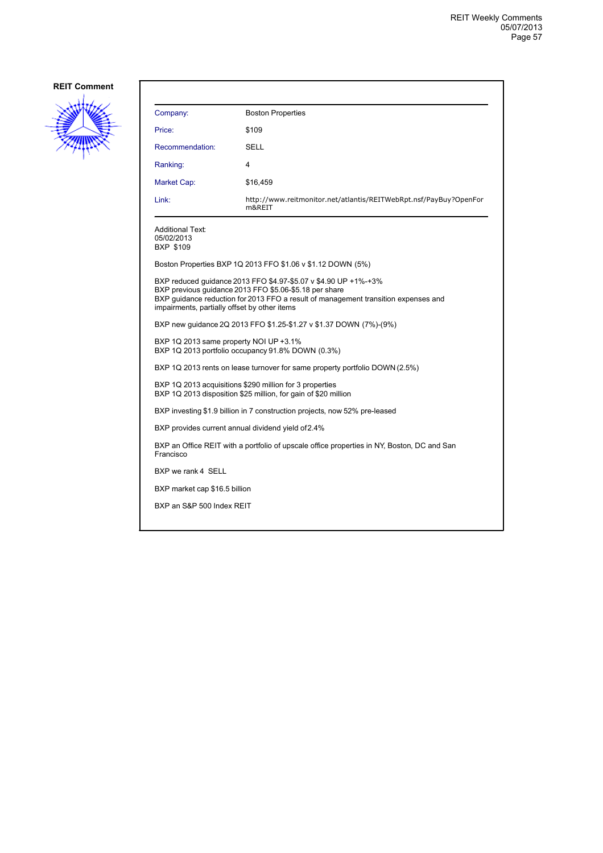

| Company:                                                                                                                                                                                                                                                        | <b>Boston Properties</b>                                                    |  |
|-----------------------------------------------------------------------------------------------------------------------------------------------------------------------------------------------------------------------------------------------------------------|-----------------------------------------------------------------------------|--|
| Price:                                                                                                                                                                                                                                                          | \$109                                                                       |  |
| Recommendation:                                                                                                                                                                                                                                                 | SELL                                                                        |  |
| Ranking:                                                                                                                                                                                                                                                        | 4                                                                           |  |
| Market Cap:                                                                                                                                                                                                                                                     | \$16,459                                                                    |  |
| Link:                                                                                                                                                                                                                                                           | http://www.reitmonitor.net/atlantis/REITWebRpt.nsf/PayBuy?OpenFor<br>m&REIT |  |
| <b>Additional Text:</b><br>05/02/2013<br>BXP \$109                                                                                                                                                                                                              |                                                                             |  |
|                                                                                                                                                                                                                                                                 | Boston Properties BXP 1Q 2013 FFO \$1.06 v \$1.12 DOWN (5%)                 |  |
| BXP reduced guidance 2013 FFO \$4.97-\$5.07 v \$4.90 UP +1%-+3%<br>BXP previous quidance 2013 FFO \$5.06-\$5.18 per share<br>BXP guidance reduction for 2013 FFO a result of management transition expenses and<br>impairments, partially offset by other items |                                                                             |  |
| BXP new quidance 2Q 2013 FFO \$1.25-\$1.27 v \$1.37 DOWN (7%)-(9%)                                                                                                                                                                                              |                                                                             |  |
| BXP 1Q 2013 same property NOI UP +3.1%<br>BXP 1Q 2013 portfolio occupancy 91.8% DOWN (0.3%)                                                                                                                                                                     |                                                                             |  |
| BXP 1Q 2013 rents on lease turnover for same property portfolio DOWN (2.5%)                                                                                                                                                                                     |                                                                             |  |
| BXP 1Q 2013 acquisitions \$290 million for 3 properties<br>BXP 1Q 2013 disposition \$25 million, for gain of \$20 million                                                                                                                                       |                                                                             |  |
| BXP investing \$1.9 billion in 7 construction projects, now 52% pre-leased                                                                                                                                                                                      |                                                                             |  |
| BXP provides current annual dividend yield of 2.4%                                                                                                                                                                                                              |                                                                             |  |
| BXP an Office REIT with a portfolio of upscale office properties in NY, Boston, DC and San<br>Francisco                                                                                                                                                         |                                                                             |  |
| BXP we rank 4 SELL                                                                                                                                                                                                                                              |                                                                             |  |
| BXP market cap \$16.5 billion                                                                                                                                                                                                                                   |                                                                             |  |
| BXP an S&P 500 Index REIT                                                                                                                                                                                                                                       |                                                                             |  |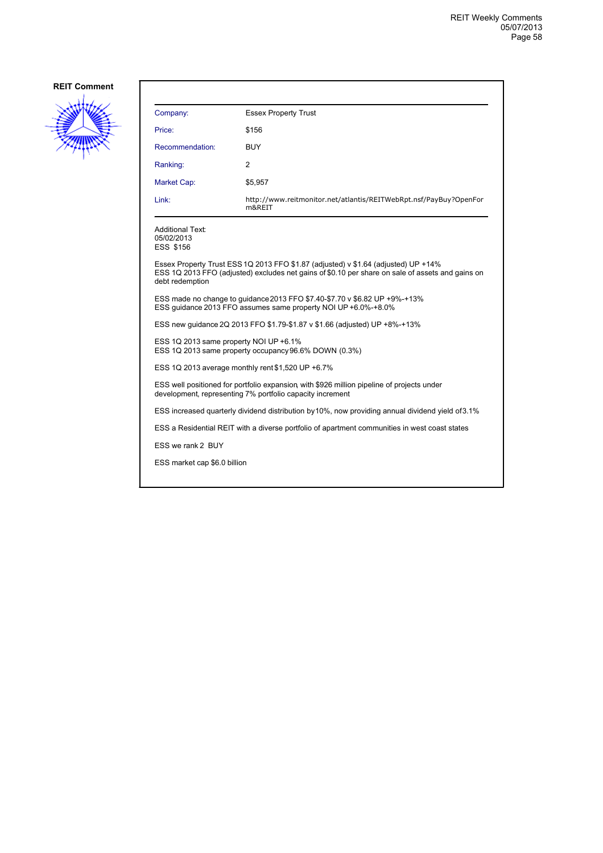

| Company:                                                                                                                                                                                                  | <b>Essex Property Trust</b>                                                 |  |
|-----------------------------------------------------------------------------------------------------------------------------------------------------------------------------------------------------------|-----------------------------------------------------------------------------|--|
| Price:                                                                                                                                                                                                    | \$156                                                                       |  |
| Recommendation:                                                                                                                                                                                           | BUY                                                                         |  |
| Ranking:                                                                                                                                                                                                  | 2                                                                           |  |
| Market Cap:                                                                                                                                                                                               | \$5,957                                                                     |  |
| Link:                                                                                                                                                                                                     | http://www.reitmonitor.net/atlantis/REITWebRpt.nsf/PayBuy?OpenFor<br>m&REIT |  |
| <b>Additional Text:</b><br>05/02/2013<br><b>ESS \$156</b>                                                                                                                                                 |                                                                             |  |
| Essex Property Trust ESS 1Q 2013 FFO \$1.87 (adjusted) v \$1.64 (adjusted) UP +14%<br>ESS 1Q 2013 FFO (adjusted) excludes net gains of \$0.10 per share on sale of assets and gains on<br>debt redemption |                                                                             |  |
| ESS made no change to guidance 2013 FFO \$7.40-\$7.70 v \$6.82 UP +9%-+13%<br>ESS quidance 2013 FFO assumes same property NOI UP +6.0%-+8.0%                                                              |                                                                             |  |
| ESS new guidance 2Q 2013 FFO \$1.79-\$1.87 v \$1.66 (adjusted) UP +8%-+13%                                                                                                                                |                                                                             |  |
| ESS 1Q 2013 same property NOI UP +6.1%<br>ESS 1Q 2013 same property occupancy 96.6% DOWN (0.3%)                                                                                                           |                                                                             |  |
| ESS 1Q 2013 average monthly rent \$1,520 UP +6.7%                                                                                                                                                         |                                                                             |  |
| ESS well positioned for portfolio expansion, with \$926 million pipeline of projects under<br>development, representing 7% portfolio capacity increment                                                   |                                                                             |  |
| ESS increased quarterly dividend distribution by 10%, now providing annual dividend yield of 3.1%                                                                                                         |                                                                             |  |
| ESS a Residential REIT with a diverse portfolio of apartment communities in west coast states                                                                                                             |                                                                             |  |
| ESS we rank 2 BUY                                                                                                                                                                                         |                                                                             |  |
| ESS market cap \$6.0 billion                                                                                                                                                                              |                                                                             |  |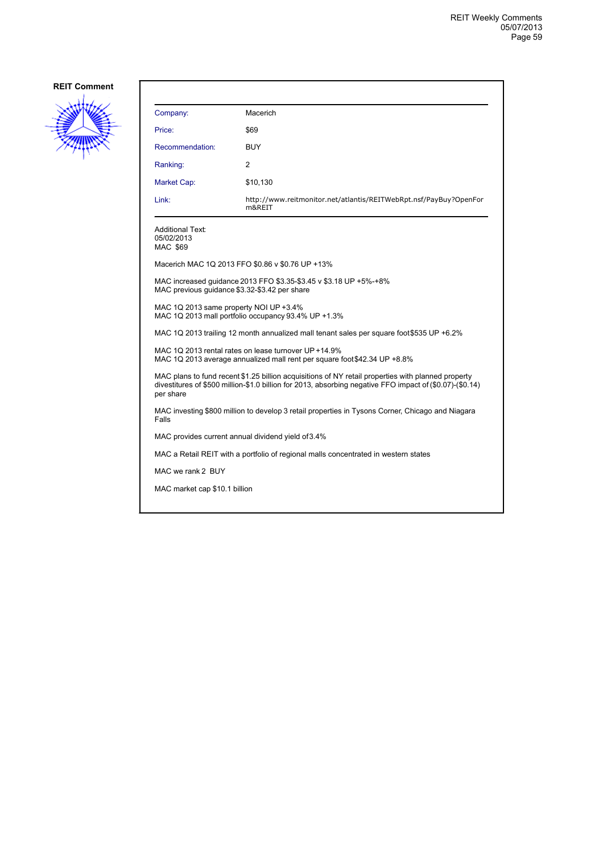

| Company:                                                                                                                                                                                                                    | Macerich                                                                    |  |
|-----------------------------------------------------------------------------------------------------------------------------------------------------------------------------------------------------------------------------|-----------------------------------------------------------------------------|--|
| Price:                                                                                                                                                                                                                      | \$69                                                                        |  |
| Recommendation:                                                                                                                                                                                                             | BUY                                                                         |  |
| Ranking:                                                                                                                                                                                                                    | 2                                                                           |  |
| Market Cap:                                                                                                                                                                                                                 | \$10,130                                                                    |  |
| Link:                                                                                                                                                                                                                       | http://www.reitmonitor.net/atlantis/REITWebRpt.nsf/PayBuy?OpenFor<br>m&REIT |  |
| <b>Additional Text:</b><br>05/02/2013<br>MAC \$69                                                                                                                                                                           |                                                                             |  |
|                                                                                                                                                                                                                             | Macerich MAC 1Q 2013 FFO \$0.86 v \$0.76 UP +13%                            |  |
| MAC increased guidance 2013 FFO \$3.35-\$3.45 v \$3.18 UP +5%-+8%<br>MAC previous guidance \$3.32-\$3.42 per share                                                                                                          |                                                                             |  |
| MAC 1Q 2013 same property NOI UP +3.4%<br>MAC 1Q 2013 mall portfolio occupancy 93.4% UP +1.3%                                                                                                                               |                                                                             |  |
| MAC 1Q 2013 trailing 12 month annualized mall tenant sales per square foot \$535 UP +6.2%                                                                                                                                   |                                                                             |  |
| MAC 1Q 2013 rental rates on lease turnover UP +14.9%<br>MAC 1Q 2013 average annualized mall rent per square foot \$42.34 UP +8.8%                                                                                           |                                                                             |  |
| MAC plans to fund recent \$1.25 billion acquisitions of NY retail properties with planned property<br>divestitures of \$500 million-\$1.0 billion for 2013, absorbing negative FFO impact of (\$0.07)-(\$0.14)<br>per share |                                                                             |  |
| MAC investing \$800 million to develop 3 retail properties in Tysons Corner, Chicago and Niagara<br>Falls                                                                                                                   |                                                                             |  |
| MAC provides current annual dividend yield of 3.4%                                                                                                                                                                          |                                                                             |  |
| MAC a Retail REIT with a portfolio of regional malls concentrated in western states                                                                                                                                         |                                                                             |  |
| MAC we rank 2 BUY                                                                                                                                                                                                           |                                                                             |  |
| MAC market cap \$10.1 billion                                                                                                                                                                                               |                                                                             |  |
|                                                                                                                                                                                                                             |                                                                             |  |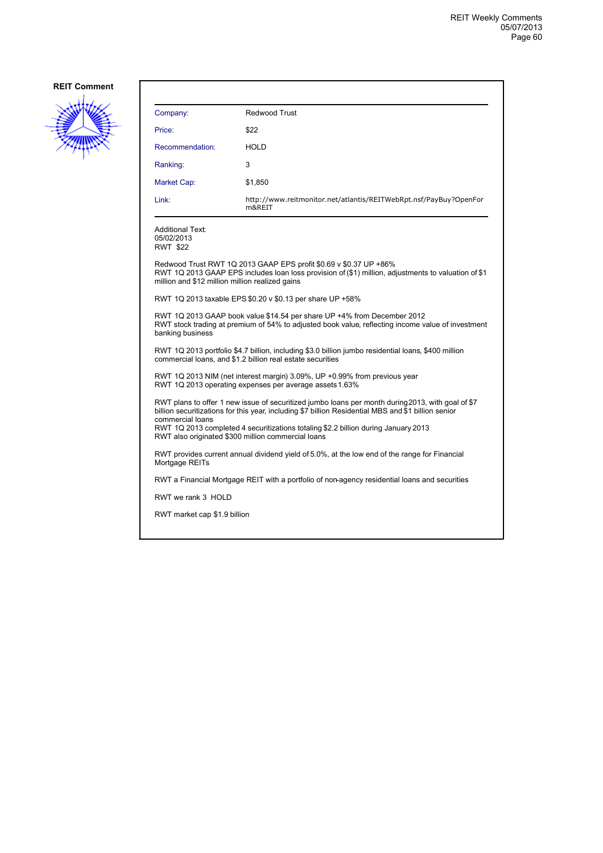

| Company:                                                                                                                                                                                                                                                                                                                                                                 | Redwood Trust                                                                                 |  |
|--------------------------------------------------------------------------------------------------------------------------------------------------------------------------------------------------------------------------------------------------------------------------------------------------------------------------------------------------------------------------|-----------------------------------------------------------------------------------------------|--|
| Price:                                                                                                                                                                                                                                                                                                                                                                   | \$22                                                                                          |  |
| Recommendation:                                                                                                                                                                                                                                                                                                                                                          | <b>HOLD</b>                                                                                   |  |
| Ranking:                                                                                                                                                                                                                                                                                                                                                                 | 3                                                                                             |  |
| Market Cap:                                                                                                                                                                                                                                                                                                                                                              | \$1,850                                                                                       |  |
| Link:                                                                                                                                                                                                                                                                                                                                                                    | http://www.reitmonitor.net/atlantis/REITWebRpt.nsf/PayBuy?OpenFor<br>m&REIT                   |  |
| <b>Additional Text:</b><br>05/02/2013<br><b>RWT \$22</b>                                                                                                                                                                                                                                                                                                                 |                                                                                               |  |
| Redwood Trust RWT 1Q 2013 GAAP EPS profit \$0.69 v \$0.37 UP +86%<br>RWT 1Q 2013 GAAP EPS includes loan loss provision of (\$1) million, adjustments to valuation of \$1<br>million and \$12 million million realized gains                                                                                                                                              |                                                                                               |  |
| RWT 1Q 2013 taxable EPS \$0.20 v \$0.13 per share UP +58%                                                                                                                                                                                                                                                                                                                |                                                                                               |  |
| RWT 1Q 2013 GAAP book value \$14.54 per share UP +4% from December 2012<br>RWT stock trading at premium of 54% to adjusted book value, reflecting income value of investment<br>banking business                                                                                                                                                                         |                                                                                               |  |
| RWT 1Q 2013 portfolio \$4.7 billion, including \$3.0 billion jumbo residential loans, \$400 million<br>commercial loans, and \$1.2 billion real estate securities                                                                                                                                                                                                        |                                                                                               |  |
| RWT 1Q 2013 NIM (net interest margin) 3.09%, UP +0.99% from previous year<br>RWT 1Q 2013 operating expenses per average assets 1.63%                                                                                                                                                                                                                                     |                                                                                               |  |
| RWT plans to offer 1 new issue of securitized jumbo loans per month during 2013, with goal of \$7<br>billion securitizations for this year, including \$7 billion Residential MBS and \$1 billion senior<br>commercial loans<br>RWT 1Q 2013 completed 4 securitizations totaling \$2.2 billion during January 2013<br>RWT also originated \$300 million commercial loans |                                                                                               |  |
| Mortgage REITs                                                                                                                                                                                                                                                                                                                                                           | RWT provides current annual dividend yield of 5.0%, at the low end of the range for Financial |  |
|                                                                                                                                                                                                                                                                                                                                                                          | RWT a Financial Mortgage REIT with a portfolio of non-agency residential loans and securities |  |
| RWT we rank 3 HOLD                                                                                                                                                                                                                                                                                                                                                       |                                                                                               |  |
| RWT market cap \$1.9 billion                                                                                                                                                                                                                                                                                                                                             |                                                                                               |  |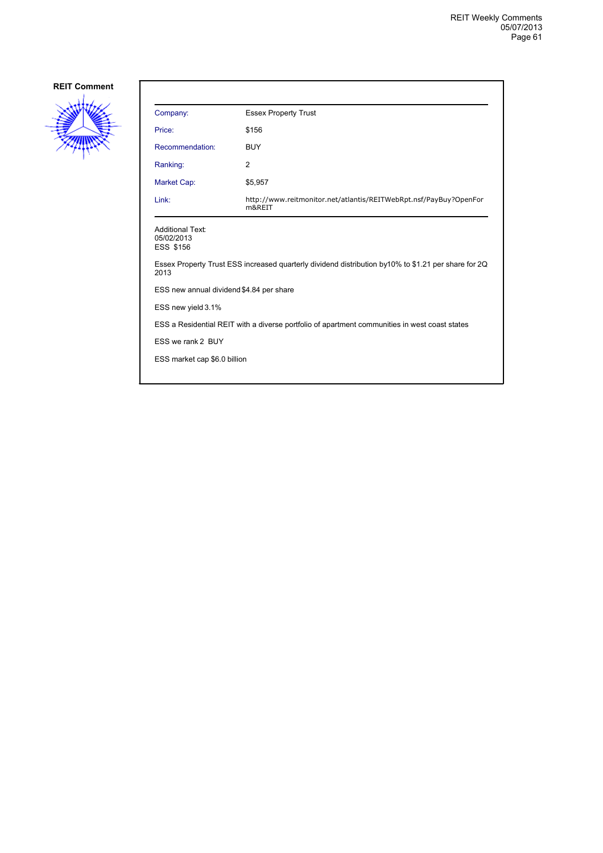

| Company:                                                  | <b>Essex Property Trust</b>                                                                          |
|-----------------------------------------------------------|------------------------------------------------------------------------------------------------------|
| Price:                                                    | \$156                                                                                                |
| Recommendation:                                           | <b>BUY</b>                                                                                           |
| Ranking:                                                  | 2                                                                                                    |
| Market Cap:                                               | \$5,957                                                                                              |
| Link:                                                     | http://www.reitmonitor.net/atlantis/REITWebRpt.nsf/PayBuy?OpenFor<br>m&REIT                          |
| <b>Additional Text:</b><br>05/02/2013<br><b>ESS \$156</b> |                                                                                                      |
| 2013                                                      | Essex Property Trust ESS increased quarterly dividend distribution by 10% to \$1.21 per share for 2Q |
| ESS new annual dividend \$4.84 per share                  |                                                                                                      |
| ESS new yield 3.1%                                        |                                                                                                      |
|                                                           | ESS a Residential REIT with a diverse portfolio of apartment communities in west coast states        |
| ESS we rank 2 BUY                                         |                                                                                                      |
|                                                           |                                                                                                      |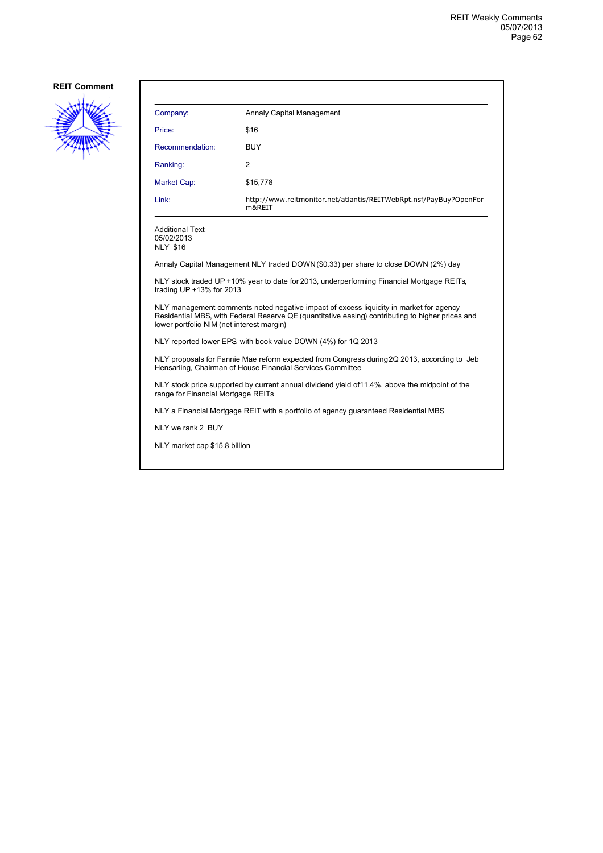

| Company:                                                 | Annaly Capital Management                                                                                                                                                                  |
|----------------------------------------------------------|--------------------------------------------------------------------------------------------------------------------------------------------------------------------------------------------|
| Price:                                                   | \$16                                                                                                                                                                                       |
| Recommendation:                                          | <b>BUY</b>                                                                                                                                                                                 |
| Ranking:                                                 | 2                                                                                                                                                                                          |
| Market Cap:                                              | \$15,778                                                                                                                                                                                   |
| Link:                                                    | http://www.reitmonitor.net/atlantis/REITWebRpt.nsf/PayBuy?OpenFor<br>m&REIT                                                                                                                |
| <b>Additional Text:</b><br>05/02/2013<br><b>NLY \$16</b> |                                                                                                                                                                                            |
|                                                          | Annaly Capital Management NLY traded DOWN (\$0.33) per share to close DOWN (2%) day                                                                                                        |
| trading UP $+13\%$ for 2013                              | NLY stock traded UP +10% year to date for 2013, underperforming Financial Mortgage REITs,                                                                                                  |
| lower portfolio NIM (net interest margin)                | NLY management comments noted negative impact of excess liquidity in market for agency<br>Residential MBS, with Federal Reserve QE (quantitative easing) contributing to higher prices and |

NLY reported lower EPS, with book value DOWN (4%) for 1Q 2013

NLY proposals for Fannie Mae reform expected from Congress during 2Q 2013, according to Jeb Hensarling, Chairman of House Financial Services Committee

NLY stock price supported by current annual dividend yield of 11.4%, above the midpoint of the range for Financial Mortgage REITs

NLY a Financial Mortgage REIT with a portfolio of agency guaranteed Residential MBS

NLY we rank 2 BUY

NLY market cap \$15.8 billion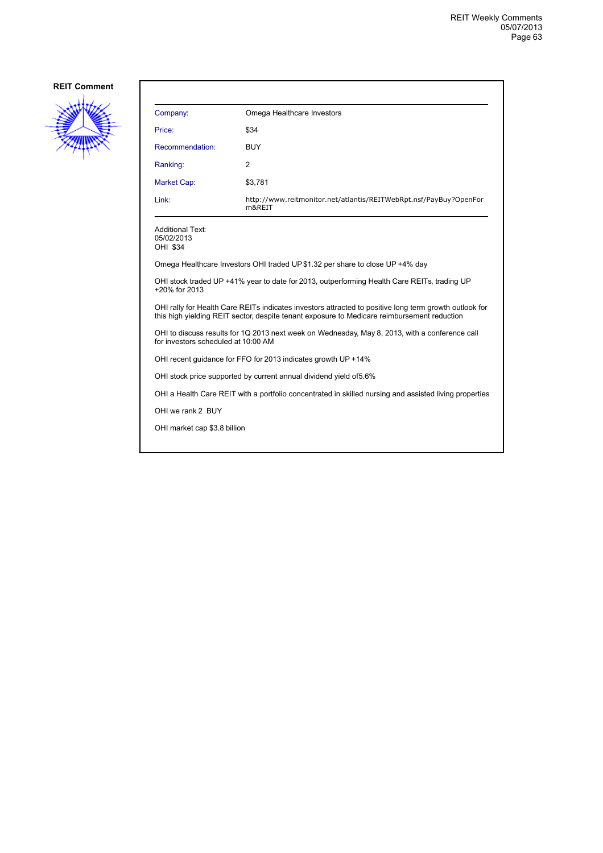

| Company:                                                                                                                                                                                              | Omega Healthcare Investors                                                                  |  |
|-------------------------------------------------------------------------------------------------------------------------------------------------------------------------------------------------------|---------------------------------------------------------------------------------------------|--|
| Price:                                                                                                                                                                                                | \$34                                                                                        |  |
| Recommendation:                                                                                                                                                                                       | BUY                                                                                         |  |
| Ranking:                                                                                                                                                                                              | $\overline{2}$                                                                              |  |
| Market Cap:                                                                                                                                                                                           | \$3,781                                                                                     |  |
| Link:                                                                                                                                                                                                 | http://www.reitmonitor.net/atlantis/REITWebRpt.nsf/PayBuy?OpenFor<br>m&REIT                 |  |
| <b>Additional Text:</b><br>05/02/2013<br>OHI \$34                                                                                                                                                     |                                                                                             |  |
|                                                                                                                                                                                                       | Omega Healthcare Investors OHI traded UP\$1.32 per share to close UP +4% day                |  |
| +20% for 2013                                                                                                                                                                                         | OHI stock traded UP +41% year to date for 2013, outperforming Health Care REITs, trading UP |  |
| OHI rally for Health Care REITs indicates investors attracted to positive long term growth outlook for<br>this high yielding REIT sector, despite tenant exposure to Medicare reimbursement reduction |                                                                                             |  |
| OHI to discuss results for 1Q 2013 next week on Wednesday, May 8, 2013, with a conference call<br>for investors scheduled at 10:00 AM                                                                 |                                                                                             |  |
| OHI recent guidance for FFO for 2013 indicates growth UP +14%                                                                                                                                         |                                                                                             |  |
| OHI stock price supported by current annual dividend yield of 5.6%                                                                                                                                    |                                                                                             |  |
| OHI a Health Care REIT with a portfolio concentrated in skilled nursing and assisted living properties                                                                                                |                                                                                             |  |
| OHI we rank 2 BUY                                                                                                                                                                                     |                                                                                             |  |
| OHI market cap \$3.8 billion                                                                                                                                                                          |                                                                                             |  |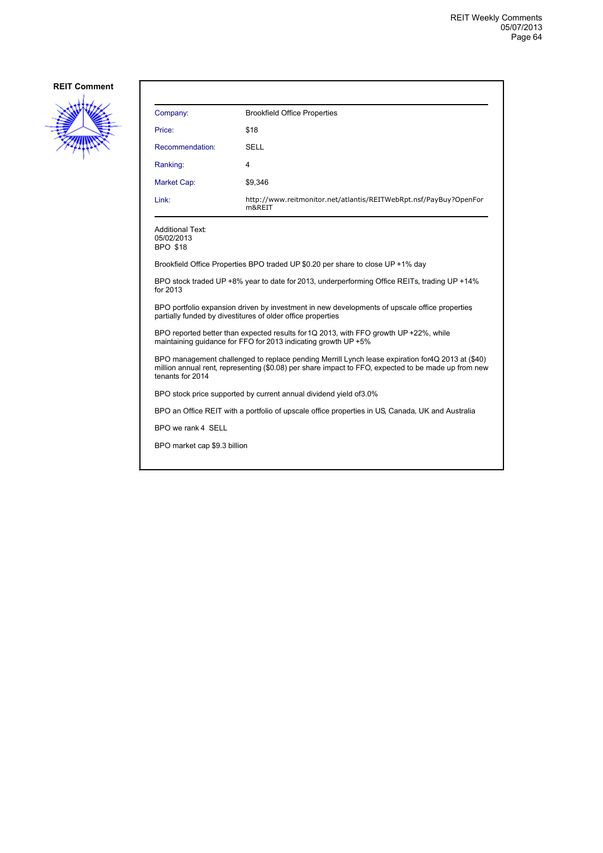

| Company:                                                                                                                                                                                                                     | <b>Brookfield Office Properties</b>                                                          |  |
|------------------------------------------------------------------------------------------------------------------------------------------------------------------------------------------------------------------------------|----------------------------------------------------------------------------------------------|--|
| Price:                                                                                                                                                                                                                       | \$18                                                                                         |  |
| Recommendation:                                                                                                                                                                                                              | <b>SELL</b>                                                                                  |  |
| Ranking:                                                                                                                                                                                                                     | 4                                                                                            |  |
| <b>Market Cap:</b>                                                                                                                                                                                                           | \$9,346                                                                                      |  |
| Link:                                                                                                                                                                                                                        | http://www.reitmonitor.net/atlantis/REITWebRpt.nsf/PayBuy?OpenFor<br>m&REIT                  |  |
| <b>Additional Text:</b><br>05/02/2013<br><b>BPO \$18</b>                                                                                                                                                                     |                                                                                              |  |
|                                                                                                                                                                                                                              | Brookfield Office Properties BPO traded UP \$0.20 per share to close UP +1% day              |  |
| for 2013                                                                                                                                                                                                                     | BPO stock traded UP +8% year to date for 2013, underperforming Office REITs, trading UP +14% |  |
| BPO portfolio expansion driven by investment in new developments of upscale office properties<br>partially funded by divestitures of older office properties                                                                 |                                                                                              |  |
| BPO reported better than expected results for 1Q 2013, with FFO growth UP +22%, while<br>maintaining quidance for FFO for 2013 indicating growth UP +5%                                                                      |                                                                                              |  |
| BPO management challenged to replace pending Merrill Lynch lease expiration for 4Q 2013 at (\$40)<br>million annual rent, representing (\$0.08) per share impact to FFO, expected to be made up from new<br>tenants for 2014 |                                                                                              |  |
|                                                                                                                                                                                                                              | BPO stock price supported by current annual dividend yield of 3.0%                           |  |
| BPO an Office REIT with a portfolio of upscale office properties in US, Canada, UK and Australia                                                                                                                             |                                                                                              |  |
| BPO we rank 4 SELL                                                                                                                                                                                                           |                                                                                              |  |

BPO market cap \$9.3 billion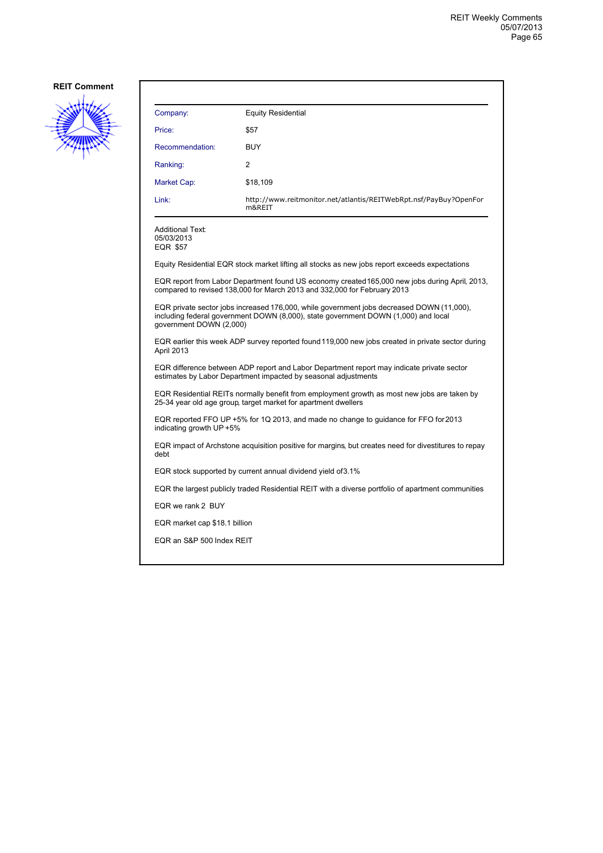

| Company:                                                                                                                                                                                                   | <b>Equity Residential</b>                                                                                                                                                  |  |
|------------------------------------------------------------------------------------------------------------------------------------------------------------------------------------------------------------|----------------------------------------------------------------------------------------------------------------------------------------------------------------------------|--|
| Price:                                                                                                                                                                                                     | \$57                                                                                                                                                                       |  |
| Recommendation:                                                                                                                                                                                            | <b>BUY</b>                                                                                                                                                                 |  |
| Ranking:                                                                                                                                                                                                   | 2                                                                                                                                                                          |  |
| Market Cap:                                                                                                                                                                                                | \$18,109                                                                                                                                                                   |  |
| Link:                                                                                                                                                                                                      | http://www.reitmonitor.net/atlantis/REITWebRpt.nsf/PayBuy?OpenFor<br>m&REIT                                                                                                |  |
| <b>Additional Text:</b><br>05/03/2013<br><b>EQR \$57</b>                                                                                                                                                   |                                                                                                                                                                            |  |
|                                                                                                                                                                                                            | Equity Residential EQR stock market lifting all stocks as new jobs report exceeds expectations                                                                             |  |
|                                                                                                                                                                                                            | EQR report from Labor Department found US economy created 165,000 new jobs during April, 2013,<br>compared to revised 138,000 for March 2013 and 332,000 for February 2013 |  |
| EQR private sector jobs increased 176,000, while government jobs decreased DOWN (11,000),<br>including federal government DOWN (8,000), state government DOWN (1,000) and local<br>government DOWN (2,000) |                                                                                                                                                                            |  |
| EQR earlier this week ADP survey reported found 119,000 new jobs created in private sector during<br>April 2013                                                                                            |                                                                                                                                                                            |  |
| EQR difference between ADP report and Labor Department report may indicate private sector<br>estimates by Labor Department impacted by seasonal adjustments                                                |                                                                                                                                                                            |  |
| EQR Residential REITs normally benefit from employment growth as most new jobs are taken by<br>25-34 year old age group, target market for apartment dwellers                                              |                                                                                                                                                                            |  |
| EQR reported FFO UP +5% for 1Q 2013, and made no change to guidance for FFO for 2013<br>indicating growth UP +5%                                                                                           |                                                                                                                                                                            |  |
| EQR impact of Archstone acquisition positive for margins, but creates need for divestitures to repay<br>debt                                                                                               |                                                                                                                                                                            |  |
| EQR stock supported by current annual dividend yield of 3.1%                                                                                                                                               |                                                                                                                                                                            |  |
| EQR the largest publicly traded Residential REIT with a diverse portfolio of apartment communities                                                                                                         |                                                                                                                                                                            |  |
| EQR we rank 2 BUY                                                                                                                                                                                          |                                                                                                                                                                            |  |
| EQR market cap \$18.1 billion                                                                                                                                                                              |                                                                                                                                                                            |  |
| EQR an S&P 500 Index REIT                                                                                                                                                                                  |                                                                                                                                                                            |  |
|                                                                                                                                                                                                            |                                                                                                                                                                            |  |
|                                                                                                                                                                                                            |                                                                                                                                                                            |  |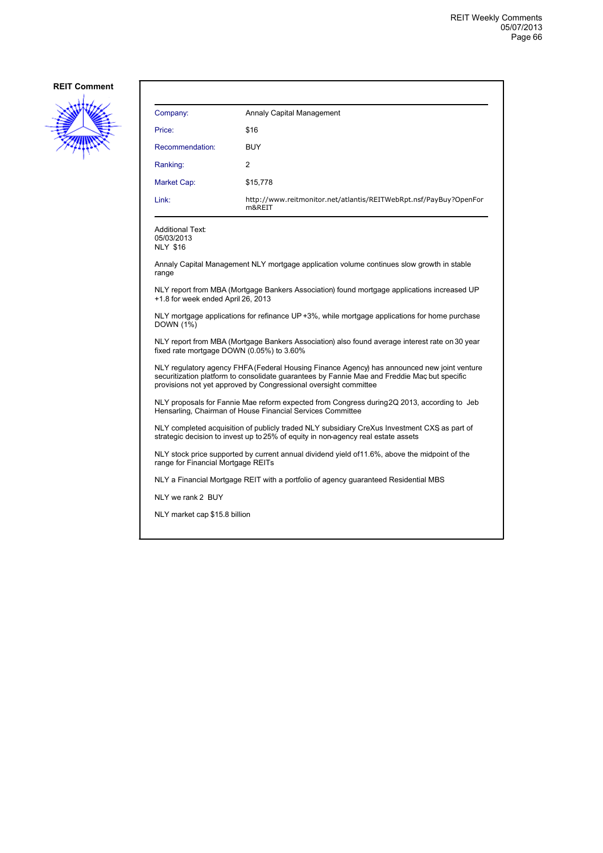

| Company:        | Annaly Capital Management                                                   |
|-----------------|-----------------------------------------------------------------------------|
| Price:          | \$16                                                                        |
| Recommendation: | BUY                                                                         |
| Ranking:        | 2                                                                           |
| Market Cap:     | \$15,778                                                                    |
| Link:           | http://www.reitmonitor.net/atlantis/REITWebRpt.nsf/PayBuy?OpenFor<br>m&REIT |

Additional Text: 05/03/2013 NLY \$16

Annaly Capital Management NLY mortgage application volume continues slow growth in stable range

NLY report from MBA (Mortgage Bankers Association) found mortgage applications increased UP +1.8 for week ended April 26, 2013

NLY mortgage applications for refinance UP +3%, while mortgage applications for home purchase DOWN (1%)

NLY report from MBA (Mortgage Bankers Association) also found average interest rate on 30 year fixed rate mortgage DOWN (0.05%) to 3.60%

NLY regulatory agency FHFA (Federal Housing Finance Agency) has announced new joint venture securitization platform to consolidate guarantees by Fannie Mae and Freddie Mac, but specific provisions not yet approved by Congressional oversight committee

NLY proposals for Fannie Mae reform expected from Congress during 2Q 2013, according to Jeb Hensarling, Chairman of House Financial Services Committee

NLY completed acquisition of publicly traded NLY subsidiary CreXus Investment CXS, as part of strategic decision to invest up to 25% of equity in non-agency real estate assets

NLY stock price supported by current annual dividend yield of 11.6%, above the midpoint of the range for Financial Mortgage REITs

NLY a Financial Mortgage REIT with a portfolio of agency guaranteed Residential MBS

NLY we rank 2 BUY

NLY market cap \$15.8 billion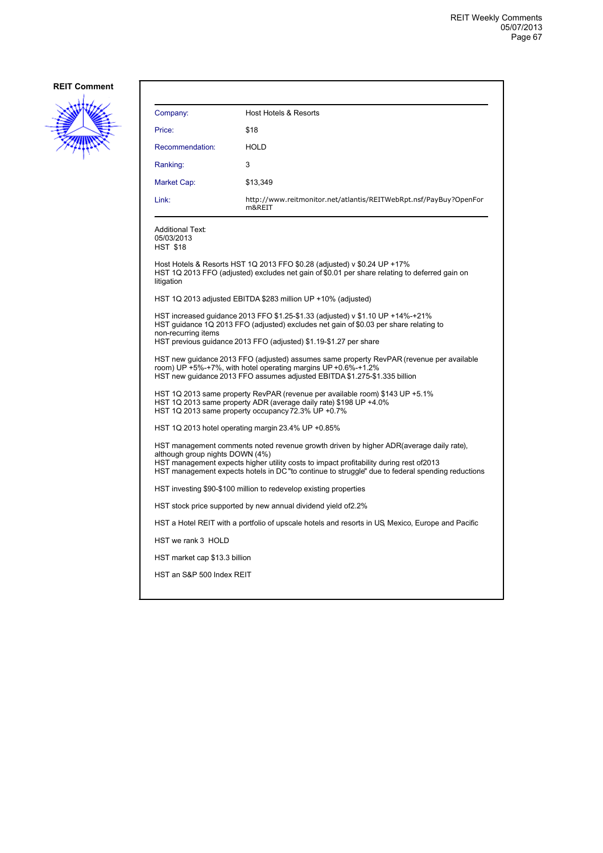

| Company:                                                                                                                                                                                                                                                                                                                  | <b>Host Hotels &amp; Resorts</b>                                                                                                                                                                                                             |  |
|---------------------------------------------------------------------------------------------------------------------------------------------------------------------------------------------------------------------------------------------------------------------------------------------------------------------------|----------------------------------------------------------------------------------------------------------------------------------------------------------------------------------------------------------------------------------------------|--|
| Price:                                                                                                                                                                                                                                                                                                                    | \$18                                                                                                                                                                                                                                         |  |
| Recommendation:                                                                                                                                                                                                                                                                                                           | <b>HOLD</b>                                                                                                                                                                                                                                  |  |
| Ranking:                                                                                                                                                                                                                                                                                                                  | 3                                                                                                                                                                                                                                            |  |
| Market Cap:                                                                                                                                                                                                                                                                                                               | \$13,349                                                                                                                                                                                                                                     |  |
| Link:                                                                                                                                                                                                                                                                                                                     | http://www.reitmonitor.net/atlantis/REITWebRpt.nsf/PayBuy?OpenFor<br>m&REIT                                                                                                                                                                  |  |
| <b>Additional Text:</b><br>05/03/2013<br><b>HST \$18</b>                                                                                                                                                                                                                                                                  |                                                                                                                                                                                                                                              |  |
| litigation                                                                                                                                                                                                                                                                                                                | Host Hotels & Resorts HST 1Q 2013 FFO \$0.28 (adjusted) v \$0.24 UP +17%<br>HST 1Q 2013 FFO (adjusted) excludes net gain of \$0.01 per share relating to deferred gain on                                                                    |  |
|                                                                                                                                                                                                                                                                                                                           | HST 1Q 2013 adjusted EBITDA \$283 million UP +10% (adjusted)                                                                                                                                                                                 |  |
| non-recurring items                                                                                                                                                                                                                                                                                                       | HST increased guidance 2013 FFO \$1.25-\$1.33 (adjusted) v \$1.10 UP +14%-+21%<br>HST guidance 1Q 2013 FFO (adjusted) excludes net gain of \$0.03 per share relating to<br>HST previous guidance 2013 FFO (adjusted) \$1.19-\$1.27 per share |  |
| HST new guidance 2013 FFO (adjusted) assumes same property RevPAR (revenue per available<br>room) UP +5%-+7%, with hotel operating margins UP +0.6%-+1.2%<br>HST new quidance 2013 FFO assumes adjusted EBITDA \$1.275-\$1.335 billion                                                                                    |                                                                                                                                                                                                                                              |  |
| HST 1Q 2013 same property RevPAR (revenue per available room) \$143 UP +5.1%<br>HST 1Q 2013 same property ADR (average daily rate) \$198 UP +4.0%<br>HST 1Q 2013 same property occupancy 72.3% UP +0.7%                                                                                                                   |                                                                                                                                                                                                                                              |  |
|                                                                                                                                                                                                                                                                                                                           | HST 1Q 2013 hotel operating margin 23.4% UP +0.85%                                                                                                                                                                                           |  |
| HST management comments noted revenue growth driven by higher ADR (average daily rate),<br>although group nights DOWN (4%)<br>HST management expects higher utility costs to impact profitability during rest of 2013<br>HST management expects hotels in DC "to continue to struggle" due to federal spending reductions |                                                                                                                                                                                                                                              |  |
| HST investing \$90-\$100 million to redevelop existing properties                                                                                                                                                                                                                                                         |                                                                                                                                                                                                                                              |  |
| HST stock price supported by new annual dividend yield of 2.2%                                                                                                                                                                                                                                                            |                                                                                                                                                                                                                                              |  |
|                                                                                                                                                                                                                                                                                                                           | HST a Hotel REIT with a portfolio of upscale hotels and resorts in US Mexico, Europe and Pacific                                                                                                                                             |  |
| HST we rank 3 HOLD                                                                                                                                                                                                                                                                                                        |                                                                                                                                                                                                                                              |  |
| HST market cap \$13.3 billion                                                                                                                                                                                                                                                                                             |                                                                                                                                                                                                                                              |  |
| HST an S&P 500 Index REIT                                                                                                                                                                                                                                                                                                 |                                                                                                                                                                                                                                              |  |
|                                                                                                                                                                                                                                                                                                                           |                                                                                                                                                                                                                                              |  |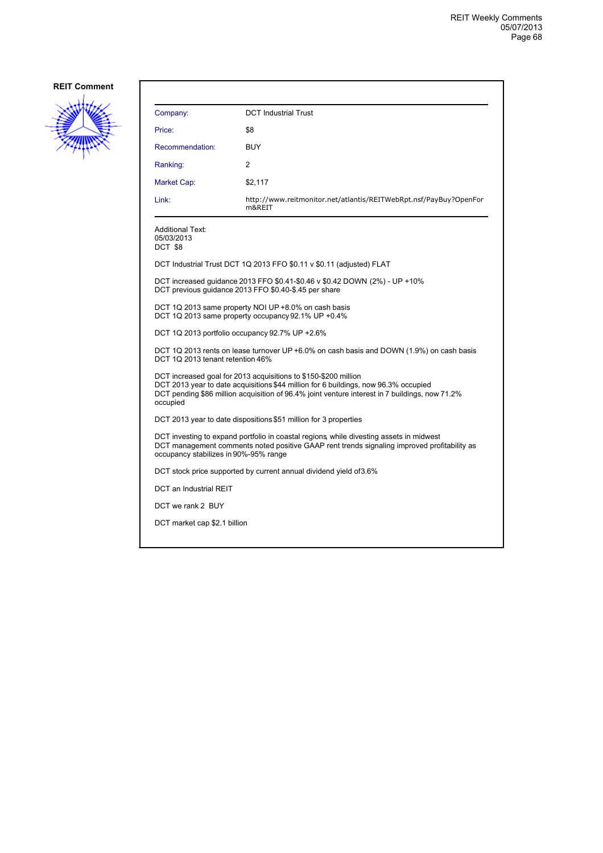

| Company:                                                                                                                                                                                                                                                             | <b>DCT Industrial Trust</b>                                                                                                         |  |
|----------------------------------------------------------------------------------------------------------------------------------------------------------------------------------------------------------------------------------------------------------------------|-------------------------------------------------------------------------------------------------------------------------------------|--|
| Price:                                                                                                                                                                                                                                                               | \$8                                                                                                                                 |  |
| Recommendation:                                                                                                                                                                                                                                                      | <b>BUY</b>                                                                                                                          |  |
| Ranking:                                                                                                                                                                                                                                                             | $\mathcal{P}$                                                                                                                       |  |
| Market Cap:                                                                                                                                                                                                                                                          | \$2,117                                                                                                                             |  |
| Link:                                                                                                                                                                                                                                                                | http://www.reitmonitor.net/atlantis/REITWebRpt.nsf/PayBuy?OpenFor<br>m&REIT                                                         |  |
| Additional Text:<br>05/03/2013<br>DCT \$8                                                                                                                                                                                                                            |                                                                                                                                     |  |
|                                                                                                                                                                                                                                                                      | DCT Industrial Trust DCT 1Q 2013 FFO \$0.11 v \$0.11 (adjusted) FLAT                                                                |  |
|                                                                                                                                                                                                                                                                      | DCT increased quidance 2013 FFO \$0.41-\$0.46 v \$0.42 DOWN (2%) - UP +10%<br>DCT previous guidance 2013 FFO \$0.40-\$.45 per share |  |
|                                                                                                                                                                                                                                                                      | DCT 1Q 2013 same property NOI UP +8.0% on cash basis<br>DCT 1Q 2013 same property occupancy 92.1% UP +0.4%                          |  |
| DCT 1Q 2013 portfolio occupancy 92.7% UP +2.6%                                                                                                                                                                                                                       |                                                                                                                                     |  |
| DCT 1Q 2013 rents on lease turnover UP +6.0% on cash basis and DOWN (1.9%) on cash basis<br>DCT 1Q 2013 tenant retention 46%                                                                                                                                         |                                                                                                                                     |  |
| DCT increased goal for 2013 acquisitions to \$150-\$200 million<br>DCT 2013 year to date acquisitions \$44 million for 6 buildings, now 96.3% occupied<br>DCT pending \$86 million acquisition of 96.4% joint venture interest in 7 buildings, now 71.2%<br>occupied |                                                                                                                                     |  |
| DCT 2013 year to date dispositions \$51 million for 3 properties                                                                                                                                                                                                     |                                                                                                                                     |  |
| DCT investing to expand portfolio in coastal regions, while divesting assets in midwest<br>DCT management comments noted positive GAAP rent trends signaling improved profitability as<br>occupancy stabilizes in 90%-95% range                                      |                                                                                                                                     |  |
| DCT stock price supported by current annual dividend yield of 3.6%                                                                                                                                                                                                   |                                                                                                                                     |  |
| DCT an Industrial REIT                                                                                                                                                                                                                                               |                                                                                                                                     |  |
| DCT we rank 2 BUY                                                                                                                                                                                                                                                    |                                                                                                                                     |  |
| DCT market cap \$2.1 billion                                                                                                                                                                                                                                         |                                                                                                                                     |  |
|                                                                                                                                                                                                                                                                      |                                                                                                                                     |  |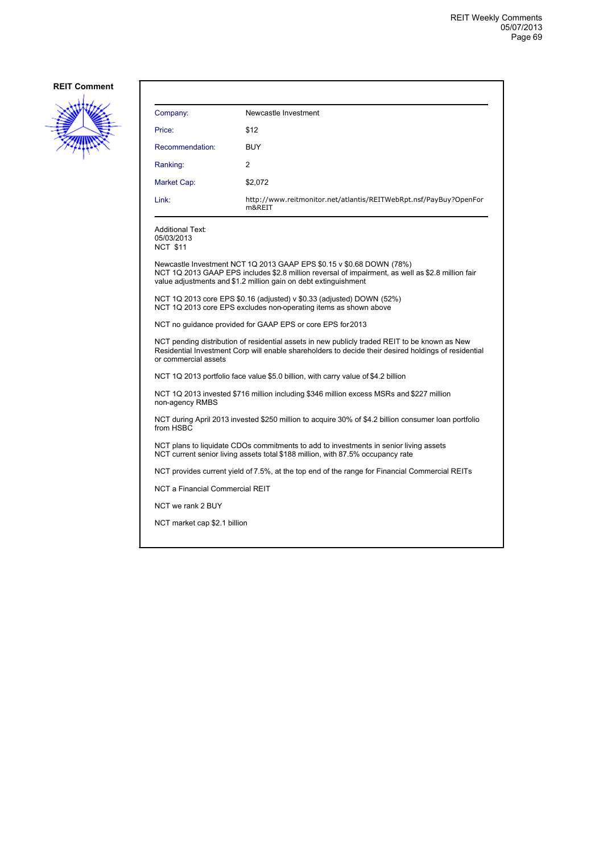

| Company:                                                                                                                                                                                                                      | Newcastle Investment                                                                                                                                                                                                                         |  |  |
|-------------------------------------------------------------------------------------------------------------------------------------------------------------------------------------------------------------------------------|----------------------------------------------------------------------------------------------------------------------------------------------------------------------------------------------------------------------------------------------|--|--|
| Price:                                                                                                                                                                                                                        | \$12                                                                                                                                                                                                                                         |  |  |
| Recommendation:                                                                                                                                                                                                               | <b>BUY</b>                                                                                                                                                                                                                                   |  |  |
| Ranking:                                                                                                                                                                                                                      | 2                                                                                                                                                                                                                                            |  |  |
| Market Cap:                                                                                                                                                                                                                   | \$2,072                                                                                                                                                                                                                                      |  |  |
| Link:                                                                                                                                                                                                                         | http://www.reitmonitor.net/atlantis/REITWebRpt.nsf/PayBuy?OpenFor<br>m&REIT                                                                                                                                                                  |  |  |
| <b>Additional Text:</b><br>05/03/2013<br><b>NCT \$11</b>                                                                                                                                                                      |                                                                                                                                                                                                                                              |  |  |
|                                                                                                                                                                                                                               | Newcastle Investment NCT 1Q 2013 GAAP EPS \$0.15 v \$0.68 DOWN (78%)<br>NCT 1Q 2013 GAAP EPS includes \$2.8 million reversal of impairment, as well as \$2.8 million fair<br>value adjustments and \$1.2 million gain on debt extinguishment |  |  |
|                                                                                                                                                                                                                               | NCT 1Q 2013 core EPS \$0.16 (adjusted) v \$0.33 (adjusted) DOWN $(52%)$<br>NCT 1Q 2013 core EPS excludes non-operating items as shown above                                                                                                  |  |  |
| NCT no quidance provided for GAAP EPS or core EPS for 2013                                                                                                                                                                    |                                                                                                                                                                                                                                              |  |  |
| NCT pending distribution of residential assets in new publicly traded REIT to be known as New<br>Residential Investment Corp will enable shareholders to decide their desired holdings of residential<br>or commercial assets |                                                                                                                                                                                                                                              |  |  |
| NCT 1Q 2013 portfolio face value \$5.0 billion, with carry value of \$4.2 billion                                                                                                                                             |                                                                                                                                                                                                                                              |  |  |
| NCT 1Q 2013 invested \$716 million including \$346 million excess MSRs and \$227 million<br>non-agency RMBS                                                                                                                   |                                                                                                                                                                                                                                              |  |  |
| NCT during April 2013 invested \$250 million to acquire 30% of \$4.2 billion consumer loan portfolio<br>from HSBC                                                                                                             |                                                                                                                                                                                                                                              |  |  |
| NCT plans to liquidate CDOs commitments to add to investments in senior living assets<br>NCT current senior living assets total \$188 million, with 87.5% occupancy rate                                                      |                                                                                                                                                                                                                                              |  |  |
|                                                                                                                                                                                                                               | NCT provides current yield of 7.5%, at the top end of the range for Financial Commercial REITs                                                                                                                                               |  |  |
|                                                                                                                                                                                                                               | NCT a Financial Commercial REIT                                                                                                                                                                                                              |  |  |
| NCT we rank 2 BUY                                                                                                                                                                                                             |                                                                                                                                                                                                                                              |  |  |
| NCT market cap \$2.1 billion                                                                                                                                                                                                  |                                                                                                                                                                                                                                              |  |  |
|                                                                                                                                                                                                                               |                                                                                                                                                                                                                                              |  |  |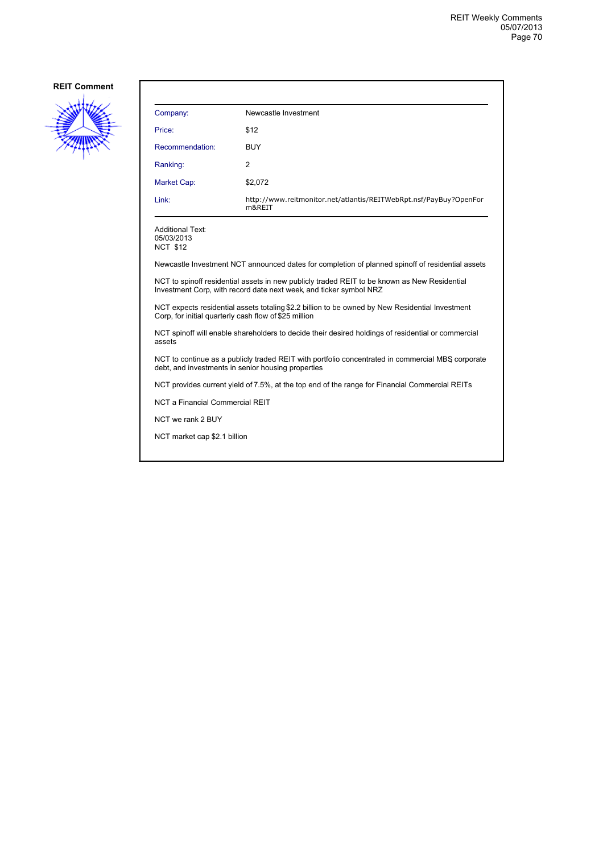

| Company:        | Newcastle Investment                                                        |
|-----------------|-----------------------------------------------------------------------------|
| Price:          | \$12                                                                        |
| Recommendation: | <b>BUY</b>                                                                  |
| Ranking:        | 2                                                                           |
| Market Cap:     | \$2,072                                                                     |
| Link:           | http://www.reitmonitor.net/atlantis/REITWebRpt.nsf/PayBuy?OpenFor<br>m&REIT |

Additional Text: 05/03/2013

NCT \$12

Newcastle Investment NCT announced dates for completion of planned spinoff of residential assets

NCT to spinoff residential assets in new publicly traded REIT to be known as New Residential Investment Corp, with record date next week, and ticker symbol NRZ

NCT expects residential assets totaling \$2.2 billion to be owned by New Residential Investment Corp, for initial quarterly cash flow of \$25 million

NCT spinoff will enable shareholders to decide their desired holdings of residential or commercial assets

NCT to continue as a publicly traded REIT with portfolio concentrated in commercial MBS corporate debt, and investments in senior housing properties

NCT provides current yield of 7.5%, at the top end of the range for Financial Commercial REITs

NCT a Financial Commercial REIT

NCT we rank 2 BUY

NCT market cap \$2.1 billion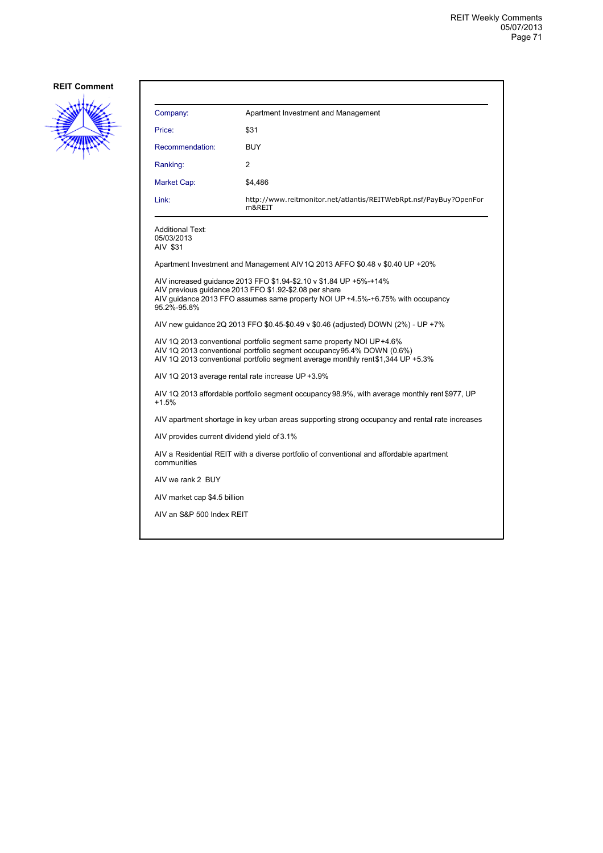

| Company:                                          | Apartment Investment and Management                                                                                                                                                                                               |
|---------------------------------------------------|-----------------------------------------------------------------------------------------------------------------------------------------------------------------------------------------------------------------------------------|
| Price:                                            | \$31                                                                                                                                                                                                                              |
| Recommendation:                                   | <b>BUY</b>                                                                                                                                                                                                                        |
| Ranking:                                          | 2                                                                                                                                                                                                                                 |
| Market Cap:                                       | \$4,486                                                                                                                                                                                                                           |
| Link:                                             | http://www.reitmonitor.net/atlantis/REITWebRpt.nsf/PayBuy?OpenFor<br>m&REIT                                                                                                                                                       |
| <b>Additional Text:</b><br>05/03/2013<br>AIV \$31 |                                                                                                                                                                                                                                   |
|                                                   | Apartment Investment and Management AIV 1Q 2013 AFFO \$0.48 v \$0.40 UP +20%                                                                                                                                                      |
| 95.2%-95.8%                                       | AIV increased guidance 2013 FFO \$1.94-\$2.10 v \$1.84 UP +5%-+14%<br>AIV previous guidance 2013 FFO \$1.92-\$2.08 per share<br>AIV quidance 2013 FFO assumes same property NOI UP +4.5%-+6.75% with occupancy                    |
|                                                   | AIV new guidance 2Q 2013 FFO \$0.45-\$0.49 v \$0.46 (adjusted) DOWN (2%) - UP +7%                                                                                                                                                 |
|                                                   | AIV 1Q 2013 conventional portfolio segment same property NOI UP+4.6%<br>AIV 1Q 2013 conventional portfolio segment occupancy 95.4% DOWN (0.6%)<br>AIV 1Q 2013 conventional portfolio segment average monthly rent\$1,344 UP +5.3% |
|                                                   | AIV 1Q 2013 average rental rate increase UP +3.9%                                                                                                                                                                                 |
| $+1.5%$                                           | AIV 1Q 2013 affordable portfolio segment occupancy 98.9%, with average monthly rent \$977, UP                                                                                                                                     |
|                                                   | AIV apartment shortage in key urban areas supporting strong occupancy and rental rate increases                                                                                                                                   |
| AIV provides current dividend yield of 3.1%       |                                                                                                                                                                                                                                   |
| communities                                       | AIV a Residential REIT with a diverse portfolio of conventional and affordable apartment                                                                                                                                          |
| AIV we rank 2 BUY                                 |                                                                                                                                                                                                                                   |
| AIV market cap \$4.5 billion                      |                                                                                                                                                                                                                                   |
| AIV an S&P 500 Index REIT                         |                                                                                                                                                                                                                                   |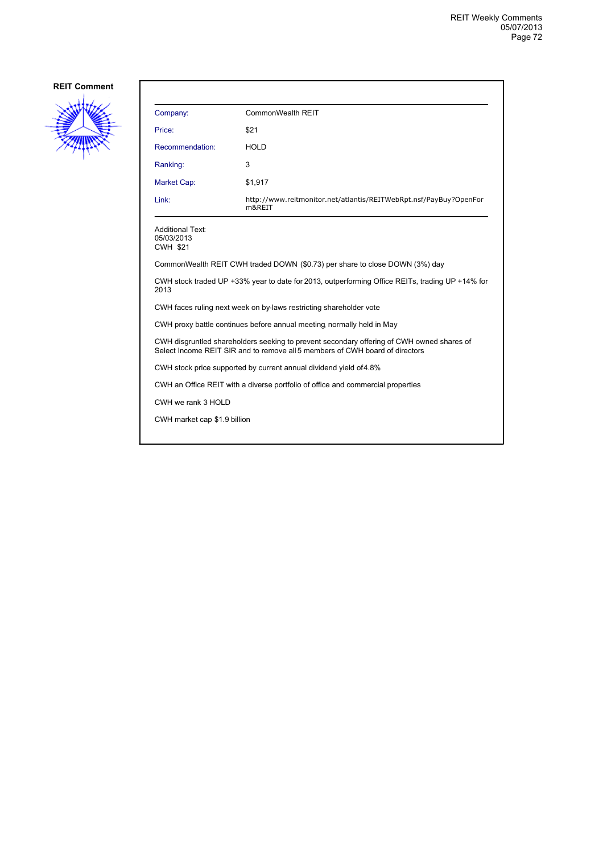

| Company:                                                                                                                                                                  | CommonWealth REIT                                                           |  |
|---------------------------------------------------------------------------------------------------------------------------------------------------------------------------|-----------------------------------------------------------------------------|--|
| Price:                                                                                                                                                                    | \$21                                                                        |  |
| Recommendation:                                                                                                                                                           | <b>HOLD</b>                                                                 |  |
| Ranking:                                                                                                                                                                  | 3                                                                           |  |
| Market Cap:                                                                                                                                                               | \$1,917                                                                     |  |
| Link:                                                                                                                                                                     | http://www.reitmonitor.net/atlantis/REITWebRpt.nsf/PayBuy?OpenFor<br>m&REIT |  |
| <b>Additional Text:</b><br>05/03/2013<br><b>CWH \$21</b>                                                                                                                  |                                                                             |  |
| CommonWealth REIT CWH traded DOWN (\$0.73) per share to close DOWN (3%) day                                                                                               |                                                                             |  |
| CWH stock traded UP +33% year to date for 2013, outperforming Office REITs, trading UP +14% for<br>2013                                                                   |                                                                             |  |
| CWH faces ruling next week on by-laws restricting shareholder vote                                                                                                        |                                                                             |  |
|                                                                                                                                                                           | CWH proxy battle continues before annual meeting normally held in May       |  |
| CWH disgruntled shareholders seeking to prevent secondary offering of CWH owned shares of<br>Select Income REIT SIR and to remove all 5 members of CWH board of directors |                                                                             |  |
| CWH stock price supported by current annual dividend yield of 4.8%                                                                                                        |                                                                             |  |
| CWH an Office REIT with a diverse portfolio of office and commercial properties                                                                                           |                                                                             |  |
| CWH we rank 3 HOLD                                                                                                                                                        |                                                                             |  |
| CWH market cap \$1.9 billion                                                                                                                                              |                                                                             |  |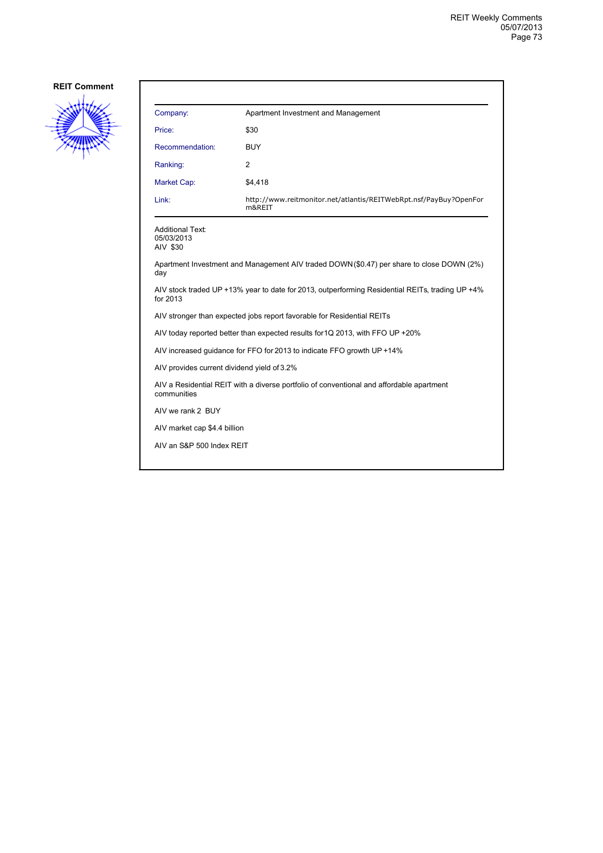

| Company:        | Apartment Investment and Management                                         |
|-----------------|-----------------------------------------------------------------------------|
| Price:          | \$30                                                                        |
| Recommendation: | <b>BUY</b>                                                                  |
| Ranking:        | 2                                                                           |
| Market Cap:     | \$4,418                                                                     |
| Link:           | http://www.reitmonitor.net/atlantis/REITWebRpt.nsf/PayBuy?OpenFor<br>m&REIT |

Additional Text: 05/03/2013 AIV \$30

Apartment Investment and Management AIV traded DOWN (\$0.47) per share to close DOWN (2%) day

AIV stock traded UP +13% year to date for 2013, outperforming Residential REITs, trading UP +4% for 2013

AIV stronger than expected jobs report favorable for Residential REITs

AIV today reported better than expected results for 1Q 2013, with FFO UP +20%

AIV increased guidance for FFO for 2013 to indicate FFO growth UP +14%

AIV provides current dividend yield of 3.2%

AIV a Residential REIT with a diverse portfolio of conventional and affordable apartment communities

AIV we rank 2 BUY

AIV market cap \$4.4 billion

AIV an S&P 500 Index REIT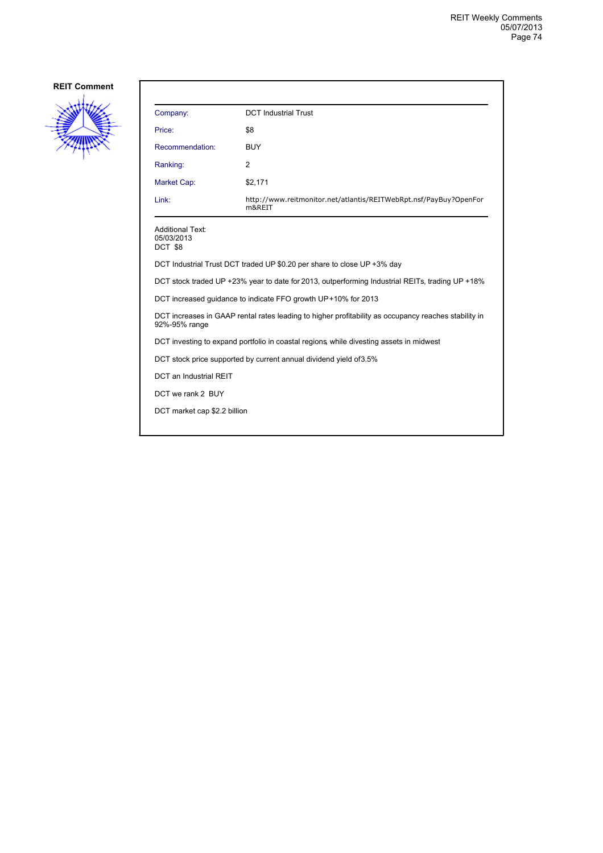

| Company:                                                                                                              | <b>DCT Industrial Trust</b>                                                 |  |
|-----------------------------------------------------------------------------------------------------------------------|-----------------------------------------------------------------------------|--|
| Price:                                                                                                                | \$8                                                                         |  |
| Recommendation:                                                                                                       | <b>BUY</b>                                                                  |  |
| Ranking:                                                                                                              | 2                                                                           |  |
| Market Cap:                                                                                                           | \$2,171                                                                     |  |
| Link:                                                                                                                 | http://www.reitmonitor.net/atlantis/REITWebRpt.nsf/PayBuy?OpenFor<br>m&REIT |  |
| <b>Additional Text:</b><br>05/03/2013<br>DCT \$8                                                                      |                                                                             |  |
| DCT Industrial Trust DCT traded UP \$0.20 per share to close UP +3% day                                               |                                                                             |  |
| DCT stock traded UP +23% year to date for 2013, outperforming Industrial REITs, trading UP +18%                       |                                                                             |  |
| DCT increased guidance to indicate FFO growth UP+10% for 2013                                                         |                                                                             |  |
| DCT increases in GAAP rental rates leading to higher profitability as occupancy reaches stability in<br>92%-95% range |                                                                             |  |
| DCT investing to expand portfolio in coastal regions, while divesting assets in midwest                               |                                                                             |  |
| DCT stock price supported by current annual dividend yield of 3.5%                                                    |                                                                             |  |
| DCT an Industrial REIT                                                                                                |                                                                             |  |
| DCT we rank 2 BUY                                                                                                     |                                                                             |  |
| DCT market cap \$2.2 billion                                                                                          |                                                                             |  |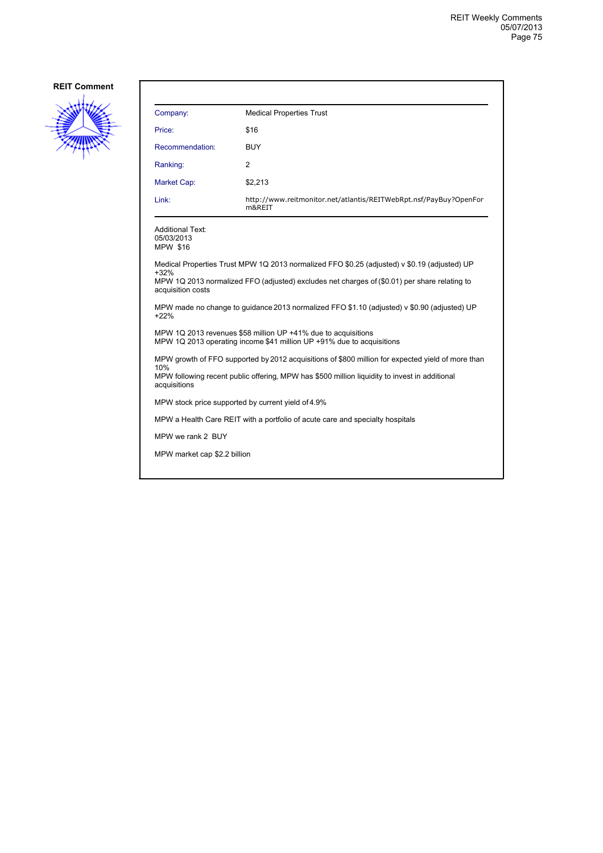

| Company:                                                                                                                                                                                                                    | <b>Medical Properties Trust</b>                                             |  |
|-----------------------------------------------------------------------------------------------------------------------------------------------------------------------------------------------------------------------------|-----------------------------------------------------------------------------|--|
| Price:                                                                                                                                                                                                                      | \$16                                                                        |  |
| Recommendation:                                                                                                                                                                                                             | <b>BUY</b>                                                                  |  |
| Ranking:                                                                                                                                                                                                                    | 2                                                                           |  |
| <b>Market Cap:</b>                                                                                                                                                                                                          | \$2,213                                                                     |  |
| Link:                                                                                                                                                                                                                       | http://www.reitmonitor.net/atlantis/REITWebRpt.nsf/PayBuy?OpenFor<br>m&REIT |  |
| Additional Text:<br>05/03/2013<br>MPW \$16                                                                                                                                                                                  |                                                                             |  |
| Medical Properties Trust MPW 1Q 2013 normalized FFO \$0.25 (adjusted) v \$0.19 (adjusted) UP<br>$+32%$<br>MPW 1Q 2013 normalized FFO (adjusted) excludes net charges of (\$0.01) per share relating to<br>acquisition costs |                                                                             |  |
| MPW made no change to guidance 2013 normalized FFO \$1.10 (adjusted) v \$0.90 (adjusted) UP<br>$+22%$                                                                                                                       |                                                                             |  |
| MPW 1Q 2013 revenues \$58 million UP +41% due to acquisitions<br>MPW 1Q 2013 operating income \$41 million UP +91% due to acquisitions                                                                                      |                                                                             |  |
| MPW growth of FFO supported by 2012 acquisitions of \$800 million for expected yield of more than                                                                                                                           |                                                                             |  |
| 10%<br>MPW following recent public offering, MPW has \$500 million liquidity to invest in additional<br>acquisitions                                                                                                        |                                                                             |  |
| MPW stock price supported by current yield of 4.9%                                                                                                                                                                          |                                                                             |  |
| MPW a Health Care REIT with a portfolio of acute care and specialty hospitals                                                                                                                                               |                                                                             |  |
| MPW we rank 2 BUY                                                                                                                                                                                                           |                                                                             |  |
| MPW market cap \$2.2 billion                                                                                                                                                                                                |                                                                             |  |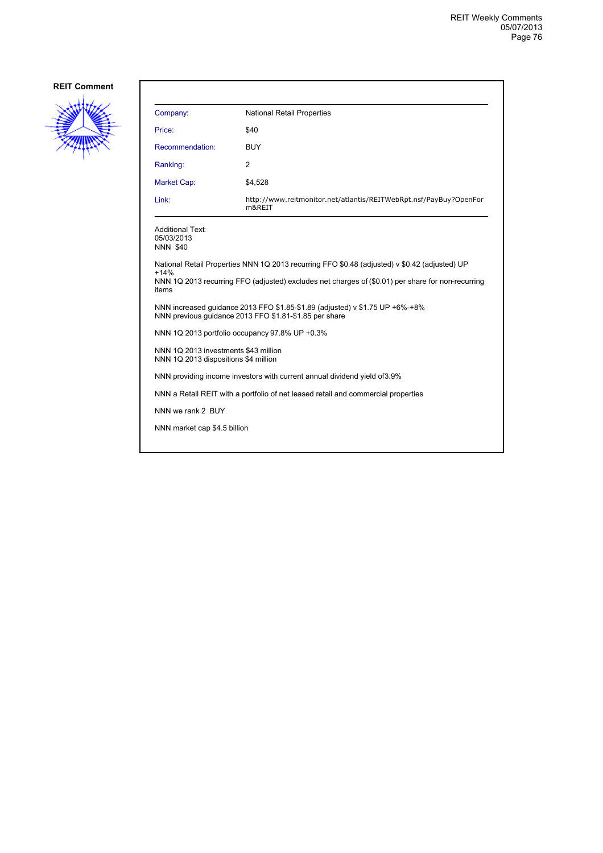

| Company:                                                                                                                                                                                                              | <b>National Retail Properties</b>                                           |  |
|-----------------------------------------------------------------------------------------------------------------------------------------------------------------------------------------------------------------------|-----------------------------------------------------------------------------|--|
| Price:                                                                                                                                                                                                                | \$40                                                                        |  |
| Recommendation:                                                                                                                                                                                                       | <b>BUY</b>                                                                  |  |
| Ranking:                                                                                                                                                                                                              | 2                                                                           |  |
| <b>Market Cap:</b>                                                                                                                                                                                                    | \$4,528                                                                     |  |
| Link:                                                                                                                                                                                                                 | http://www.reitmonitor.net/atlantis/REITWebRpt.nsf/PayBuy?OpenFor<br>m&REIT |  |
| <b>Additional Text:</b><br>05/03/2013<br><b>NNN \$40</b>                                                                                                                                                              |                                                                             |  |
| National Retail Properties NNN 1Q 2013 recurring FFO \$0.48 (adjusted) v \$0.42 (adjusted) UP<br>$+14%$<br>NNN 1Q 2013 recurring FFO (adjusted) excludes net charges of (\$0.01) per share for non-recurring<br>items |                                                                             |  |
| NNN increased quidance 2013 FFO \$1.85-\$1.89 (adjusted) v \$1.75 UP +6%-+8%<br>NNN previous quidance 2013 FFO \$1.81-\$1.85 per share                                                                                |                                                                             |  |
| NNN 1Q 2013 portfolio occupancy 97.8% UP +0.3%                                                                                                                                                                        |                                                                             |  |
| NNN 1Q 2013 investments \$43 million<br>NNN 1Q 2013 dispositions \$4 million                                                                                                                                          |                                                                             |  |
| NNN providing income investors with current annual dividend yield of 3.9%                                                                                                                                             |                                                                             |  |
| NNN a Retail REIT with a portfolio of net leased retail and commercial properties                                                                                                                                     |                                                                             |  |
| NNN we rank 2 BUY                                                                                                                                                                                                     |                                                                             |  |
| NNN market cap \$4.5 billion                                                                                                                                                                                          |                                                                             |  |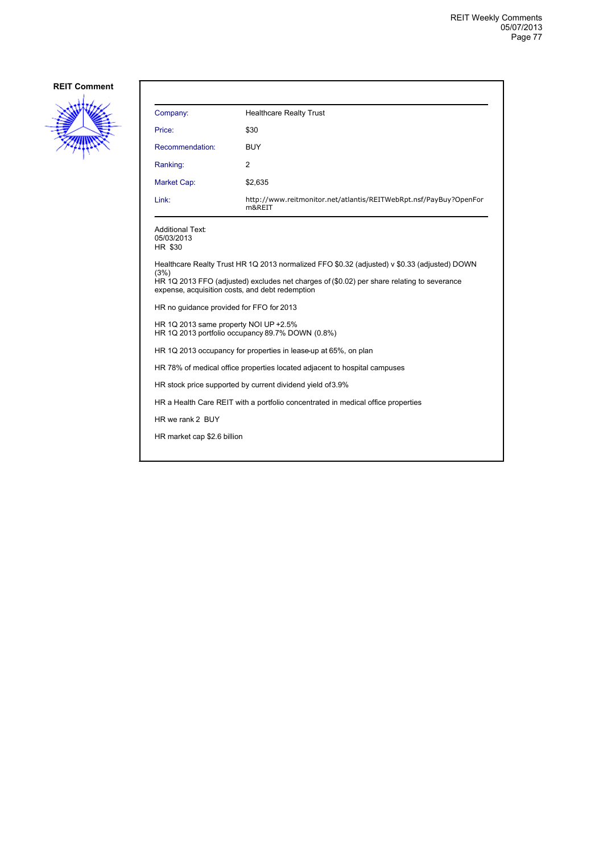

| Company:                                                                                  | <b>Healthcare Realty Trust</b>                                                                                                                                                                                                                |  |
|-------------------------------------------------------------------------------------------|-----------------------------------------------------------------------------------------------------------------------------------------------------------------------------------------------------------------------------------------------|--|
| Price:                                                                                    | \$30                                                                                                                                                                                                                                          |  |
| Recommendation:                                                                           | <b>BUY</b>                                                                                                                                                                                                                                    |  |
| Ranking:                                                                                  | $\overline{2}$                                                                                                                                                                                                                                |  |
| Market Cap:                                                                               | \$2,635                                                                                                                                                                                                                                       |  |
| Link:                                                                                     | http://www.reitmonitor.net/atlantis/REITWebRpt.nsf/PayBuy?OpenFor<br>m&REIT                                                                                                                                                                   |  |
| <b>Additional Text:</b><br>05/03/2013<br>HR \$30                                          |                                                                                                                                                                                                                                               |  |
| (3%)                                                                                      | Healthcare Realty Trust HR 1Q 2013 normalized FFO \$0.32 (adjusted) v \$0.33 (adjusted) DOWN<br>HR 1Q 2013 FFO (adjusted) excludes net charges of (\$0.02) per share relating to severance<br>expense, acquisition costs, and debt redemption |  |
| HR no quidance provided for FFO for 2013                                                  |                                                                                                                                                                                                                                               |  |
| HR 1Q 2013 same property NOI UP +2.5%<br>HR 1Q 2013 portfolio occupancy 89.7% DOWN (0.8%) |                                                                                                                                                                                                                                               |  |
| HR 1Q 2013 occupancy for properties in lease-up at 65%, on plan                           |                                                                                                                                                                                                                                               |  |
| HR 78% of medical office properties located adjacent to hospital campuses                 |                                                                                                                                                                                                                                               |  |
| HR stock price supported by current dividend yield of 3.9%                                |                                                                                                                                                                                                                                               |  |
| HR a Health Care REIT with a portfolio concentrated in medical office properties          |                                                                                                                                                                                                                                               |  |
| HR we rank 2 BUY                                                                          |                                                                                                                                                                                                                                               |  |
| HR market cap \$2.6 billion                                                               |                                                                                                                                                                                                                                               |  |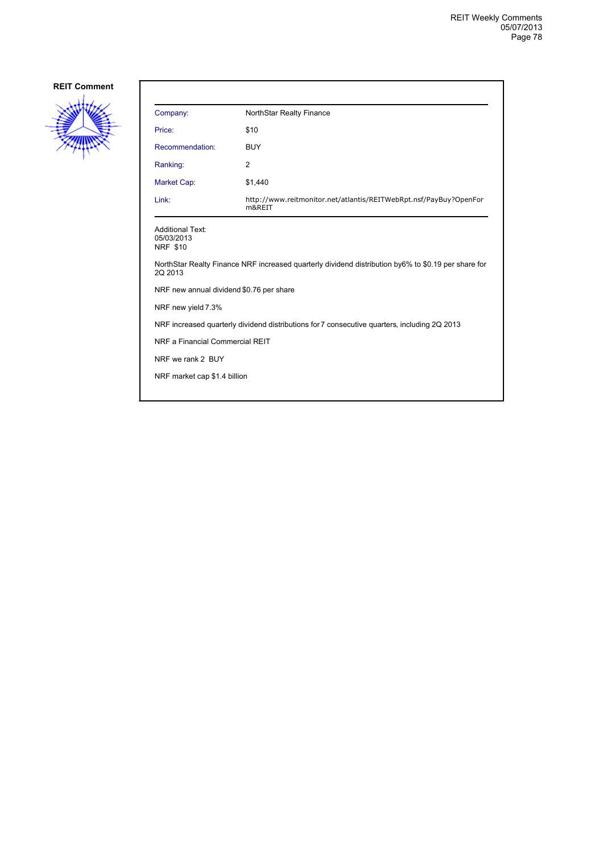

| Company:                                                                                     | NorthStar Realty Finance                                                                            |
|----------------------------------------------------------------------------------------------|-----------------------------------------------------------------------------------------------------|
| Price:                                                                                       | \$10                                                                                                |
| Recommendation:                                                                              | <b>BUY</b>                                                                                          |
| Ranking:                                                                                     | 2                                                                                                   |
| Market Cap:                                                                                  | \$1,440                                                                                             |
| Link:                                                                                        | http://www.reitmonitor.net/atlantis/REITWebRpt.nsf/PayBuy?OpenFor<br>m&REIT                         |
| <b>Additional Text:</b><br>05/03/2013<br><b>NRF \$10</b>                                     |                                                                                                     |
| 2Q 2013                                                                                      | NorthStar Realty Finance NRF increased quarterly dividend distribution by6% to \$0.19 per share for |
| NRF new annual dividend \$0.76 per share                                                     |                                                                                                     |
| NRF new yield 7.3%                                                                           |                                                                                                     |
| NRF increased quarterly dividend distributions for 7 consecutive quarters, including 2Q 2013 |                                                                                                     |
| NRF a Financial Commercial REIT                                                              |                                                                                                     |
| NRF we rank 2 BUY                                                                            |                                                                                                     |
| NRF market cap \$1.4 billion                                                                 |                                                                                                     |
|                                                                                              |                                                                                                     |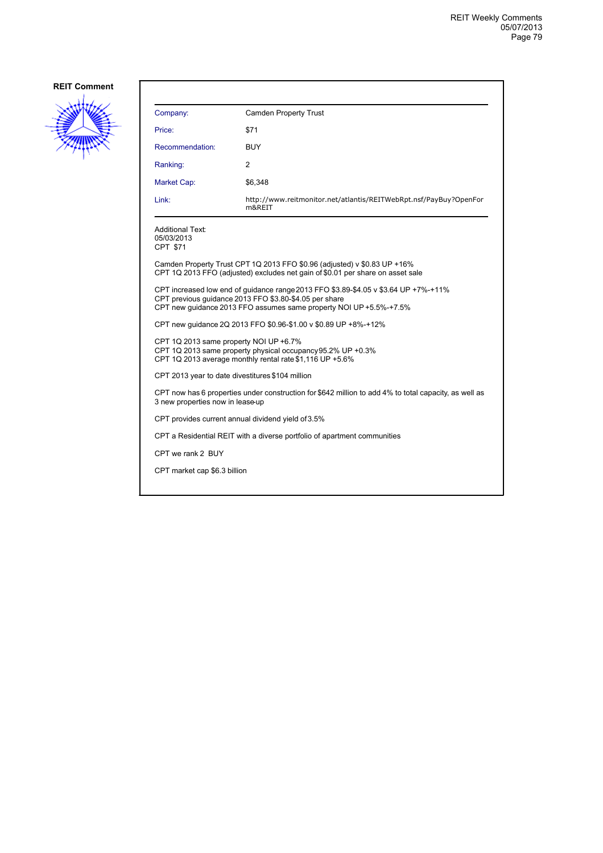

| Company:                                                                                                                                                                                                            | <b>Camden Property Trust</b>                                                |  |
|---------------------------------------------------------------------------------------------------------------------------------------------------------------------------------------------------------------------|-----------------------------------------------------------------------------|--|
| Price:                                                                                                                                                                                                              | \$71                                                                        |  |
| Recommendation:                                                                                                                                                                                                     | <b>BUY</b>                                                                  |  |
| Ranking:                                                                                                                                                                                                            | 2                                                                           |  |
| Market Cap:                                                                                                                                                                                                         | \$6,348                                                                     |  |
| Link:                                                                                                                                                                                                               | http://www.reitmonitor.net/atlantis/REITWebRpt.nsf/PayBuy?OpenFor<br>m&REIT |  |
| <b>Additional Text:</b><br>05/03/2013<br>CPT \$71                                                                                                                                                                   |                                                                             |  |
| Camden Property Trust CPT 1Q 2013 FFO \$0.96 (adjusted) v \$0.83 UP +16%<br>CPT 1Q 2013 FFO (adjusted) excludes net gain of \$0.01 per share on asset sale                                                          |                                                                             |  |
| CPT increased low end of guidance range 2013 FFO \$3.89-\$4.05 v \$3.64 UP +7%-+11%<br>CPT previous quidance 2013 FFO \$3.80-\$4.05 per share<br>CPT new guidance 2013 FFO assumes same property NOI UP +5.5%-+7.5% |                                                                             |  |
| CPT new quidance 2Q 2013 FFO \$0.96-\$1.00 v \$0.89 UP +8%-+12%                                                                                                                                                     |                                                                             |  |
| CPT 1Q 2013 same property NOI UP +6.7%<br>CPT 1Q 2013 same property physical occupancy 95.2% UP +0.3%<br>CPT 1Q 2013 average monthly rental rate \$1,116 UP +5.6%                                                   |                                                                             |  |
| CPT 2013 year to date divestitures \$104 million                                                                                                                                                                    |                                                                             |  |
| CPT now has 6 properties under construction for \$642 million to add 4% to total capacity, as well as<br>3 new properties now in lease-up                                                                           |                                                                             |  |
| CPT provides current annual dividend yield of 3.5%                                                                                                                                                                  |                                                                             |  |
| CPT a Residential REIT with a diverse portfolio of apartment communities                                                                                                                                            |                                                                             |  |
| CPT we rank 2 BUY                                                                                                                                                                                                   |                                                                             |  |
| CPT market cap \$6.3 billion                                                                                                                                                                                        |                                                                             |  |
|                                                                                                                                                                                                                     |                                                                             |  |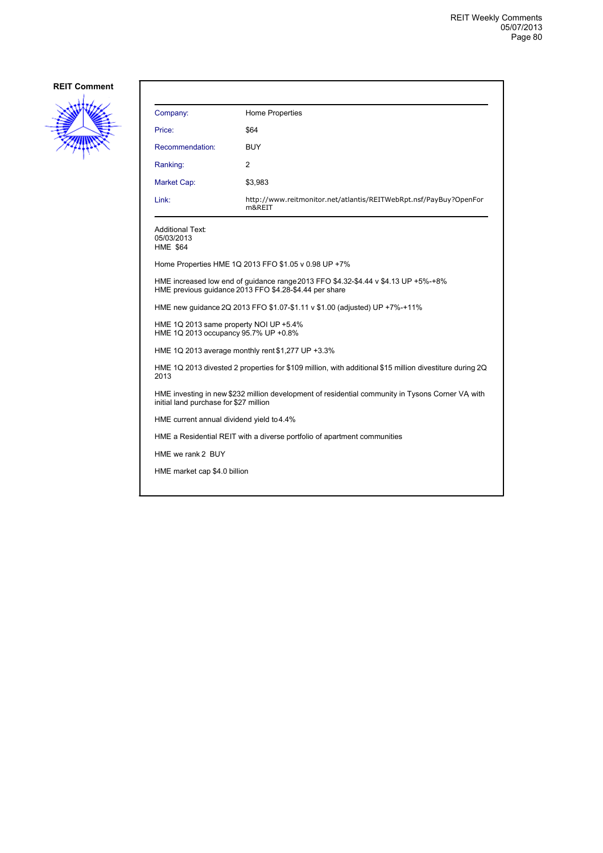

| Company:                                                                                                                                   | Home Properties                                                                                                                              |  |
|--------------------------------------------------------------------------------------------------------------------------------------------|----------------------------------------------------------------------------------------------------------------------------------------------|--|
| Price:                                                                                                                                     | \$64                                                                                                                                         |  |
| Recommendation:                                                                                                                            | BUY                                                                                                                                          |  |
| Ranking:                                                                                                                                   | 2                                                                                                                                            |  |
| Market Cap:                                                                                                                                | \$3,983                                                                                                                                      |  |
| Link:                                                                                                                                      | http://www.reitmonitor.net/atlantis/REITWebRpt.nsf/PayBuy?OpenFor<br>m&REIT                                                                  |  |
| <b>Additional Text:</b><br>05/03/2013<br><b>HME \$64</b>                                                                                   |                                                                                                                                              |  |
|                                                                                                                                            | Home Properties HME 1Q 2013 FFO \$1.05 v 0.98 UP +7%                                                                                         |  |
|                                                                                                                                            | HME increased low end of guidance range 2013 FFO \$4.32-\$4.44 v \$4.13 UP +5%-+8%<br>HME previous quidance 2013 FFO \$4.28-\$4.44 per share |  |
| HME new guidance 2Q 2013 FFO \$1.07-\$1.11 v \$1.00 (adjusted) UP +7%-+11%                                                                 |                                                                                                                                              |  |
| HME 1Q 2013 same property NOI UP +5.4%<br>HME 1Q 2013 occupancy 95.7% UP +0.8%                                                             |                                                                                                                                              |  |
|                                                                                                                                            | HME 1Q 2013 average monthly rent \$1,277 UP +3.3%                                                                                            |  |
| 2013                                                                                                                                       | HME 1Q 2013 divested 2 properties for \$109 million, with additional \$15 million divestiture during 2Q                                      |  |
| HME investing in new \$232 million development of residential community in Tysons Corner VA with<br>initial land purchase for \$27 million |                                                                                                                                              |  |
| HME current annual dividend yield to 4.4%                                                                                                  |                                                                                                                                              |  |
| HME a Residential REIT with a diverse portfolio of apartment communities                                                                   |                                                                                                                                              |  |
| HME we rank 2 BUY                                                                                                                          |                                                                                                                                              |  |
| HME market cap \$4.0 billion                                                                                                               |                                                                                                                                              |  |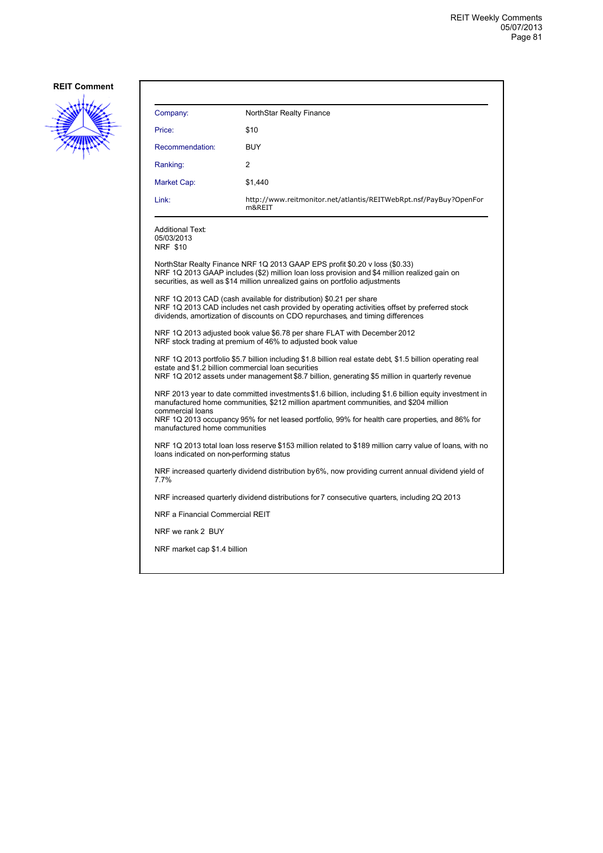

| Company:                                                                                                                                                                                                                                                            | NorthStar Realty Finance                                                                                                                                                                                                                                     |  |
|---------------------------------------------------------------------------------------------------------------------------------------------------------------------------------------------------------------------------------------------------------------------|--------------------------------------------------------------------------------------------------------------------------------------------------------------------------------------------------------------------------------------------------------------|--|
| Price:                                                                                                                                                                                                                                                              | \$10                                                                                                                                                                                                                                                         |  |
| Recommendation:                                                                                                                                                                                                                                                     | <b>BUY</b>                                                                                                                                                                                                                                                   |  |
| Ranking:                                                                                                                                                                                                                                                            | 2                                                                                                                                                                                                                                                            |  |
| Market Cap:                                                                                                                                                                                                                                                         | \$1,440                                                                                                                                                                                                                                                      |  |
| Link:                                                                                                                                                                                                                                                               | http://www.reitmonitor.net/atlantis/REITWebRpt.nsf/PayBuy?OpenFor<br>m&REIT                                                                                                                                                                                  |  |
| <b>Additional Text:</b><br>05/03/2013<br><b>NRF \$10</b>                                                                                                                                                                                                            |                                                                                                                                                                                                                                                              |  |
|                                                                                                                                                                                                                                                                     | NorthStar Realty Finance NRF 1Q 2013 GAAP EPS profit \$0.20 v loss (\$0.33)<br>NRF 1Q 2013 GAAP includes (\$2) million loan loss provision and \$4 million realized gain on<br>securities, as well as \$14 million unrealized gains on portfolio adjustments |  |
| NRF 1Q 2013 CAD (cash available for distribution) \$0.21 per share<br>NRF 1Q 2013 CAD includes net cash provided by operating activities offset by preferred stock<br>dividends, amortization of discounts on CDO repurchases, and timing differences               |                                                                                                                                                                                                                                                              |  |
| NRF 1Q 2013 adjusted book value \$6.78 per share FLAT with December 2012<br>NRF stock trading at premium of 46% to adjusted book value                                                                                                                              |                                                                                                                                                                                                                                                              |  |
| NRF 1Q 2013 portfolio \$5.7 billion including \$1.8 billion real estate debt, \$1.5 billion operating real<br>estate and \$1.2 billion commercial loan securities<br>NRF 1Q 2012 assets under management \$8.7 billion, generating \$5 million in quarterly revenue |                                                                                                                                                                                                                                                              |  |
| NRF 2013 year to date committed investments \$1.6 billion, including \$1.6 billion equity investment in<br>manufactured home communities, \$212 million apartment communities, and \$204 million<br>commercial loans                                                |                                                                                                                                                                                                                                                              |  |
| NRF 1Q 2013 occupancy 95% for net leased portfolio, 99% for health care properties, and 86% for<br>manufactured home communities                                                                                                                                    |                                                                                                                                                                                                                                                              |  |
| NRF 1Q 2013 total loan loss reserve \$153 million related to \$189 million carry value of loans, with no<br>loans indicated on non-performing status                                                                                                                |                                                                                                                                                                                                                                                              |  |
| NRF increased quarterly dividend distribution by 6%, now providing current annual dividend yield of<br>7.7%                                                                                                                                                         |                                                                                                                                                                                                                                                              |  |
| NRF increased quarterly dividend distributions for 7 consecutive quarters, including 2Q 2013                                                                                                                                                                        |                                                                                                                                                                                                                                                              |  |
| NRF a Financial Commercial REIT                                                                                                                                                                                                                                     |                                                                                                                                                                                                                                                              |  |
| NRF we rank 2 BUY                                                                                                                                                                                                                                                   |                                                                                                                                                                                                                                                              |  |
| NRF market cap \$1.4 billion                                                                                                                                                                                                                                        |                                                                                                                                                                                                                                                              |  |